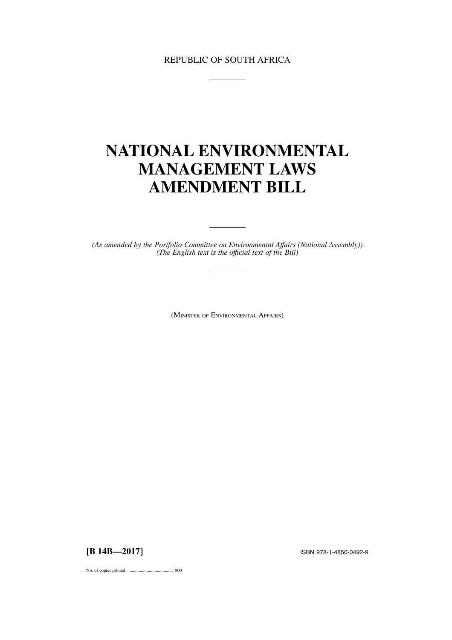# REPUBLIC OF SOUTH AFRICA

# **NATIONAL ENVIRONMENTAL MANAGEMENT LAWS AMENDMENT BILL**

*(As amended by the Portfolio Committee on Environmental Affairs (National Assembly)) (The English text is the offıcial text of the Bill)*

<u>production and the contract</u>

(MINISTER OF ENVIRONMENTAL AFFAIRS)

**[B 14B—2017]** ISBN 978-1-4850-0492-9

No. of copies printed ....................................... 800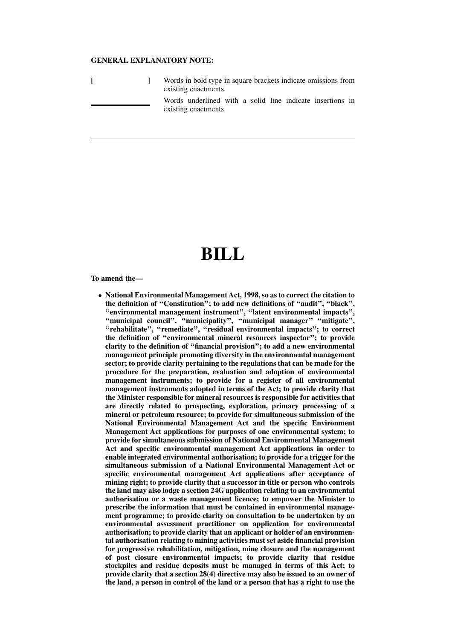## **GENERAL EXPLANATORY NOTE:**

|  | Words in bold type in square brackets indicate omissions from<br>existing enactments. |
|--|---------------------------------------------------------------------------------------|
|  | Words underlined with a solid line indicate insertions in<br>existing enactments.     |

# **BILL**

**To amend the—**

● **National Environmental Management Act, 1998, so as to correct the citation to the definition of ''Constitution''; to add new definitions of ''audit'', ''black'', ''environmental management instrument'', ''latent environmental impacts'', ''municipal council'', ''municipality'', ''municipal manager'' ''mitigate'', ''rehabilitate'', ''remediate'', ''residual environmental impacts''; to correct the definition of ''environmental mineral resources inspector''; to provide clarity to the definition of ''financial provision''; to add a new environmental management principle promoting diversity in the environmental management sector; to provide clarity pertaining to the regulations that can be made for the procedure for the preparation, evaluation and adoption of environmental management instruments; to provide for a register of all environmental management instruments adopted in terms of the Act; to provide clarity that the Minister responsible for mineral resources is responsible for activities that are directly related to prospecting, exploration, primary processing of a mineral or petroleum resource; to provide for simultaneous submission of the National Environmental Management Act and the specific Environment Management Act applications for purposes of one environmental system; to provide for simultaneous submission of National Environmental Management Act and specific environmental management Act applications in order to enable integrated environmental authorisation; to provide for a trigger for the simultaneous submission of a National Environmental Management Act or specific environmental management Act applications after acceptance of mining right; to provide clarity that a successor in title or person who controls the land may also lodge a section 24G application relating to an environmental authorisation or a waste management licence; to empower the Minister to prescribe the information that must be contained in environmental management programme; to provide clarity on consultation to be undertaken by an environmental assessment practitioner on application for environmental authorisation; to provide clarity that an applicant or holder of an environmental authorisation relating to mining activities must set aside financial provision for progressive rehabilitation, mitigation, mine closure and the management of post closure environmental impacts; to provide clarity that residue stockpiles and residue deposits must be managed in terms of this Act; to provide clarity that a section 28(4) directive may also be issued to an owner of the land, a person in control of the land or a person that has a right to use the**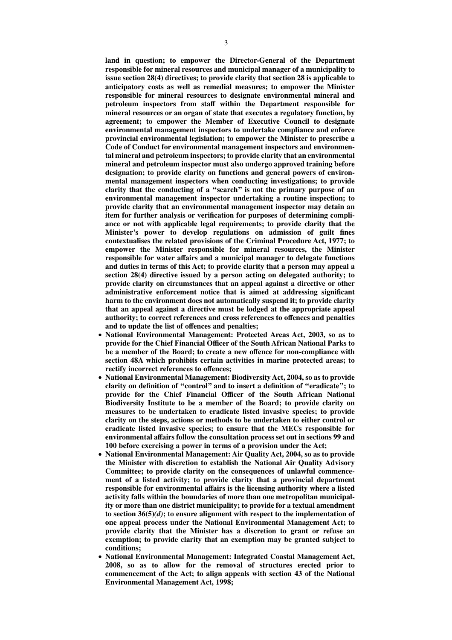**land in question; to empower the Director-General of the Department responsible for mineral resources and municipal manager of a municipality to issue section 28(4) directives; to provide clarity that section 28 is applicable to anticipatory costs as well as remedial measures; to empower the Minister responsible for mineral resources to designate environmental mineral and petroleum inspectors from staff within the Department responsible for mineral resources or an organ of state that executes a regulatory function, by agreement; to empower the Member of Executive Council to designate environmental management inspectors to undertake compliance and enforce provincial environmental legislation; to empower the Minister to prescribe a Code of Conduct for environmental management inspectors and environmental mineral and petroleum inspectors; to provide clarity that an environmental mineral and petroleum inspector must also undergo approved training before designation; to provide clarity on functions and general powers of environmental management inspectors when conducting investigations; to provide clarity that the conducting of a ''search'' is not the primary purpose of an environmental management inspector undertaking a routine inspection; to provide clarity that an environmental management inspector may detain an item for further analysis or verification for purposes of determining compliance or not with applicable legal requirements; to provide clarity that the Minister's power to develop regulations on admission of guilt fines contextualises the related provisions of the Criminal Procedure Act, 1977; to empower the Minister responsible for mineral resources, the Minister responsible for water affairs and a municipal manager to delegate functions and duties in terms of this Act; to provide clarity that a person may appeal a section 28(4) directive issued by a person acting on delegated authority; to provide clarity on circumstances that an appeal against a directive or other administrative enforcement notice that is aimed at addressing significant harm to the environment does not automatically suspend it; to provide clarity that an appeal against a directive must be lodged at the appropriate appeal authority; to correct references and cross references to offences and penalties and to update the list of offences and penalties;**

- **National Environmental Management: Protected Areas Act, 2003, so as to provide for the Chief Financial Officer of the South African National Parks to be a member of the Board; to create a new offence for non-compliance with section 48A which prohibits certain activities in marine protected areas; to rectify incorrect references to offences;**
- **National Environmental Management: Biodiversity Act, 2004, so as to provide clarity on definition of ''control'' and to insert a definition of ''eradicate''; to provide for the Chief Financial Officer of the South African National Biodiversity Institute to be a member of the Board; to provide clarity on measures to be undertaken to eradicate listed invasive species; to provide clarity on the steps, actions or methods to be undertaken to either control or eradicate listed invasive species; to ensure that the MECs responsible for environmental affairs follow the consultation process set out in sections 99 and 100 before exercising a power in terms of a provision under the Act;**
- **National Environmental Management: Air Quality Act, 2004, so as to provide the Minister with discretion to establish the National Air Quality Advisory Committee; to provide clarity on the consequences of unlawful commencement of a listed activity; to provide clarity that a provincial department responsible for environmental affairs is the licensing authority where a listed activity falls within the boundaries of more than one metropolitan municipality or more than one district municipality; to provide for a textual amendment to section 36(5)***(d)***; to ensure alignment with respect to the implementation of one appeal process under the National Environmental Management Act; to provide clarity that the Minister has a discretion to grant or refuse an exemption; to provide clarity that an exemption may be granted subject to conditions;**
- **National Environmental Management: Integrated Coastal Management Act, 2008, so as to allow for the removal of structures erected prior to commencement of the Act; to align appeals with section 43 of the National Environmental Management Act, 1998;**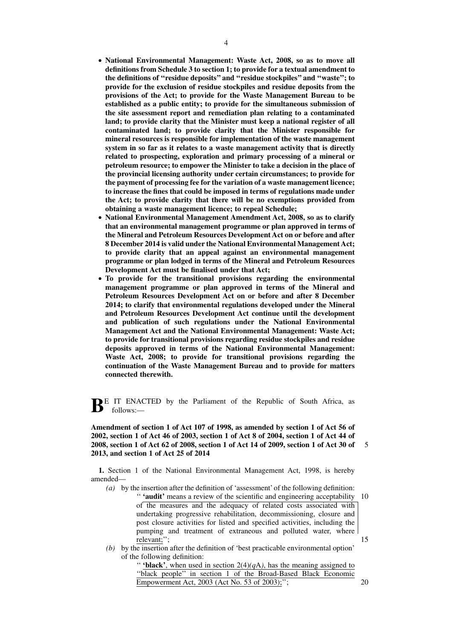- **National Environmental Management: Waste Act, 2008, so as to move all definitions from Schedule 3 to section 1; to provide for a textual amendment to the definitions of ''residue deposits'' and ''residue stockpiles'' and ''waste''; to provide for the exclusion of residue stockpiles and residue deposits from the provisions of the Act; to provide for the Waste Management Bureau to be established as a public entity; to provide for the simultaneous submission of the site assessment report and remediation plan relating to a contaminated land; to provide clarity that the Minister must keep a national register of all contaminated land; to provide clarity that the Minister responsible for mineral resources is responsible for implementation of the waste management system in so far as it relates to a waste management activity that is directly related to prospecting, exploration and primary processing of a mineral or petroleum resource; to empower the Minister to take a decision in the place of the provincial licensing authority under certain circumstances; to provide for the payment of processing fee for the variation of a waste management licence; to increase the fines that could be imposed in terms of regulations made under the Act; to provide clarity that there will be no exemptions provided from obtaining a waste management licence; to repeal Schedule;**
- **National Environmental Management Amendment Act, 2008, so as to clarify that an environmental management programme or plan approved in terms of the Mineral and Petroleum Resources Development Act on or before and after 8 December 2014 is valid under the National Environmental Management Act; to provide clarity that an appeal against an environmental management programme or plan lodged in terms of the Mineral and Petroleum Resources Development Act must be finalised under that Act;**
- **To provide for the transitional provisions regarding the environmental management programme or plan approved in terms of the Mineral and Petroleum Resources Development Act on or before and after 8 December 2014; to clarify that environmental regulations developed under the Mineral and Petroleum Resources Development Act continue until the development and publication of such regulations under the National Environmental Management Act and the National Environmental Management: Waste Act; to provide for transitional provisions regarding residue stockpiles and residue deposits approved in terms of the National Environmental Management: Waste Act, 2008; to provide for transitional provisions regarding the continuation of the Waste Management Bureau and to provide for matters connected therewith.**

**BE** IT ENACTED by the Parliament of the Republic of South Africa, as follows:—

**Amendment of section 1 of Act 107 of 1998, as amended by section 1 of Act 56 of 2002, section 1 of Act 46 of 2003, section 1 of Act 8 of 2004, section 1 of Act 44 of 2008, section 1 of Act 62 of 2008, section 1 of Act 14 of 2009, section 1 of Act 30 of 2013, and section 1 of Act 25 of 2014** 5

**1.** Section 1 of the National Environmental Management Act, 1998, is hereby amended—

- *(a)* by the insertion after the definition of 'assessment' of the following definition: " 'audit' means a review of the scientific and engineering acceptability 10 of the measures and the adequacy of related costs associated with undertaking progressive rehabilitation, decommissioning, closure and post closure activities for listed and specified activities, including the pumping and treatment of extraneous and polluted water, where relevant;''; 15
- *(b)* by the insertion after the definition of 'best practicable environmental option' of the following definition:

" **'black'**, when used in section  $2(4)(qA)$ , has the meaning assigned to ''black people'' in section 1 of the Broad-Based Black Economic Empowerment Act, 2003 (Act No. 53 of 2003);'';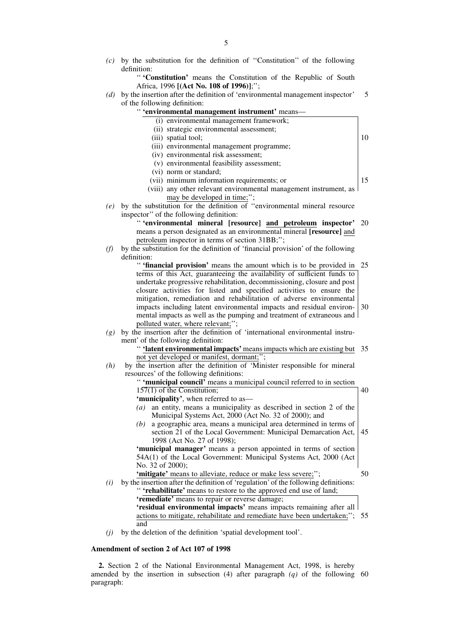'' **'Constitution'** means the Constitution of the Republic of South Africa, 1996 **[(Act No. 108 of 1996)]**;'';

*(d)* by the insertion after the definition of 'environmental management inspector' of the following definition: 5

|     | or the following uchintion.                                                             |    |
|-----|-----------------------------------------------------------------------------------------|----|
|     | " 'environmental management instrument' means-                                          |    |
|     | (i) environmental management framework;                                                 |    |
|     | (ii) strategic environmental assessment;                                                |    |
|     | (iii) spatial tool;                                                                     | 10 |
|     | (iii) environmental management programme;                                               |    |
|     | (iv) environmental risk assessment;                                                     |    |
|     | (v) environmental feasibility assessment;                                               |    |
|     | (vi) norm or standard;                                                                  |    |
|     | (vii) minimum information requirements; or                                              | 15 |
|     | (viii) any other relevant environmental management instrument, as                       |    |
|     | may be developed in time;";                                                             |    |
| (e) | by the substitution for the definition of "environmental mineral resource               |    |
|     | inspector" of the following definition:                                                 |    |
|     | "'environmental mineral [resource] and petroleum inspector' 20                          |    |
|     | means a person designated as an environmental mineral [resource] and                    |    |
|     | petroleum inspector in terms of section 31BB;";                                         |    |
| (f) | by the substitution for the definition of 'financial provision' of the following        |    |
|     | definition:                                                                             |    |
|     | " 'financial provision' means the amount which is to be provided in                     | 25 |
|     | terms of this Act, guaranteeing the availability of sufficient funds to                 |    |
|     | undertake progressive rehabilitation, decommissioning, closure and post                 |    |
|     | closure activities for listed and specified activities to ensure the                    |    |
|     | mitigation, remediation and rehabilitation of adverse environmental                     |    |
|     | impacts including latent environmental impacts and residual environ-                    | 30 |
|     | mental impacts as well as the pumping and treatment of extraneous and                   |    |
|     | polluted water, where relevant;";                                                       |    |
| (g) | by the insertion after the definition of 'international environmental instru-           |    |
|     | ment' of the following definition:                                                      |    |
|     | " 'latent environmental impacts' means impacts which are existing but                   | 35 |
|     | not yet developed or manifest, dormant;";                                               |    |
| (h) | by the insertion after the definition $\overline{of}$ 'Minister responsible for mineral |    |
|     | resources' of the following definitions:                                                |    |
|     | " 'municipal council' means a municipal council referred to in section                  |    |
|     | $157(1)$ of the Constitution;                                                           | 40 |
|     | 'municipality', when referred to as-                                                    |    |
|     | an entity, means a municipality as described in section 2 of the<br>(a)                 |    |
|     | Municipal Systems Act, 2000 (Act No. 32 of 2000); and                                   |    |
|     | a geographic area, means a municipal area determined in terms of<br>(b)                 |    |
|     | section 21 of the Local Government: Municipal Demarcation Act,                          | 45 |
|     | 1998 (Act No. 27 of 1998);                                                              |    |
|     | 'municipal manager' means a person appointed in terms of section                        |    |
|     | 54A(1) of the Local Government: Municipal Systems Act, 2000 (Act                        |    |
|     | No. 32 of 2000);                                                                        |    |
|     | 'mitigate' means to alleviate, reduce or make less severe;";                            | 50 |
| (i) | by the insertion after the definition of 'regulation' of the following definitions:     |    |
|     | " 'rehabilitate' means to restore to the approved end use of land;                      |    |
|     | 'remediate' means to repair or reverse damage;                                          |    |
|     | 'residual environmental impacts' means impacts remaining after all                      |    |
|     | actions to mitigate, rehabilitate and remediate have been undertaken;";                 | 55 |
|     | and                                                                                     |    |

*(j)* by the deletion of the definition 'spatial development tool'.

## **Amendment of section 2 of Act 107 of 1998**

**2.** Section 2 of the National Environmental Management Act, 1998, is hereby amended by the insertion in subsection (4) after paragraph *(q)* of the following 60paragraph: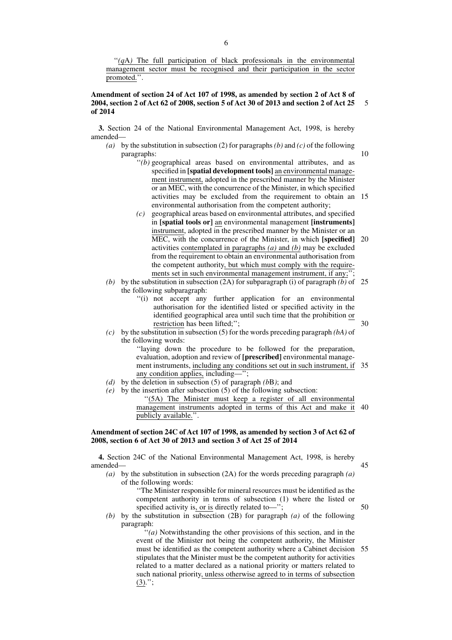''*(q*A*)* The full participation of black professionals in the environmental management sector must be recognised and their participation in the sector promoted.''.

#### **Amendment of section 24 of Act 107 of 1998, as amended by section 2 of Act 8 of 2004, section 2 of Act 62 of 2008, section 5 of Act 30 of 2013 and section 2 of Act 25 of 2014** 5

**3.** Section 24 of the National Environmental Management Act, 1998, is hereby amended—

- *(a)* by the substitution in subsection (2) for paragraphs*(b)* and *(c)* of the following paragraphs:
	- ''*(b)* geographical areas based on environmental attributes, and as specified in **[spatial development tools]** an environmental management instrument, adopted in the prescribed manner by the Minister or an MEC, with the concurrence of the Minister, in which specified activities may be excluded from the requirement to obtain an environmental authorisation from the competent authority; 15
	- *(c)* geographical areas based on environmental attributes, and specified in **[spatial tools or]** an environmental management **[instruments]** instrument, adopted in the prescribed manner by the Minister or an MEC, with the concurrence of the Minister, in which **[specified]** activities contemplated in paragraphs *(a)* and *(b)* may be excluded from the requirement to obtain an environmental authorisation from the competent authority, but which must comply with the requirements set in such environmental management instrument, if any;"  $20$
- *(b)* by the substitution in subsection (2A) for subparagraph (i) of paragraph *(b)* of 25 the following subparagraph:
	- ''(i) not accept any further application for an environmental authorisation for the identified listed or specified activity in the identified geographical area until such time that the prohibition or restriction has been lifted;'';
- 30

50

10

*(c)* by the substitution in subsection (5) for the words preceding paragraph *(bA)* of the following words:

''laying down the procedure to be followed for the preparation, evaluation, adoption and review of **[prescribed]** environmental management instruments, including any conditions set out in such instrument, if 35 any condition applies, including—'';

- *(d)* by the deletion in subsection (5) of paragraph *(b*B*)*; and
- *(e)* by the insertion after subsection (5) of the following subsection:

''(5A) The Minister must keep a register of all environmental management instruments adopted in terms of this Act and make it 40 publicly available.''.

#### **Amendment of section 24C of Act 107 of 1998, as amended by section 3 of Act 62 of 2008, section 6 of Act 30 of 2013 and section 3 of Act 25 of 2014**

**4.** Section 24C of the National Environmental Management Act, 1998, is hereby amended— 45

*(a)* by the substitution in subsection (2A) for the words preceding paragraph *(a)* of the following words:

> ''The Minister responsible for mineral resources must be identified as the competent authority in terms of subsection (1) where the listed or specified activity is, or is directly related to-";

*(b)* by the substitution in subsection (2B) for paragraph *(a)* of the following paragraph:

 $\dddot{f}(a)$  Notwithstanding the other provisions of this section, and in the event of the Minister not being the competent authority, the Minister must be identified as the competent authority where a Cabinet decision stipulates that the Minister must be the competent authority for activities related to a matter declared as a national priority or matters related to such national priority, unless otherwise agreed to in terms of subsection  $(3).$ "; 55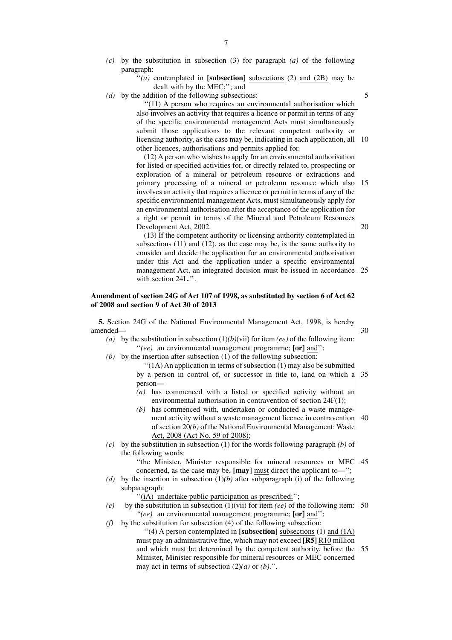- *(c)* by the substitution in subsection (3) for paragraph *(a)* of the following paragraph:
	- "(a) contemplated in [subsection] subsections (2) and (2B) may be dealt with by the MEC;''; and

5

*(d)* by the addition of the following subsections:

''(11) A person who requires an environmental authorisation which also involves an activity that requires a licence or permit in terms of any of the specific environmental management Acts must simultaneously submit those applications to the relevant competent authority or licensing authority, as the case may be, indicating in each application, all other licences, authorisations and permits applied for. 10

(12) A person who wishes to apply for an environmental authorisation for listed or specified activities for, or directly related to, prospecting or exploration of a mineral or petroleum resource or extractions and primary processing of a mineral or petroleum resource which also involves an activity that requires a licence or permit in terms of any of the specific environmental management Acts, must simultaneously apply for an environmental authorisation after the acceptance of the application for a right or permit in terms of the Mineral and Petroleum Resources Development Act, 2002. 15 20

(13) If the competent authority or licensing authority contemplated in subsections (11) and (12), as the case may be, is the same authority to consider and decide the application for an environmental authorisation under this Act and the application under a specific environmental management Act, an integrated decision must be issued in accordance 25 with section 24L.''.

#### **Amendment of section 24G of Act 107 of 1998, as substituted by section 6 of Act 62 of 2008 and section 9 of Act 30 of 2013**

**5.** Section 24G of the National Environmental Management Act, 1998, is hereby amended— 30

- (a) by the substitution in subsection  $(1)(b)(vii)$  for item *(ee)* of the following item: ''*(ee)* an environmental management programme; **[or]** and'';
- *(b)* by the insertion after subsection (1) of the following subsection:
	- ''(1A) An application in terms of subsection (1) may also be submitted by a person in control of, or successor in title to, land on which a person— 35
	- *(a)* has commenced with a listed or specified activity without an environmental authorisation in contravention of section 24F(1);
	- *(b)* has commenced with, undertaken or conducted a waste management activity without a waste management licence in contravention of section 20*(b)* of the National Environmental Management: Waste Act, 2008 (Act No. 59 of 2008); 40
- *(c)* by the substitution in subsection (1) for the words following paragraph *(b)* of the following words:
	- ''the Minister, Minister responsible for mineral resources or MEC 45 concerned, as the case may be, **[may]** must direct the applicant to—'';
- *(d)* by the insertion in subsection (1)*(b)* after subparagraph (i) of the following subparagraph:

''(iA) undertake public participation as prescribed;'';

- $(e)$  by the substitution in subsection  $(1)(\text{vii})$  for item  $(ee)$  of the following item: 50 *''(ee)* an environmental management programme; **[or]** and'';
- (f) by the substitution for subsection  $\overline{4}$ ) of the following subsection:
	- ''(4) A person contemplated in **[subsection]** subsections (1) and (1A) must pay an administrative fine, which may not exceed **[R5]** R10 million and which must be determined by the competent authority, before the 55Minister, Minister responsible for mineral resources or MEC concerned may act in terms of subsection  $(2)(a)$  or  $(b)$ .".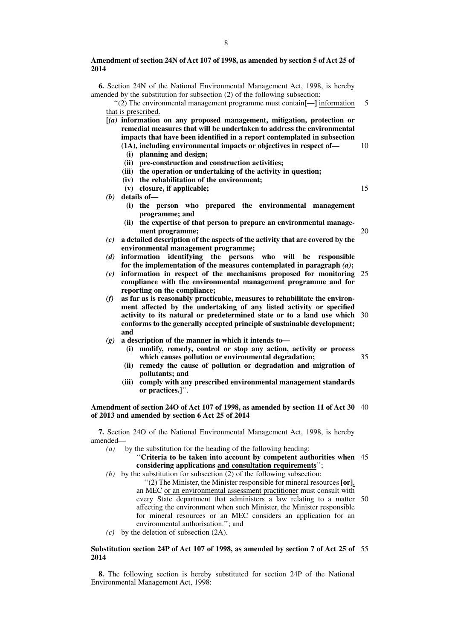**6.** Section 24N of the National Environmental Management Act, 1998, is hereby amended by the substitution for subsection (2) of the following subsection:

''(2) The environmental management programme must contain**[—]** information that is prescribed. 5

**[***(a)* **information on any proposed management, mitigation, protection or remedial measures that will be undertaken to address the environmental impacts that have been identified in a report contemplated in subsection (1A), including environmental impacts or objectives in respect of—**

10

15

20

- **(i) planning and design;**
- **(ii) pre-construction and construction activities;**
- **(iii) the operation or undertaking of the activity in question;**
- **(iv) the rehabilitation of the environment;**
- **(v) closure, if applicable;**
- *(b)* **details of—**
	- **(i) the person who prepared the environmental management programme; and**
	- **(ii) the expertise of that person to prepare an environmental management programme;**
- *(c)* **a detailed description of the aspects of the activity that are covered by the environmental management programme;**
- *(d)* **information identifying the persons who will be responsible for the implementation of the measures contemplated in paragraph** *(a)***;**
- *(e)* **information in respect of the mechanisms proposed for monitoring compliance with the environmental management programme and for reporting on the compliance;** 25
- *(f)* **as far as is reasonably practicable, measures to rehabilitate the environment affected by the undertaking of any listed activity or specified activity to its natural or predetermined state or to a land use which conforms to the generally accepted principle of sustainable development; and** 30
- *(g)* **a description of the manner in which it intends to—**
	- **(i) modify, remedy, control or stop any action, activity or process which causes pollution or environmental degradation;** 35
	- **(ii) remedy the cause of pollution or degradation and migration of pollutants; and**
	- **(iii) comply with any prescribed environmental management standards or practices.]**''.

#### **Amendment of section 24O of Act 107 of 1998, as amended by section 11 of Act 30** 40 **of 2013 and amended by section 6 Act 25 of 2014**

**7.** Section 24O of the National Environmental Management Act, 1998, is hereby amended—

*(a)* by the substitution for the heading of the following heading:

''**Criteria to be taken into account by competent authorities when** 45 **considering applications and consultation requirements**'';

*(b)* by the substitution for subsection (2) of the following subsection:

''(2) The Minister, the Minister responsible for mineral resources **[or]**, an MEC or an environmental assessment practitioner must consult with every State department that administers a law relating to a matter 50 affecting the environment when such Minister, the Minister responsible for mineral resources or an MEC considers an application for an environmental authorisation."; and

*(c)* by the deletion of subsection (2A).

## **Substitution section 24P of Act 107 of 1998, as amended by section 7 of Act 25 of** 55**2014**

**8.** The following section is hereby substituted for section 24P of the National Environmental Management Act, 1998: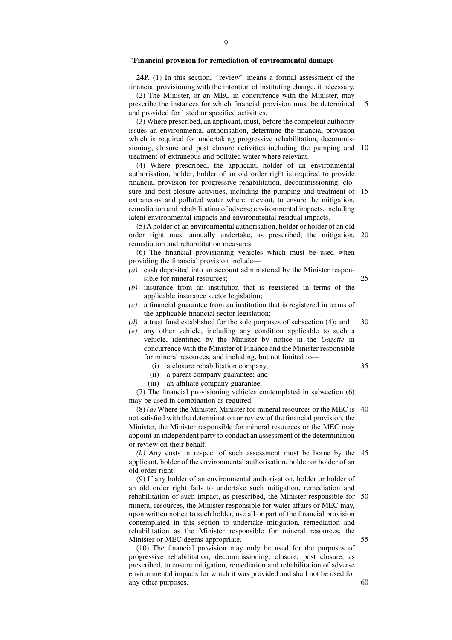# ''**Financial provision for remediation of environmental damage**

| 24P. (1) In this section, "review" means a formal assessment of the<br>financial provisioning with the intention of instituting change, if necessary. |    |
|-------------------------------------------------------------------------------------------------------------------------------------------------------|----|
| (2) The Minister, or an MEC in concurrence with the Minister, may                                                                                     |    |
| prescribe the instances for which financial provision must be determined                                                                              | 5  |
| and provided for listed or specified activities.                                                                                                      |    |
| (3) Where prescribed, an applicant, must, before the competent authority                                                                              |    |
| issues an environmental authorisation, determine the financial provision                                                                              |    |
| which is required for undertaking progressive rehabilitation, decommis-                                                                               |    |
| sioning, closure and post closure activities including the pumping and                                                                                | 10 |
| treatment of extraneous and polluted water where relevant.                                                                                            |    |
| (4) Where prescribed, the applicant, holder of an environmental                                                                                       |    |
| authorisation, holder, holder of an old order right is required to provide                                                                            |    |
| financial provision for progressive rehabilitation, decommissioning, clo-<br>sure and post closure activities, including the pumping and treatment of | 15 |
| extraneous and polluted water where relevant, to ensure the mitigation,                                                                               |    |
| remediation and rehabilitation of adverse environmental impacts, including                                                                            |    |
| latent environmental impacts and environmental residual impacts.                                                                                      |    |
| (5) A holder of an environmental authorisation, holder or holder of an old                                                                            |    |
| order right must annually undertake, as prescribed, the mitigation,                                                                                   | 20 |
| remediation and rehabilitation measures.                                                                                                              |    |
| (6) The financial provisioning vehicles which must be used when                                                                                       |    |
| providing the financial provision include—                                                                                                            |    |
| cash deposited into an account administered by the Minister respon-<br>(a)                                                                            |    |
| sible for mineral resources;                                                                                                                          | 25 |
| insurance from an institution that is registered in terms of the<br>(b)                                                                               |    |
| applicable insurance sector legislation;                                                                                                              |    |
| a financial guarantee from an institution that is registered in terms of<br>(c)                                                                       |    |
| the applicable financial sector legislation;<br>a trust fund established for the sole purposes of subsection (4); and<br>(d)                          | 30 |
| any other vehicle, including any condition applicable to such a<br>(e)                                                                                |    |
| vehicle, identified by the Minister by notice in the Gazette in                                                                                       |    |
| concurrence with the Minister of Finance and the Minister responsible                                                                                 |    |
| for mineral resources, and including, but not limited to-                                                                                             |    |
| a closure rehabilitation company,<br>(i)                                                                                                              | 35 |
| a parent company guarantee; and<br>(ii)                                                                                                               |    |
| (iii) an affiliate company guarantee.                                                                                                                 |    |
| (7) The financial provisioning vehicles contemplated in subsection (6)                                                                                |    |
| may be used in combination as required.                                                                                                               |    |
| $(8)$ (a) Where the Minister, Minister for mineral resources or the MEC is   40                                                                       |    |
| not satisfied with the determination or review of the financial provision, the                                                                        |    |
| Minister, the Minister responsible for mineral resources or the MEC may                                                                               |    |
| appoint an independent party to conduct an assessment of the determination                                                                            |    |
| or review on their behalf.                                                                                                                            |    |
| $(b)$ Any costs in respect of such assessment must be borne by the                                                                                    | 45 |
| applicant, holder of the environmental authorisation, holder or holder of an                                                                          |    |
| old order right.<br>(9) If any holder of an environmental authorisation, holder or holder of                                                          |    |
| an old order right fails to undertake such mitigation, remediation and                                                                                |    |
| rehabilitation of such impact, as prescribed, the Minister responsible for                                                                            | 50 |
| mineral resources, the Minister responsible for water affairs or MEC may,                                                                             |    |
| upon written notice to such holder, use all or part of the financial provision                                                                        |    |
| contemplated in this section to undertake mitigation, remediation and                                                                                 |    |
| rehabilitation as the Minister responsible for mineral resources, the                                                                                 |    |
| Minister or MEC deems appropriate.                                                                                                                    | 55 |
| (10) The financial provision may only be used for the purposes of                                                                                     |    |
| progressive rehabilitation, decommissioning, closure, post closure, as                                                                                |    |

progressive rehabilitation, decommissioning, closure, post closure, as prescribed, to ensure mitigation, remediation and rehabilitation of adverse environmental impacts for which it was provided and shall not be used for any other purposes.

 $\left| \right|$  60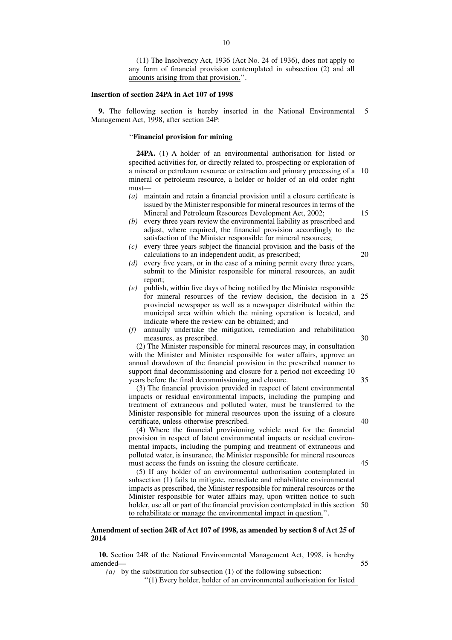(11) The Insolvency Act, 1936 (Act No. 24 of 1936), does not apply to any form of financial provision contemplated in subsection (2) and all amounts arising from that provision.''.

#### **Insertion of section 24PA in Act 107 of 1998**

**9.** The following section is hereby inserted in the National Environmental Management Act, 1998, after section 24P: 5

## ''**Financial provision for mining**

**24PA.** (1) A holder of an environmental authorisation for listed or specified activities for, or directly related to, prospecting or exploration of a mineral or petroleum resource or extraction and primary processing of a mineral or petroleum resource, a holder or holder of an old order right must— 10

- *(a)* maintain and retain a financial provision until a closure certificate is issued by the Minister responsible for mineral resources in terms of the Mineral and Petroleum Resources Development Act, 2002;
- *(b)* every three years review the environmental liability as prescribed and adjust, where required, the financial provision accordingly to the satisfaction of the Minister responsible for mineral resources;
- *(c)* every three years subject the financial provision and the basis of the calculations to an independent audit, as prescribed;
- *(d)* every five years, or in the case of a mining permit every three years, submit to the Minister responsible for mineral resources, an audit report;
- *(e)* publish, within five days of being notified by the Minister responsible for mineral resources of the review decision, the decision in a provincial newspaper as well as a newspaper distributed within the municipal area within which the mining operation is located, and indicate where the review can be obtained; and 25
- *(f)* annually undertake the mitigation, remediation and rehabilitation measures, as prescribed.

(2) The Minister responsible for mineral resources may, in consultation with the Minister and Minister responsible for water affairs, approve an annual drawdown of the financial provision in the prescribed manner to support final decommissioning and closure for a period not exceeding 10 years before the final decommissioning and closure.

(3) The financial provision provided in respect of latent environmental impacts or residual environmental impacts, including the pumping and treatment of extraneous and polluted water, must be transferred to the Minister responsible for mineral resources upon the issuing of a closure certificate, unless otherwise prescribed.

(4) Where the financial provisioning vehicle used for the financial provision in respect of latent environmental impacts or residual environmental impacts, including the pumping and treatment of extraneous and polluted water, is insurance, the Minister responsible for mineral resources must access the funds on issuing the closure certificate.

45

55

15

20

30

35

40

(5) If any holder of an environmental authorisation contemplated in subsection (1) fails to mitigate, remediate and rehabilitate environmental impacts as prescribed, the Minister responsible for mineral resources or the Minister responsible for water affairs may, upon written notice to such holder, use all or part of the financial provision contemplated in this section  $\vert$  50 to rehabilitate or manage the environmental impact in question.''.

## **Amendment of section 24R of Act 107 of 1998, as amended by section 8 of Act 25 of 2014**

**10.** Section 24R of the National Environmental Management Act, 1998, is hereby amended—

*(a)* by the substitution for subsection (1) of the following subsection:

''(1) Every holder, holder of an environmental authorisation for listed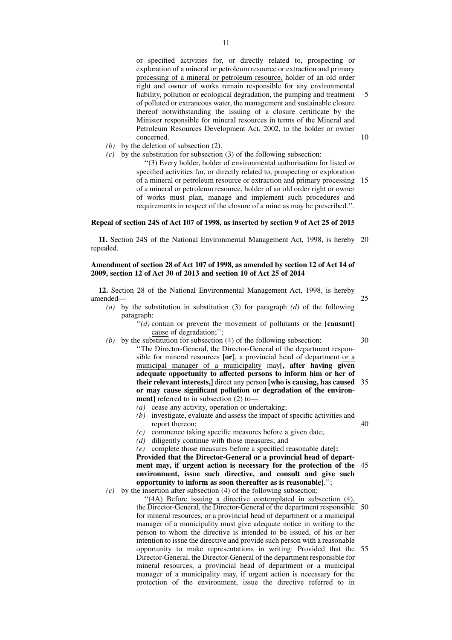or specified activities for, or directly related to, prospecting or exploration of a mineral or petroleum resource or extraction and primary processing of a mineral or petroleum resource, holder of an old order right and owner of works remain responsible for any environmental liability, pollution or ecological degradation, the pumping and treatment of polluted or extraneous water, the management and sustainable closure thereof notwithstanding the issuing of a closure certificate by the Minister responsible for mineral resources in terms of the Mineral and Petroleum Resources Development Act, 2002, to the holder or owner concerned. 5 10

- *(b)* by the deletion of subsection (2).
- *(c)* by the substitution for subsection (3) of the following subsection:

''(3) Every holder, holder of environmental authorisation for listed or specified activities for, or directly related to, prospecting or exploration of a mineral or petroleum resource or extraction and primary processing 15 of a mineral or petroleum resource, holder of an old order right or owner of works must plan, manage and implement such procedures and requirements in respect of the closure of a mine as may be prescribed.''.

## **Repeal of section 24S of Act 107 of 1998, as inserted by section 9 of Act 25 of 2015**

**11.** Section 24S of the National Environmental Management Act, 1998, is hereby 20 repealed.

## **Amendment of section 28 of Act 107 of 1998, as amended by section 12 of Act 14 of 2009, section 12 of Act 30 of 2013 and section 10 of Act 25 of 2014**

**12.** Section 28 of the National Environmental Management Act, 1998, is hereby amended—

- 25
- *(a)* by the substitution in substitution (3) for paragraph *(d)* of the following paragraph:
	- $\dddot{a}$ ) contain or prevent the movement of pollutants or the **[causant]** cause of degradation;'';
- 30
- *(b)* by the substitution for subsection (4) of the following subsection: ''The Director-General, the Director-General of the department responsible for mineral resources **[or]**, a provincial head of department or a municipal manager of a municipality may**[, after having given adequate opportunity to affected persons to inform him or her of their relevant interests,]** direct any person **[who is causing, has caused** 35 **or may cause significant pollution or degradation of the environment**] referred to in subsection (2) to–
	- *(a)* cease any activity, operation or undertaking;
	- *(b)* investigate, evaluate and assess the impact of specific activities and report thereon; 40
	- *(c)* commence taking specific measures before a given date;
	- *(d)* diligently continue with those measures; and

*(e)* complete those measures before a specified reasonable date**[: Provided that the Director-General or a provincial head of department may, if urgent action is necessary for the protection of the** 45 **environment, issue such directive, and consult and give such opportunity to inform as soon thereafter as is reasonable]**.'';

*(c)* by the insertion after subsection (4) of the following subsection:

''(4A) Before issuing a directive contemplated in subsection (4), the Director-General, the Director-General of the department responsible for mineral resources, or a provincial head of department or a municipal manager of a municipality must give adequate notice in writing to the person to whom the directive is intended to be issued, of his or her intention to issue the directive and provide such person with a reasonable opportunity to make representations in writing: Provided that the Director-General, the Director-General of the department responsible for mineral resources, a provincial head of department or a municipal manager of a municipality may, if urgent action is necessary for the protection of the environment, issue the directive referred to in 50 55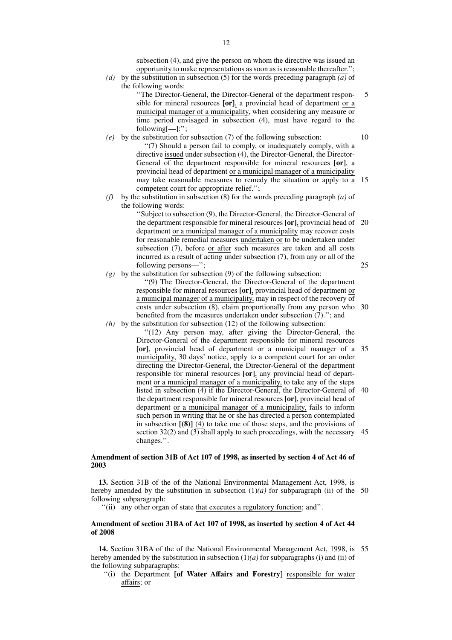12

subsection (4), and give the person on whom the directive was issued an  $\vert$ opportunity to make representations as soon as is reasonable thereafter.'';

*(d)* by the substitution in subsection (5) for the words preceding paragraph *(a)* of the following words:

''The Director-General, the Director-General of the department responsible for mineral resources **[or]**, a provincial head of department or a municipal manager of a municipality, when considering any measure or time period envisaged in subsection (4), must have regard to the following**[—]**:''; 5

- *(e)* by the substitution for subsection (7) of the following subsection: ''(7) Should a person fail to comply, or inadequately comply, with a directive issued under subsection (4), the Director-General, the Director-General of the department responsible for mineral resources **[or]**, a provincial head of department or a municipal manager of a municipality may take reasonable measures to remedy the situation or apply to a 15 competent court for appropriate relief.'';
- *(f)* by the substitution in subsection (8) for the words preceding paragraph *(a)* of the following words:

''Subject to subsection (9), the Director-General, the Director-General of the department responsible for mineral resources **[or]**, provincial head of 20 department or a municipal manager of a municipality may recover costs for reasonable remedial measures undertaken or to be undertaken under subsection (7), before or after such measures are taken and all costs incurred as a result of acting under subsection (7), from any or all of the following persons—'';

*(g)* by the substitution for subsection (9) of the following subsection: ''(9) The Director-General, the Director-General of the department responsible for mineral resources **[or]**, provincial head of department or a municipal manager of a municipality, may in respect of the recovery of costs under subsection (8), claim proportionally from any person who 30 benefited from the measures undertaken under subsection (7).''; and *(h)* by the substitution for subsection (12) of the following subsection:

''(12) Any person may, after giving the Director-General, the Director-General of the department responsible for mineral resources **[or]**, provincial head of department or a municipal manager of a municipality, 30 days' notice, apply to a competent court for an order directing the Director-General, the Director-General of the department responsible for mineral resources **[or]**, any provincial head of department or a municipal manager of a municipality, to take any of the steps listed in subsection (4) if the Director-General, the Director-General of 40 the department responsible for mineral resources **[or]**, provincial head of department or a municipal manager of a municipality, fails to inform such person in writing that he or she has directed a person contemplated in subsection **[(8)]** (4) to take one of those steps, and the provisions of section 32(2) and (3) shall apply to such proceedings, with the necessary 45 changes.''. 35

#### **Amendment of section 31B of Act 107 of 1998, as inserted by section 4 of Act 46 of 2003**

**13.** Section 31B of the of the National Environmental Management Act, 1998, is hereby amended by the substitution in subsection  $(1)(a)$  for subparagraph (ii) of the 50 following subparagraph:

''(ii) any other organ of state that executes a regulatory function; and''.

## **Amendment of section 31BA of Act 107 of 1998, as inserted by section 4 of Act 44 of 2008**

**14.** Section 31BA of the of the National Environmental Management Act, 1998, is 55hereby amended by the substitution in subsection (1)*(a)* for subparagraphs (i) and (ii) of the following subparagraphs:

''(i) the Department **[of Water Affairs and Forestry]** responsible for water affairs; or

10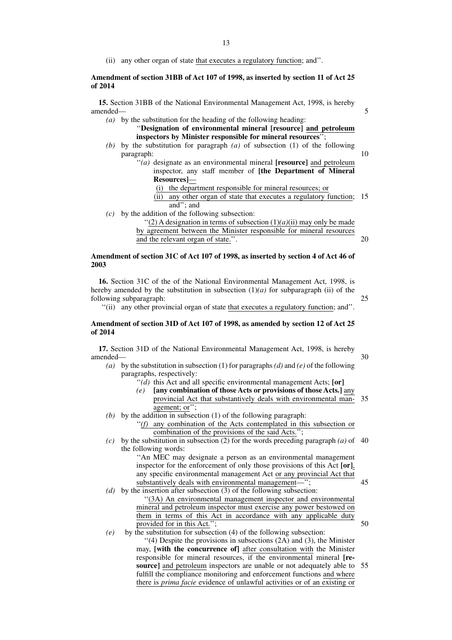- 13
- (ii) any other organ of state that executes a regulatory function; and''.

## **Amendment of section 31BB of Act 107 of 1998, as inserted by section 11 of Act 25 of 2014**

**15.** Section 31BB of the National Environmental Management Act, 1998, is hereby amended—

*(a)* by the substitution for the heading of the following heading:

''**Designation of environmental mineral [resource] and petroleum inspectors by Minister responsible for mineral resources**'';

- *(b)* by the substitution for paragraph *(a)* of subsection (1) of the following paragraph: 10
	- ''*(a)* designate as an environmental mineral **[resource]** and petroleum inspector, any staff member of **[the Department of Mineral Resources]**—
		- (i) the department responsible for mineral resources; or
		- (ii) any other organ of state that executes a regulatory function; and''; and 15
- *(c)* by the addition of the following subsection:

"(2) A designation in terms of subsection  $(1)(a)(ii)$  may only be made by agreement between the Minister responsible for mineral resources and the relevant organ of state.''. 20

## **Amendment of section 31C of Act 107 of 1998, as inserted by section 4 of Act 46 of 2003**

**16.** Section 31C of the of the National Environmental Management Act, 1998, is hereby amended by the substitution in subsection  $(1)(a)$  for subparagraph (ii) of the following subparagraph:

''(ii) any other provincial organ of state that executes a regulatory function; and''.

## **Amendment of section 31D of Act 107 of 1998, as amended by section 12 of Act 25 of 2014**

**17.** Section 31D of the National Environmental Management Act, 1998, is hereby amended— 30

- *(a)* by the substitution in subsection (1) for paragraphs*(d)* and *(e)* of the following paragraphs, respectively:
	- ''*(d)* this Act and all specific environmental management Acts; **[or]**
	- *(e)* **[any combination of those Acts or provisions of those Acts.]** any provincial Act that substantively deals with environmental management; or''; 35
- *(b)* by the addition in subsection (1) of the following paragraph:

'(f) any combination of the Acts contemplated in this subsection or combination of the provisions of the said Acts.'';

 $(c)$  by the substitution in subsection (2) for the words preceding paragraph  $(a)$  of 40 the following words:

''An MEC may designate a person as an environmental management inspector for the enforcement of only those provisions of this Act **[or]**, any specific environmental management Act or any provincial Act that substantively deals with environmental management—";

- *(d)* by the insertion after subsection (3) of the following subsection: ''(3A) An environmental management inspector and environmental mineral and petroleum inspector must exercise any power bestowed on them in terms of this Act in accordance with any applicable duty provided for in this Act."
- *(e)* by the substitution for subsection (4) of the following subsection: ''(4) Despite the provisions in subsections (2A) and (3), the Minister may, **[with the concurrence of]** after consultation with the Minister responsible for mineral resources, if the environmental mineral **[re**source] and petroleum inspectors are unable or not adequately able to 55 fulfill the compliance monitoring and enforcement functions and where there is *prima facie* evidence of unlawful activities or of an existing or

25

5

45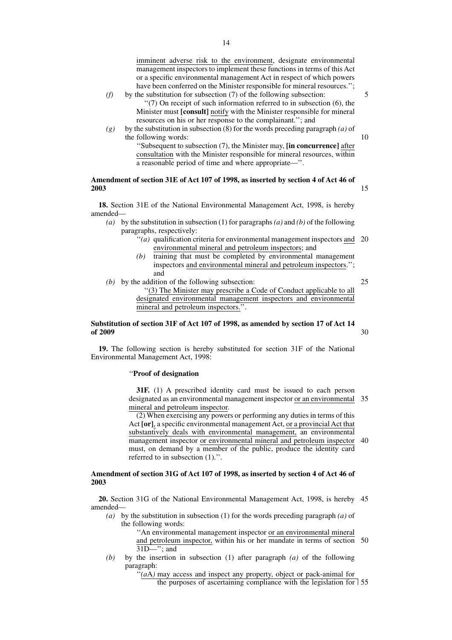imminent adverse risk to the environment, designate environmental management inspectors to implement these functions in terms of this Act

- or a specific environmental management Act in respect of which powers have been conferred on the Minister responsible for mineral resources.''; *(f)* by the substitution for subsection (7) of the following subsection: ''(7) On receipt of such information referred to in subsection (6), the Minister must **[consult]** notify with the Minister responsible for mineral resources on his or her response to the complainant.''; and
- *(g)* by the substitution in subsection (8) for the words preceding paragraph *(a)* of the following words:

''Subsequent to subsection (7), the Minister may, **[in concurrence]** after consultation with the Minister responsible for mineral resources, within a reasonable period of time and where appropriate—''.

## **Amendment of section 31E of Act 107 of 1998, as inserted by section 4 of Act 46 of 2003**

**18.** Section 31E of the National Environmental Management Act, 1998, is hereby amended—

*(a)* by the substitution in subsection (1) for paragraphs*(a)* and *(b)* of the following paragraphs, respectively:

- "(a) qualification criteria for environmental management inspectors and 20 environmental mineral and petroleum inspectors; and
- *(b)* training that must be completed by environmental management inspectors and environmental mineral and petroleum inspectors.''; and
- *(b)* by the addition of the following subsection: ''(3) The Minister may prescribe a Code of Conduct applicable to all designated environmental management inspectors and environmental mineral and petroleum inspectors.''.

#### **Substitution of section 31F of Act 107 of 1998, as amended by section 17 of Act 14 of 2009** 30

**19.** The following section is hereby substituted for section 31F of the National Environmental Management Act, 1998:

#### ''**Proof of designation**

**31F.** (1) A prescribed identity card must be issued to each person designated as an environmental management inspector or an environmental 35 mineral and petroleum inspector.

(2) When exercising any powers or performing any duties in terms of this Act **[or]**, a specific environmental management Act, or a provincial Act that substantively deals with environmental management, an environmental management inspector or environmental mineral and petroleum inspector 40 must, on demand by a member of the public, produce the identity card referred to in subsection (1).''.

## **Amendment of section 31G of Act 107 of 1998, as inserted by section 4 of Act 46 of 2003**

**20.** Section 31G of the National Environmental Management Act, 1998, is hereby 45 amended—

*(a)* by the substitution in subsection (1) for the words preceding paragraph *(a)* of the following words:

''An environmental management inspector or an environmental mineral and petroleum inspector, within his or her mandate in terms of section 50  $31D$ —''; and

*(b)* by the insertion in subsection (1) after paragraph *(a)* of the following paragraph:

"(aA) may access and inspect any property, object or pack-animal for

the purposes of ascertaining compliance with the legislation for 55

25

5

10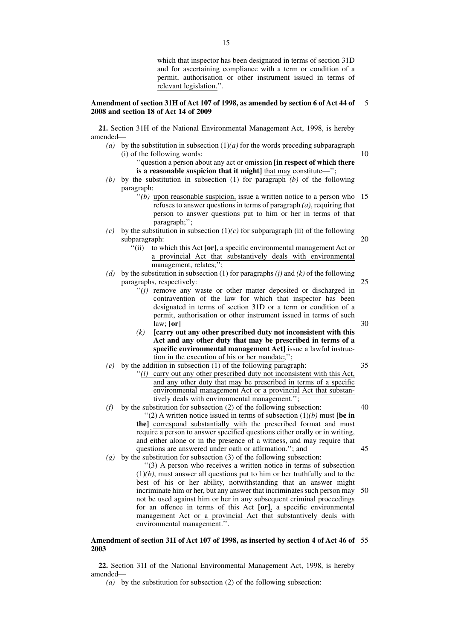which that inspector has been designated in terms of section 31D and for ascertaining compliance with a term or condition of a permit, authorisation or other instrument issued in terms of relevant legislation.''.

10

25

30

35

#### **Amendment of section 31H of Act 107 of 1998, as amended by section 6 of Act 44 of 2008 and section 18 of Act 14 of 2009** 5

**21.** Section 31H of the National Environmental Management Act, 1998, is hereby amended—

*(a)* by the substitution in subsection  $(1)(a)$  for the words preceding subparagraph (i) of the following words:

''question a person about any act or omission **[in respect of which there is a reasonable suspicion that it might]** that may constitute—'';

- *(b)* by the substitution in subsection (1) for paragraph *(b)* of the following paragraph:
	- $\cdot$ <sup>''</sup>(b) upon reasonable suspicion, issue a written notice to a person who refuses to answer questions in terms of paragraph *(a)*, requiring that person to answer questions put to him or her in terms of that paragraph;''; 15

*(c)* by the substitution in subsection (1)*(c)* for subparagraph (ii) of the following subparagraph: 20

- ''(ii) to which this Act **[or]**, a specific environmental management Act or a provincial Act that substantively deals with environmental management, relates;";
- *(d)* by the substitution in subsection (1) for paragraphs *(j)* and *(k)* of the following paragraphs, respectively:
	- ''*(j)* remove any waste or other matter deposited or discharged in contravention of the law for which that inspector has been designated in terms of section 31D or a term or condition of a permit, authorisation or other instrument issued in terms of such law; **[or]**
	- *(k)* **[carry out any other prescribed duty not inconsistent with this Act and any other duty that may be prescribed in terms of a specific environmental management Act]** issue a lawful instruction in the execution of his or her mandate;<sup>'</sup>
- *(e)* by the addition in subsection (1) of the following paragraph:
	- '(l) carry out any other prescribed duty not inconsistent with this Act, and any other duty that may be prescribed in terms of a specific environmental management Act or a provincial Act that substantively deals with environmental management.'';
- *(f)* by the substitution for subsection (2) of the following subsection:  $''(2)$  A written notice issued in terms of subsection  $(1)(b)$  must **[be in**] **the]** correspond substantially with the prescribed format and must require a person to answer specified questions either orally or in writing, and either alone or in the presence of a witness, and may require that questions are answered under oath or affirmation.''; and *(g)* by the substitution for subsection (3) of the following subsection: 40 45
	- ''(3) A person who receives a written notice in terms of subsection  $(1)(b)$ , must answer all questions put to him or her truthfully and to the best of his or her ability, notwithstanding that an answer might incriminate him or her, but any answer that incriminates such person may not be used against him or her in any subsequent criminal proceedings for an offence in terms of this Act **[or]**, a specific environmental management Act or a provincial Act that substantively deals with environmental management.''. 50

#### **Amendment of section 31I of Act 107 of 1998, as inserted by section 4 of Act 46 of** 55**2003**

**22.** Section 31I of the National Environmental Management Act, 1998, is hereby amended—

*(a)* by the substitution for subsection (2) of the following subsection: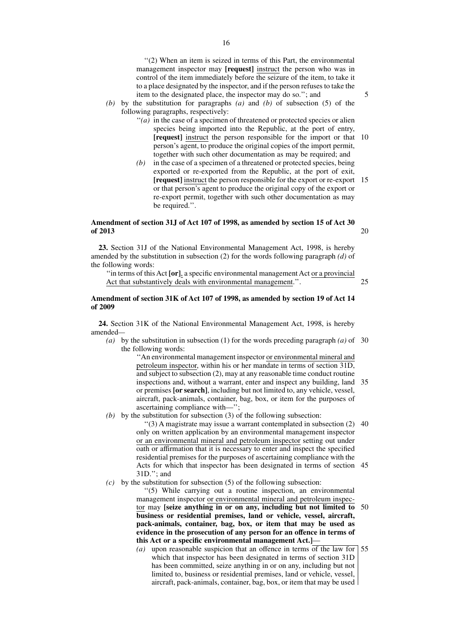''(2) When an item is seized in terms of this Part, the environmental management inspector may **[request]** instruct the person who was in control of the item immediately before the seizure of the item, to take it to a place designated by the inspector, and if the person refuses to take the item to the designated place, the inspector may do so.''; and

- *(b)* by the substitution for paragraphs *(a)* and *(b)* of subsection (5) of the following paragraphs, respectively:
	- ''*(a)* in the case of a specimen of threatened or protected species or alien species being imported into the Republic, at the port of entry, **[request]** instruct the person responsible for the import or that 10 person's agent, to produce the original copies of the import permit, together with such other documentation as may be required; and
	- *(b)* in the case of a specimen of a threatened or protected species, being exported or re-exported from the Republic, at the port of exit, **[request]** instruct the person responsible for the export or re-export 15 or that person's agent to produce the original copy of the export or re-export permit, together with such other documentation as may be required.''.

## **Amendment of section 31J of Act 107 of 1998, as amended by section 15 of Act 30 of 2013**

**23.** Section 31J of the National Environmental Management Act, 1998, is hereby amended by the substitution in subsection (2) for the words following paragraph *(d)* of the following words:

''in terms of this Act **[or]**, a specific environmental management Act or a provincial Act that substantively deals with environmental management.''.

#### **Amendment of section 31K of Act 107 of 1998, as amended by section 19 of Act 14 of 2009**

**24.** Section 31K of the National Environmental Management Act, 1998, is hereby amended*—*

*(a)* by the substitution in subsection (1) for the words preceding paragraph *(a)* of 30 the following words:

''An environmental management inspector or environmental mineral and petroleum inspector, within his or her mandate in terms of section 31D, and subject to subsection (2), may at any reasonable time conduct routine inspections and, without a warrant, enter and inspect any building, land 35 or premises **[or search]**, including but not limited to, any vehicle, vessel, aircraft, pack-animals, container, bag, box, or item for the purposes of ascertaining compliance with—'';

*(b)* by the substitution for subsection (3) of the following subsection:

''(3) A magistrate may issue a warrant contemplated in subsection (2) 40 only on written application by an environmental management inspector or an environmental mineral and petroleum inspector setting out under oath or affirmation that it is necessary to enter and inspect the specified residential premises for the purposes of ascertaining compliance with the Acts for which that inspector has been designated in terms of section 45 31D.''; and

*(c)* by the substitution for subsection (5) of the following subsection:

''(5) While carrying out a routine inspection, an environmental management inspector or environmental mineral and petroleum inspector may **[seize anything in or on any, including but not limited to** 50 **business or residential premises, land or vehicle, vessel, aircraft, pack-animals, container, bag, box, or item that may be used as evidence in the prosecution of any person for an offence in terms of this Act or a specific environmental management Act.]**—

*(a)* upon reasonable suspicion that an offence in terms of the law for 55which that inspector has been designated in terms of section 31D has been committed, seize anything in or on any, including but not limited to, business or residential premises, land or vehicle, vessel, aircraft, pack-animals, container, bag, box, or item that may be used

5

20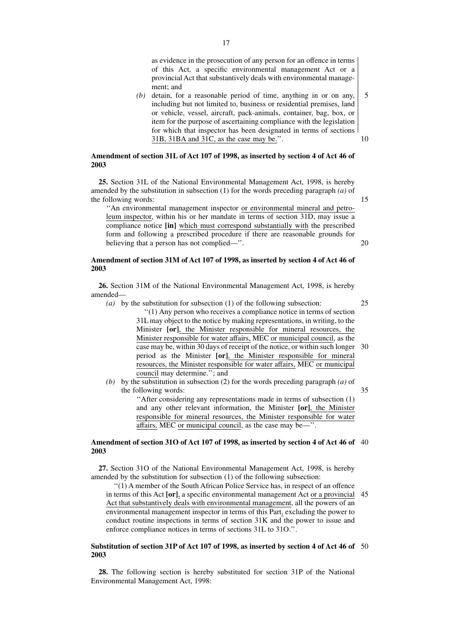as evidence in the prosecution of any person for an offence in terms of this Act, a specific environmental management Act or a provincial Act that substantively deals with environmental management; and

*(b)* detain, for a reasonable period of time, anything in or on any, including but not limited to, business or residential premises, land or vehicle, vessel, aircraft, pack-animals, container, bag, box, or item for the purpose of ascertaining compliance with the legislation for which that inspector has been designated in terms of sections 31B, 31BA and 31C, as the case may be.''. 10

## **Amendment of section 31L of Act 107 of 1998, as inserted by section 4 of Act 46 of 2003**

**25.** Section 31L of the National Environmental Management Act, 1998, is hereby amended by the substitution in subsection (1) for the words preceding paragraph *(a)* of the following words:

15

20

''An environmental management inspector or environmental mineral and petroleum inspector, within his or her mandate in terms of section 31D, may issue a compliance notice **[in]** which must correspond substantially with the prescribed form and following a prescribed procedure if there are reasonable grounds for believing that a person has not complied—''.

## **Amendment of section 31M of Act 107 of 1998, as inserted by section 4 of Act 46 of 2003**

**26.** Section 31M of the National Environmental Management Act, 1998, is hereby amended—

*(a)* by the substitution for subsection (1) of the following subsection:

25

35

''(1) Any person who receives a compliance notice in terms of section 31L may object to the notice by making representations, in writing, to the Minister **[or]**, the Minister responsible for mineral resources, the Minister responsible for water affairs, MEC or municipal council, as the case may be, within 30 days of receipt of the notice, or within such longer 30 period as the Minister **[or]**, the Minister responsible for mineral resources, the Minister responsible for water affairs, MEC or municipal council may determine.''; and

*(b)* by the substitution in subsection (2) for the words preceding paragraph *(a)* of the following words:

''After considering any representations made in terms of subsection (1) and any other relevant information, the Minister **[or]**, the Minister responsible for mineral resources, the Minister responsible for water affairs, MEC or municipal council, as the case may be—''.

#### **Amendment of section 31O of Act 107 of 1998, as inserted by section 4 of Act 46 of** 40 **2003**

**27.** Section 31O of the National Environmental Management Act, 1998, is hereby amended by the substitution for subsection (1) of the following subsection:

''(1) A member of the South African Police Service has, in respect of an offence in terms of this Act **[or]**, a specific environmental management Act or a provincial Act that substantively deals with environmental management, all the powers of an environmental management inspector in terms of this Part, excluding the power to conduct routine inspections in terms of section 31K and the power to issue and enforce compliance notices in terms of sections 31L to 31O.''. 45

#### **Substitution of section 31P of Act 107 of 1998, as inserted by section 4 of Act 46 of** 50**2003**

**28.** The following section is hereby substituted for section 31P of the National Environmental Management Act, 1998: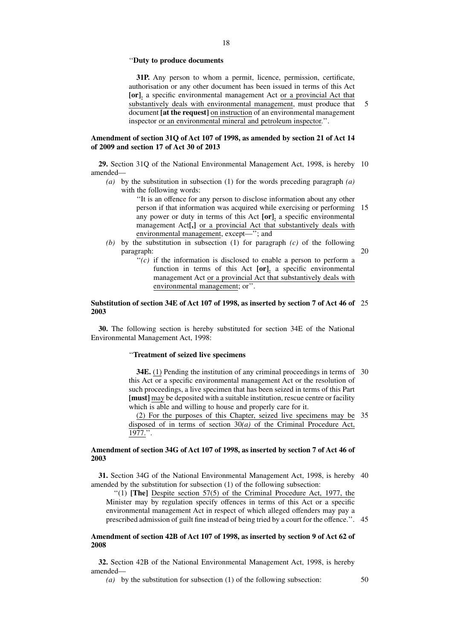#### ''**Duty to produce documents**

**31P.** Any person to whom a permit, licence, permission, certificate, authorisation or any other document has been issued in terms of this Act **[or]**, a specific environmental management Act or a provincial Act that substantively deals with environmental management, must produce that document **[at the request]** on instruction of an environmental management inspector or an environmental mineral and petroleum inspector.''. 5

## **Amendment of section 31Q of Act 107 of 1998, as amended by section 21 of Act 14 of 2009 and section 17 of Act 30 of 2013**

**29.** Section 31Q of the National Environmental Management Act, 1998, is hereby 10 amended—

*(a)* by the substitution in subsection (1) for the words preceding paragraph *(a)* with the following words:

> ''It is an offence for any person to disclose information about any other person if that information was acquired while exercising or performing 15 any power or duty in terms of this Act **[or]**, a specific environmental management Act**[,]** or a provincial Act that substantively deals with environmental management, except—''; and

- *(b)* by the substitution in subsection (1) for paragraph *(c)* of the following paragraph:  $20$ 
	- ''*(c)* if the information is disclosed to enable a person to perform a function in terms of this Act **[or]**, a specific environmental management Act or a provincial Act that substantively deals with environmental management; or''.

#### **Substitution of section 34E of Act 107 of 1998, as inserted by section 7 of Act 46 of** 25 **2003**

**30.** The following section is hereby substituted for section 34E of the National Environmental Management Act, 1998:

## ''**Treatment of seized live specimens**

**34E.** (1) Pending the institution of any criminal proceedings in terms of 30 this Act or a specific environmental management Act or the resolution of such proceedings, a live specimen that has been seized in terms of this Part **[must]** may be deposited with a suitable institution, rescue centre or facility which is able and willing to house and properly care for it.

(2) For the purposes of this Chapter, seized live specimens may be 35 disposed of in terms of section 30*(a)* of the Criminal Procedure Act, 1977.''.

## **Amendment of section 34G of Act 107 of 1998, as inserted by section 7 of Act 46 of 2003**

**31.** Section 34G of the National Environmental Management Act, 1998, is hereby 40 amended by the substitution for subsection (1) of the following subsection:

''(1) **[The]** Despite section 57(5) of the Criminal Procedure Act, 1977, the Minister may by regulation specify offences in terms of this Act or a specific environmental management Act in respect of which alleged offenders may pay a prescribed admission of guilt fine instead of being tried by a court for the offence.''. 45

## **Amendment of section 42B of Act 107 of 1998, as inserted by section 9 of Act 62 of 2008**

**32.** Section 42B of the National Environmental Management Act, 1998, is hereby amended—

*(a)* by the substitution for subsection (1) of the following subsection: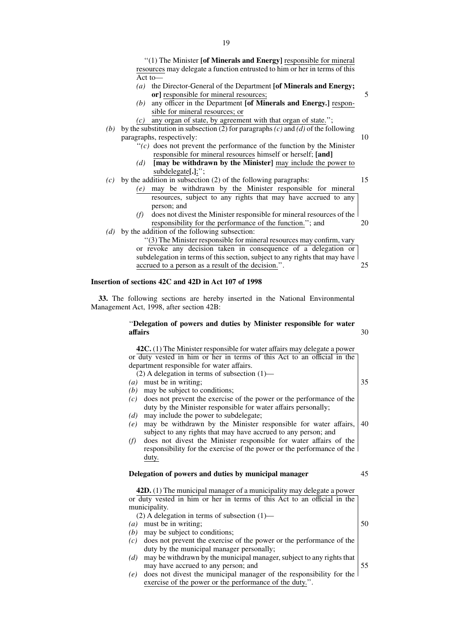''(1) The Minister **[of Minerals and Energy]** responsible for mineral resources may delegate a function entrusted to him or her in terms of this Act to—

- *(a)* the Director-General of the Department **[of Minerals and Energy; or]** responsible for mineral resources;
- *(b)* any officer in the Department **[of Minerals and Energy.]** responsible for mineral resources; or
- *(c)* any organ of state, by agreement with that organ of state.'';
- *(b)* by the substitution in subsection (2) for paragraphs*(c)* and *(d)* of the following paragraphs, respectively:
	- $\dddot{f}(c)$  does not prevent the performance of the function by the Minister responsible for mineral resources himself or herself; **[and]**
	- *(d)* **[may be withdrawn by the Minister]** may include the power to subdelegate**[.]**;'';
- $(c)$  by the addition in subsection (2) of the following paragraphs:
	- *(e)* may be withdrawn by the Minister responsible for mineral resources, subject to any rights that may have accrued to any person; and
		- *(f)* does not divest the Minister responsible for mineral resources of the responsibility for the performance of the function.''; and 20
- *(d)* by the addition of the following subsection:

''(3) The Minister responsible for mineral resources may confirm, vary or revoke any decision taken in consequence of a delegation or subdelegation in terms of this section, subject to any rights that may have accrued to a person as a result of the decision.''. 25

## **Insertion of sections 42C and 42D in Act 107 of 1998**

**33.** The following sections are hereby inserted in the National Environmental Management Act, 1998, after section 42B:

#### ''**Delegation of powers and duties by Minister responsible for water affairs** 30

**42C.** (1) The Minister responsible for water affairs may delegate a power or duty vested in him or her in terms of this Act to an official in the department responsible for water affairs. (2) A delegation in terms of subsection (1)—

- 
- *(a)* must be in writing;
- *(b)* may be subject to conditions;
- *(c)* does not prevent the exercise of the power or the performance of the duty by the Minister responsible for water affairs personally;
- *(d)* may include the power to subdelegate;
- *(e)* may be withdrawn by the Minister responsible for water affairs, subject to any rights that may have accrued to any person; and 40
- *(f)* does not divest the Minister responsible for water affairs of the responsibility for the exercise of the power or the performance of the duty.

#### **Delegation of powers and duties by municipal manager**

**42D.** (1) The municipal manager of a municipality may delegate a power or duty vested in him or her in terms of this Act to an official in the municipality.

(2) A delegation in terms of subsection (1)—

- *(a)* must be in writing;
- *(b)* may be subject to conditions;
- *(c)* does not prevent the exercise of the power or the performance of the duty by the municipal manager personally;
- *(d)* may be withdrawn by the municipal manager, subject to any rights that may have accrued to any person; and
- *(e)* does not divest the municipal manager of the responsibility for the exercise of the power or the performance of the duty.''.

10

15

5

35

45

50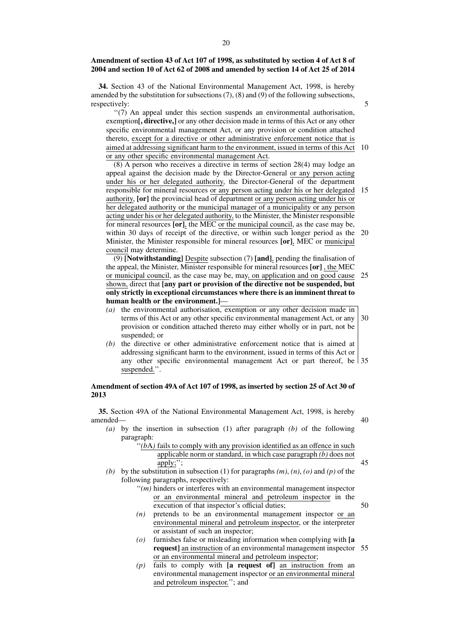### **Amendment of section 43 of Act 107 of 1998, as substituted by section 4 of Act 8 of 2004 and section 10 of Act 62 of 2008 and amended by section 14 of Act 25 of 2014**

**34.** Section 43 of the National Environmental Management Act, 1998, is hereby amended by the substitution for subsections  $(7)$ ,  $(8)$  and  $(9)$  of the following subsections, respectively:

''(7) An appeal under this section suspends an environmental authorisation, exemption**[, directive,]** or any other decision made in terms of this Act or any other specific environmental management Act, or any provision or condition attached thereto, except for a directive or other administrative enforcement notice that is aimed at addressing significant harm to the environment, issued in terms of this Act 10 or any other specific environmental management Act.

5

40

45

50

(8) A person who receives a directive in terms of section 28(4) may lodge an appeal against the decision made by the Director-General or any person acting under his or her delegated authority, the Director-General of the department responsible for mineral resources or any person acting under his or her delegated 15 authority, **[or]** the provincial head of department or any person acting under his or her delegated authority or the municipal manager of a municipality or any person acting under his or her delegated authority, to the Minister, the Minister responsible for mineral resources **[or]**, the MEC or the municipal council, as the case may be, within 30 days of receipt of the directive, or within such longer period as the 20 Minister, the Minister responsible for mineral resources **[or]**, MEC or municipal council may determine.

(9) **[Notwithstanding]** Despite subsection (7) **[and]**, pending the finalisation of the appeal, the Minister, Minister responsible for mineral resources **[or]** , the MEC or municipal council, as the case may be, may, on application and on good cause shown, direct that **[any part or provision of the directive not be suspended, but only strictly in exceptional circumstances where there is an imminent threat to human health or the environment.]**— 25

- *(a)* the environmental authorisation, exemption or any other decision made in terms of this Act or any other specific environmental management Act, or any provision or condition attached thereto may either wholly or in part, not be suspended; or 30
- *(b)* the directive or other administrative enforcement notice that is aimed at addressing significant harm to the environment, issued in terms of this Act or any other specific environmental management Act or part thereof, be 35 suspended.''.

## **Amendment of section 49A of Act 107 of 1998, as inserted by section 25 of Act 30 of 2013**

**35.** Section 49A of the National Environmental Management Act, 1998, is hereby amended—

- *(a)* by the insertion in subsection (1) after paragraph *(b)* of the following paragraph:
	- "(bA) fails to comply with any provision identified as an offence in such applicable norm or standard, in which case paragraph *(b)* does not apply;'';
- *(b)* by the substitution in subsection (1) for paragraphs *(m)*, *(n)*, *(o)* and *(p)* of the following paragraphs, respectively:
	- ''*(m)* hinders or interferes with an environmental management inspector or an environmental mineral and petroleum inspector in the execution of that inspector's official duties;
	- *(n)* pretends to be an environmental management inspector or an environmental mineral and petroleum inspector, or the interpreter or assistant of such an inspector;
	- *(o)* furnishes false or misleading information when complying with **[a request]** an instruction of an environmental management inspector 55or an environmental mineral and petroleum inspector;
	- *(p)* fails to comply with **[a request of]** an instruction from an environmental management inspector or an environmental mineral and petroleum inspector.''; and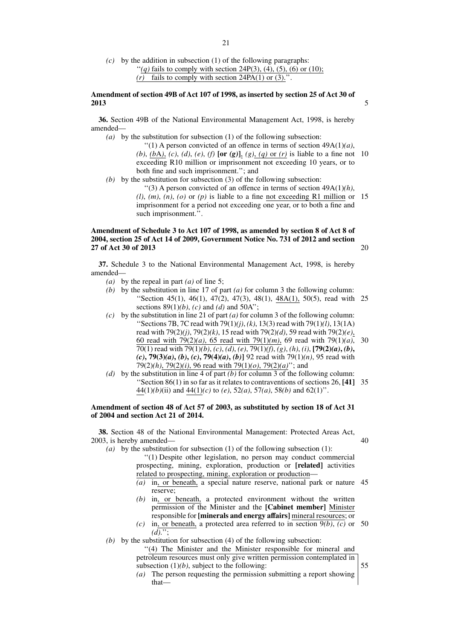*(c)* by the addition in subsection (1) of the following paragraphs: "*(q)* fails to comply with section 24P(3), (4), (5), (6) or (10);  $(r)$  fails to comply with section 24PA $(1)$  or  $(3)$ .".

## **Amendment of section 49B of Act 107 of 1998, as inserted by section 25 of Act 30 of 2013**

**36.** Section 49B of the National Environmental Management Act, 1998, is hereby amended—

*(a)* by the substitution for subsection (1) of the following subsection:

''(1) A person convicted of an offence in terms of section 49A(1)*(a)*, *(b)*, *(b*A*)*, *(c)*, *(d)*, *(e)*, *(f)* **[or** *(g)***]**, *(g)*, *(q)* or *(r)* is liable to a fine not 10 exceeding R10 million or imprisonment not exceeding 10 years, or to both fine and such imprisonment.''; and

*(b)* by the substitution for subsection (3) of the following subsection:

''(3) A person convicted of an offence in terms of section 49A(1)*(h)*,  $(l)$ ,  $(m)$ ,  $(n)$ ,  $(o)$  or  $(p)$  is liable to a fine not exceeding R1 million or 15 imprisonment for a period not exceeding one year, or to both a fine and such imprisonment.''.

## **Amendment of Schedule 3 to Act 107 of 1998, as amended by section 8 of Act 8 of 2004, section 25 of Act 14 of 2009, Government Notice No. 731 of 2012 and section 27 of Act 30 of 2013**

**37.** Schedule 3 to the National Environmental Management Act, 1998, is hereby amended—

- *(a)* by the repeal in part *(a)* of line 5;
- *(b)* by the substitution in line 17 of part *(a)* for column 3 the following column: "Section 45(1), 46(1), 47(2), 47(3), 48(1), 48A(1), 50(5), read with 25 sections 89(1)*(b)*, *(c)* and *(d)* and 50A'';
- *(c)* by the substitution in line 21 of part *(a)* for column 3 of the following column: ''Sections 7B, 7C read with 79(1)*(j)*, *(k)*, 13(3) read with 79(1)*(l)*, 13(1A) read with 79(2)*(j)*, 79(2)*(k)*, 15 read with 79(2)*(d)*, 59 read with 79(2)*(e)*, 60 read with 79(2)*(a)*, 65 read with 79(1)*(m)*, 69 read with 79(1)*(a)*, 30 70(1) read with 79(1)*(b)*, *(c)*, *(d)*, *(e)*, 79(1)*(f)*, *(g)*, *(h)*, *(i)*, **[79(2)***(a)***,** *(b)***,** *(c)***, 79(3)***(a)***,** *(b)***,** *(c)***, 79(4)***(a)***,** *(b)***]** 92 read with 79(1)*(n)*, 95 read with 79(2)*(h)*, 79(2)*(i)*, 96 read with 79(1)*(o)*, 79(2)*(a)*''; and
- *(d)* by the substitution in line 4 of part *(b)* for column 3 of the following column: ''Section 86(1) in so far as it relates to contraventions of sections 26, **[41]** 35 44(1)*(b)*(ii) and 44(1)*(c)* to *(e)*, 52*(a)*, 57*(a)*, 58*(b)* and 62(1)''.

#### **Amendment of section 48 of Act 57 of 2003, as substituted by section 18 of Act 31 of 2004 and section Act 21 of 2014.**

**38.** Section 48 of the National Environmental Management: Protected Areas Act, 2003, is hereby amended—

*(a)* by the substitution for subsection (1) of the following subsection (1):

''(1) Despite other legislation, no person may conduct commercial prospecting, mining, exploration, production or **[related]** activities related to prospecting, mining, exploration or production—

- *(a)* in, or beneath, a special nature reserve, national park or nature 45 reserve;
- *(b)* in, or beneath, a protected environment without the written permission of the Minister and the **[Cabinet member]** Minister responsible for **[minerals and energy affairs]** mineral resources; or
- *(c)* in, or beneath, a protected area referred to in section 9*(b)*, *(c)* or 50  $\overline{(d)}$ ...;

*(b)* by the substitution for subsection (4) of the following subsection:

"(4) The Minister and the Minister responsible for mineral and petroleum resources must only give written permission contemplated in subsection  $(1)(b)$ , subject to the following:

*(a)* The person requesting the permission submitting a report showing that40

55

5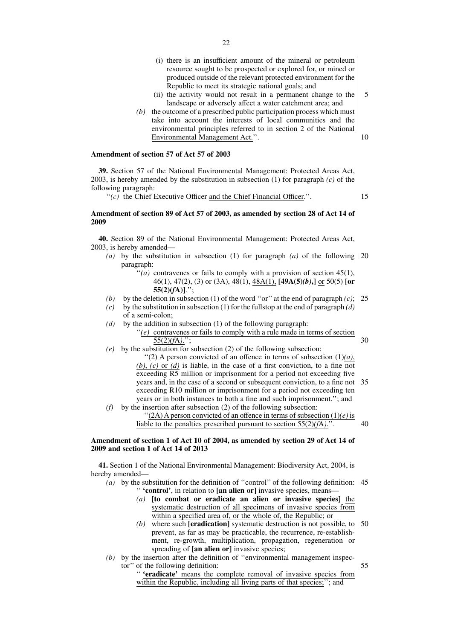- (i) there is an insufficient amount of the mineral or petroleum resource sought to be prospected or explored for, or mined or produced outside of the relevant protected environment for the Republic to meet its strategic national goals; and
- (ii) the activity would not result in a permanent change to the landscape or adversely affect a water catchment area; and
- *(b)* the outcome of a prescribed public participation process which must take into account the interests of local communities and the environmental principles referred to in section 2 of the National Environmental Management Act.''.

## **Amendment of section 57 of Act 57 of 2003**

**39.** Section 57 of the National Environmental Management: Protected Areas Act, 2003, is hereby amended by the substitution in subsection (1) for paragraph *(c)* of the following paragraph:

''*(c)* the Chief Executive Officer and the Chief Financial Officer.''.

15

5

10

## **Amendment of section 89 of Act 57 of 2003, as amended by section 28 of Act 14 of 2009**

**40.** Section 89 of the National Environmental Management: Protected Areas Act, 2003, is hereby amended—

- *(a)* by the substitution in subsection (1) for paragraph *(a)* of the following 20 paragraph:
	- $\lq( a )$  contravenes or fails to comply with a provision of section 45(1), 46(1), 47(2), (3) or (3A), 48(1), 48A(1), **[49A(5)***(b)***,]** or 50(5) **[or 55(2)(***f***A)]**.'';
- *(b)* by the deletion in subsection (1) of the word ''or'' at the end of paragraph *(c)*;  $25$
- *(c)* by the substitution in subsection (1) for the fullstop at the end of paragraph *(d)* of a semi-colon;
- *(d)* by the addition in subsection (1) of the following paragraph:  $\degree$ (*e*) contravenes or fails to comply with a rule made in terms of section 55(2)*(f*A*)*.'';

30

55

- *(e)* by the substitution for subsection (2) of the following subsection: "(2) A person convicted of an offence in terms of subsection  $(1)(a)$ ,  $(b)$ ,  $(c)$  or  $(d)$  is liable, in the case of a first conviction, to a fine not exceeding R5 million or imprisonment for a period not exceeding five years and, in the case of a second or subsequent conviction, to a fine not exceeding R10 million or imprisonment for a period not exceeding ten years or in both instances to both a fine and such imprisonment.''; and *(f)* by the insertion after subsection (2) of the following subsection: 35
	- $''(2A)$  A person convicted of an offence in terms of subsection  $(1)(e)$  is 40

liable to the penalties prescribed pursuant to section 55(2)*(f*A*)*.''.

## **Amendment of section 1 of Act 10 of 2004, as amended by section 29 of Act 14 of 2009 and section 1 of Act 14 of 2013**

**41.** Section 1 of the National Environmental Management: Biodiversity Act, 2004, is hereby amended—

- *(a)* by the substitution for the definition of ''control'' of the following definition: 45 '' **'control'**, in relation to **[an alien or]** invasive species, means—
	- *(a)* **[to combat or eradicate an alien or invasive species]** the systematic destruction of all specimens of invasive species from within a specified area of, or the whole of, the Republic; or
	- *(b)* where such **[eradication]** systematic destruction is not possible, to 50 prevent, as far as may be practicable, the recurrence, re-establishment, re-growth, multiplication, propagation, regeneration or spreading of **[an alien or]** invasive species;
- *(b)* by the insertion after the definition of ''environmental management inspector'' of the following definition:

'' **'eradicate'** means the complete removal of invasive species from within the Republic, including all living parts of that species;"; and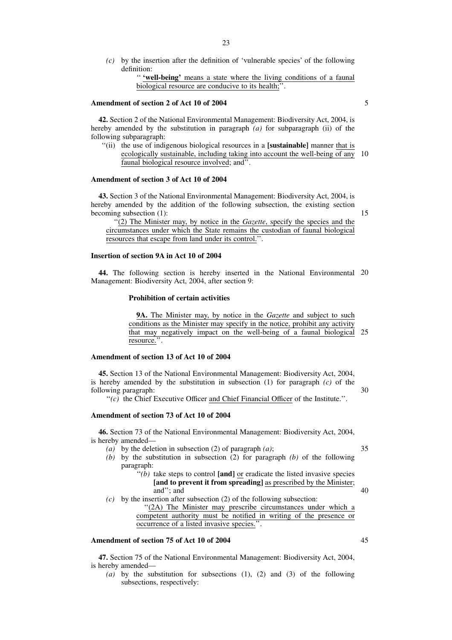*(c)* by the insertion after the definition of 'vulnerable species' of the following definition:

> '' **'well-being'** means a state where the living conditions of a faunal biological resource are conducive to its health;''.

#### **Amendment of section 2 of Act 10 of 2004**

**42.** Section 2 of the National Environmental Management: Biodiversity Act, 2004, is hereby amended by the substitution in paragraph *(a)* for subparagraph (ii) of the following subparagraph:

''(ii) the use of indigenous biological resources in a **[sustainable]** manner that is ecologically sustainable, including taking into account the well-being of any 10 faunal biological resource involved; and''.

## **Amendment of section 3 of Act 10 of 2004**

**43.** Section 3 of the National Environmental Management: Biodiversity Act, 2004, is hereby amended by the addition of the following subsection, the existing section becoming subsection (1):

''(2) The Minister may, by notice in the *Gazette*, specify the species and the circumstances under which the State remains the custodian of faunal biological resources that escape from land under its control.''.

## **Insertion of section 9A in Act 10 of 2004**

**44.** The following section is hereby inserted in the National Environmental 20 Management: Biodiversity Act, 2004, after section 9:

#### **Prohibition of certain activities**

**9A.** The Minister may, by notice in the *Gazette* and subject to such conditions as the Minister may specify in the notice, prohibit any activity that may negatively impact on the well-being of a faunal biological resource.''. 25

## **Amendment of section 13 of Act 10 of 2004**

**45.** Section 13 of the National Environmental Management: Biodiversity Act, 2004, is hereby amended by the substitution in subsection (1) for paragraph *(c)* of the following paragraph:

''*(c)* the Chief Executive Officer and Chief Financial Officer of the Institute.''.

#### **Amendment of section 73 of Act 10 of 2004**

**46.** Section 73 of the National Environmental Management: Biodiversity Act, 2004, is hereby amended—

- *(a)* by the deletion in subsection (2) of paragraph *(a)*;
- *(b)* by the substitution in subsection (2) for paragraph *(b)* of the following paragraph:
	- ''*(b)* take steps to control **[and]** or eradicate the listed invasive species **[and to prevent it from spreading]** as prescribed by the Minister; and''; and 40
- *(c)* by the insertion after subsection (2) of the following subsection:

"(2A) The Minister may prescribe circumstances under which a competent authority must be notified in writing of the presence or occurrence of a listed invasive species.''.

## **Amendment of section 75 of Act 10 of 2004**

**47.** Section 75 of the National Environmental Management: Biodiversity Act, 2004, is hereby amended—

*(a)* by the substitution for subsections (1), (2) and (3) of the following subsections, respectively:

30

35

5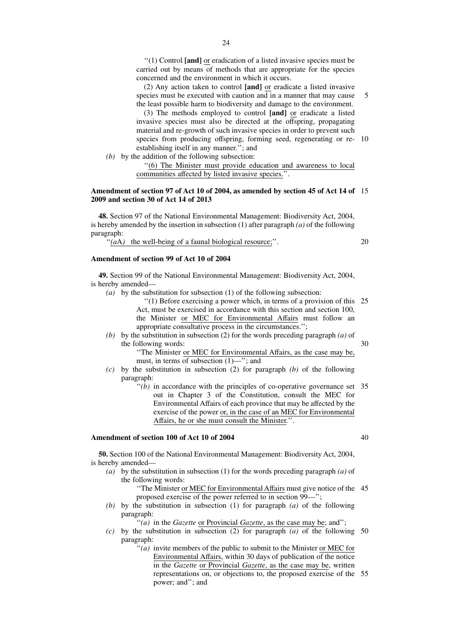''(1) Control **[and]** or eradication of a listed invasive species must be carried out by means of methods that are appropriate for the species concerned and the environment in which it occurs.

(2) Any action taken to control **[and]** or eradicate a listed invasive species must be executed with caution and in a manner that may cause the least possible harm to biodiversity and damage to the environment. 5

(3) The methods employed to control **[and]** or eradicate a listed invasive species must also be directed at the offspring, propagating material and re-growth of such invasive species in order to prevent such species from producing offspring, forming seed, regenerating or re-10 establishing itself in any manner.''; and

*(b)* by the addition of the following subsection:

''(6) The Minister must provide education and awareness to local communities affected by listed invasive species.''.

#### **Amendment of section 97 of Act 10 of 2004, as amended by section 45 of Act 14 of** 15 **2009 and section 30 of Act 14 of 2013**

**48.** Section 97 of the National Environmental Management: Biodiversity Act, 2004, is hereby amended by the insertion in subsection (1) after paragraph *(a)* of the following paragraph:

"(*a*A) the well-being of a faunal biological resource;".

**Amendment of section 99 of Act 10 of 2004**

**49.** Section 99 of the National Environmental Management: Biodiversity Act, 2004, is hereby amended—

- *(a)* by the substitution for subsection (1) of the following subsection:
	- ''(1) Before exercising a power which, in terms of a provision of this 25 Act, must be exercised in accordance with this section and section 100, the Minister or MEC for Environmental Affairs must follow an appropriate consultative process in the circumstances.'';
- *(b)* by the substitution in subsection (2) for the words preceding paragraph *(a)* of the following words: 30

"The Minister or MEC for Environmental Affairs, as the case may be, must, in terms of subsection  $(1)$ —"; and

- *(c)* by the substitution in subsection (2) for paragraph *(b)* of the following paragraph:
	- $''(b)$  in accordance with the principles of co-operative governance set  $35$ out in Chapter 3 of the Constitution, consult the MEC for Environmental Affairs of each province that may be affected by the exercise of the power or, in the case of an MEC for Environmental Affairs, he or she must consult the Minister.''.

## **Amendment of section 100 of Act 10 of 2004**

**50.** Section 100 of the National Environmental Management: Biodiversity Act, 2004, is hereby amended—

- *(a)* by the substitution in subsection (1) for the words preceding paragraph *(a)* of the following words:
	- ''The Minister or MEC for Environmental Affairs must give notice of the 45 proposed exercise of the power referred to in section 99—'';
- *(b)* by the substitution in subsection (1) for paragraph *(a)* of the following paragraph:

''*(a)* in the *Gazette* or Provincial *Gazette*, as the case may be; and'';

- *(c)* by the substitution in subsection (2) for paragraph *(a)* of the following 50 paragraph:
	- $f(a)$  invite members of the public to submit to the Minister or MEC for Environmental Affairs, within 30 days of publication of the notice in the *Gazette* or Provincial *Gazette*, as the case may be, written representations on, or objections to, the proposed exercise of the 55power; and''; and

40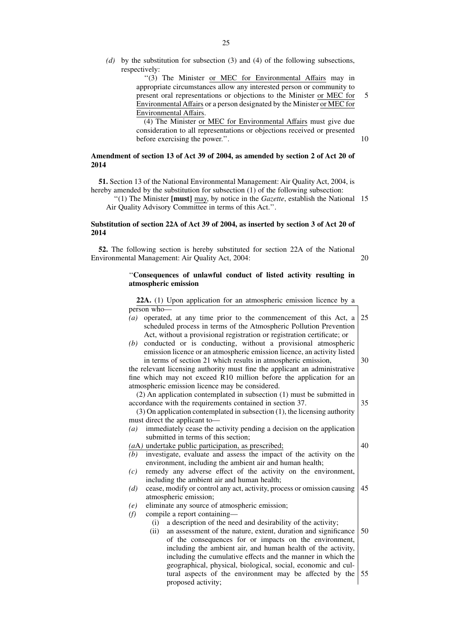*(d)* by the substitution for subsection (3) and (4) of the following subsections, respectively:

> ''(3) The Minister or MEC for Environmental Affairs may in appropriate circumstances allow any interested person or community to present oral representations or objections to the Minister or MEC for Environmental Affairs or a person designated by the Minister or MEC for Environmental Affairs.

(4) The Minister or MEC for Environmental Affairs must give due consideration to all representations or objections received or presented before exercising the power.''.

## **Amendment of section 13 of Act 39 of 2004, as amended by section 2 of Act 20 of 2014**

**51.** Section 13 of the National Environmental Management: Air Quality Act, 2004, is hereby amended by the substitution for subsection (1) of the following subsection:

''(1) The Minister **[must]** may, by notice in the *Gazette*, establish the National 15 Air Quality Advisory Committee in terms of this Act.''.

## **Substitution of section 22A of Act 39 of 2004, as inserted by section 3 of Act 20 of 2014**

**52.** The following section is hereby substituted for section 22A of the National Environmental Management: Air Quality Act, 2004:

## ''**Consequences of unlawful conduct of listed activity resulting in atmospheric emission**

**22A.** (1) Upon application for an atmospheric emission licence by a person who—

- *(a)* operated, at any time prior to the commencement of this Act, a scheduled process in terms of the Atmospheric Pollution Prevention Act, without a provisional registration or registration certificate; or 25
- *(b)* conducted or is conducting, without a provisional atmospheric emission licence or an atmospheric emission licence, an activity listed in terms of section 21 which results in atmospheric emission,

the relevant licensing authority must fine the applicant an administrative fine which may not exceed R10 million before the application for an atmospheric emission licence may be considered.

(2) An application contemplated in subsection (1) must be submitted in accordance with the requirements contained in section 37.

(3) On application contemplated in subsection (1), the licensing authority must direct the applicant to—

*(a)* immediately cease the activity pending a decision on the application submitted in terms of this section;

*(a*A*)* undertake public participation, as prescribed;

40

30

35

- *(b)* investigate, evaluate and assess the impact of the activity on the environment, including the ambient air and human health; *(c)* remedy any adverse effect of the activity on the environment,
- including the ambient air and human health;
- *(d)* cease, modify or control any act, activity, process or omission causing atmospheric emission; 45
- *(e)* eliminate any source of atmospheric emission;

*(f)* compile a report containing—

- (i) a description of the need and desirability of the activity;
- (ii) an assessment of the nature, extent, duration and significance of the consequences for or impacts on the environment, including the ambient air, and human health of the activity, including the cumulative effects and the manner in which the geographical, physical, biological, social, economic and cultural aspects of the environment may be affected by the proposed activity; 50 55

20

5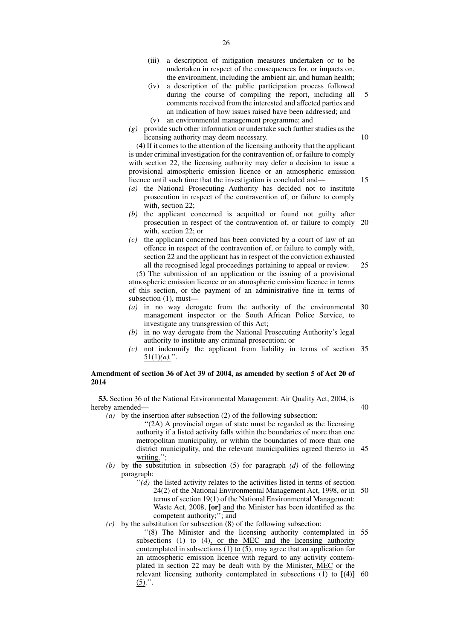- (iii) a description of mitigation measures undertaken or to be undertaken in respect of the consequences for, or impacts on, the environment, including the ambient air, and human health;
- (iv) a description of the public participation process followed during the course of compiling the report, including all comments received from the interested and affected parties and an indication of how issues raised have been addressed; and (v) an environmental management programme; and 5
- *(g)* provide such other information or undertake such further studies as the licensing authority may deem necessary.

(4) If it comes to the attention of the licensing authority that the applicant is under criminal investigation for the contravention of, or failure to comply with section 22, the licensing authority may defer a decision to issue a provisional atmospheric emission licence or an atmospheric emission licence until such time that the investigation is concluded and—

- *(a)* the National Prosecuting Authority has decided not to institute prosecution in respect of the contravention of, or failure to comply with, section 22;
- *(b)* the applicant concerned is acquitted or found not guilty after prosecution in respect of the contravention of, or failure to comply with, section 22; or 20
- *(c)* the applicant concerned has been convicted by a court of law of an offence in respect of the contravention of, or failure to comply with, section 22 and the applicant has in respect of the conviction exhausted all the recognised legal proceedings pertaining to appeal or review. 25

(5) The submission of an application or the issuing of a provisional atmospheric emission licence or an atmospheric emission licence in terms of this section, or the payment of an administrative fine in terms of subsection (1), must—

- *(a)* in no way derogate from the authority of the environmental management inspector or the South African Police Service, to investigate any transgression of this Act; 30
- *(b)* in no way derogate from the National Prosecuting Authority's legal authority to institute any criminal prosecution; or
- *(c)* not indemnify the applicant from liability in terms of section 35  $51(1)(a)$ .".

## **Amendment of section 36 of Act 39 of 2004, as amended by section 5 of Act 20 of 2014**

**53.** Section 36 of the National Environmental Management: Air Quality Act, 2004, is hereby amended—

*(a)* by the insertion after subsection (2) of the following subsection:

40

''(2A) A provincial organ of state must be regarded as the licensing authority if a listed activity falls within the boundaries of more than one metropolitan municipality, or within the boundaries of more than one district municipality, and the relevant municipalities agreed thereto in 45 writing.'';

- *(b)* by the substitution in subsection (5) for paragraph *(d)* of the following paragraph:
	- ''*(d)* the listed activity relates to the activities listed in terms of section 24(2) of the National Environmental Management Act, 1998, or in terms of section 19(1) of the National Environmental Management: Waste Act, 2008, **[or]** and the Minister has been identified as the competent authority;''; and 50
- *(c)* by the substitution for subsection (8) of the following subsection:
	- "(8) The Minister and the licensing authority contemplated in 55 subsections (1) to (4), or the MEC and the licensing authority contemplated in subsections  $(1)$  to  $(5)$ , may agree that an application for an atmospheric emission licence with regard to any activity contemplated in section 22 may be dealt with by the Minister, MEC or the relevant licensing authority contemplated in subsections (1) to **[(4)]** 60 $(5)$ .".

10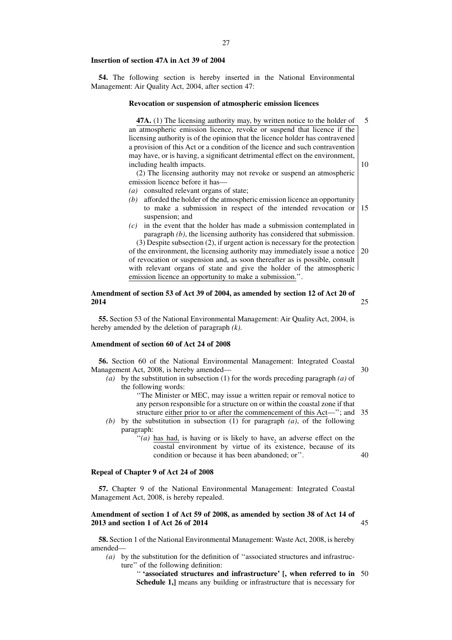#### **Insertion of section 47A in Act 39 of 2004**

**54.** The following section is hereby inserted in the National Environmental Management: Air Quality Act, 2004, after section 47:

#### **Revocation or suspension of atmospheric emission licences**

**47A.** (1) The licensing authority may, by written notice to the holder of an atmospheric emission licence, revoke or suspend that licence if the licensing authority is of the opinion that the licence holder has contravened a provision of this Act or a condition of the licence and such contravention may have, or is having, a significant detrimental effect on the environment, including health impacts. 5 10

(2) The licensing authority may not revoke or suspend an atmospheric emission licence before it has—

- *(a)* consulted relevant organs of state;
- *(b)* afforded the holder of the atmospheric emission licence an opportunity to make a submission in respect of the intended revocation or suspension; and 15
- *(c)* in the event that the holder has made a submission contemplated in paragraph *(b)*, the licensing authority has considered that submission. (3) Despite subsection (2), if urgent action is necessary for the protection

of the environment, the licensing authority may immediately issue a notice of revocation or suspension and, as soon thereafter as is possible, consult with relevant organs of state and give the holder of the atmospheric emission licence an opportunity to make a submission.''. 20

#### **Amendment of section 53 of Act 39 of 2004, as amended by section 12 of Act 20 of 2014** 25

**55.** Section 53 of the National Environmental Management: Air Quality Act, 2004, is hereby amended by the deletion of paragraph *(k)*.

## **Amendment of section 60 of Act 24 of 2008**

**56.** Section 60 of the National Environmental Management: Integrated Coastal Management Act, 2008, is hereby amended— 30

- *(a)* by the substitution in subsection (1) for the words preceding paragraph *(a)* of the following words:
	- ''The Minister or MEC, may issue a written repair or removal notice to any person responsible for a structure on or within the coastal zone if that structure either prior to or after the commencement of this Act—''; and 35
- *(b)* by the substitution in subsection (1) for paragraph *(a)*, of the following paragraph:
	- ''*(a)* has had, is having or is likely to have, an adverse effect on the coastal environment by virtue of its existence, because of its condition or because it has been abandoned; or''. 40

## **Repeal of Chapter 9 of Act 24 of 2008**

**57.** Chapter 9 of the National Environmental Management: Integrated Coastal Management Act, 2008, is hereby repealed.

## **Amendment of section 1 of Act 59 of 2008, as amended by section 38 of Act 14 of 2013 and section 1 of Act 26 of 2014**

**58.** Section 1 of the National Environmental Management: Waste Act, 2008, is hereby amended—

*(a)* by the substitution for the definition of ''associated structures and infrastructure'' of the following definition:

> '' **'associated structures and infrastructure' [, when referred to in** 50**Schedule 1,]** means any building or infrastructure that is necessary for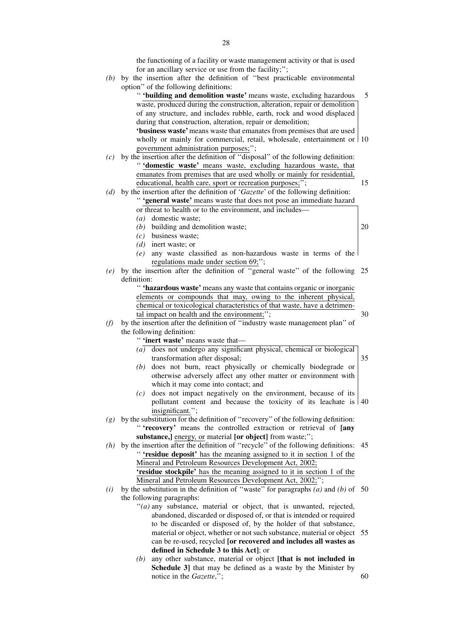the functioning of a facility or waste management activity or that is used for an ancillary service or use from the facility;'';

*(b)* by the insertion after the definition of ''best practicable environmental option'' of the following definitions:

'' **'building and demolition waste'** means waste, excluding hazardous waste, produced during the construction, alteration, repair or demolition of any structure, and includes rubble, earth, rock and wood displaced during that construction, alteration, repair or demolition; **'business waste'**means waste that emanates from premises that are used wholly or mainly for commercial, retail, wholesale, entertainment or 10 5

government administration purposes;'';

- *(c)* by the insertion after the definition of ''disposal'' of the following definition: '' **'domestic waste'** means waste, excluding hazardous waste, that emanates from premises that are used wholly or mainly for residential, educational, health care, sport or recreation purposes;";
- *(d)* by the insertion after the definition of '*Gazette*' of the following definition: '' **'general waste'** means waste that does not pose an immediate hazard or threat to health or to the environment, and includes—
	- *(a)* domestic waste;
	- *(b)* building and demolition waste;

*(c)* business waste;

- *(d)* inert waste; or
- *(e)* any waste classified as non-hazardous waste in terms of the regulations made under section 69;'';
- *(e)* by the insertion after the definition of ''general waste'' of the following 25 definition:

'' **'hazardous waste'** means any waste that contains organic or inorganic elements or compounds that may, owing to the inherent physical, chemical or toxicological characteristics of that waste, have a detrimental impact on health and the environment;";

*(f)* by the insertion after the definition of ''industry waste management plan'' of the following definition:

'' **'inert waste'** means waste that—

- $(a)$  does not undergo any significant physical, chemical or biological transformation after disposal; 35
- *(b)* does not burn, react physically or chemically biodegrade or otherwise adversely affect any other matter or environment with which it may come into contact; and
- *(c)* does not impact negatively on the environment, because of its pollutant content and because the toxicity of its leachate is 40 insignificant.'';
- *(g)* by the substitution for the definition of ''recovery'' of the following definition: '' **'recovery'** means the controlled extraction or retrieval of **[any substance,]** energy, or material **[or object]** from waste;'';

*(h)* by the insertion after the definition of ''recycle'' of the following definitions: 45 '' **'residue deposit'** has the meaning assigned to it in section 1 of the Mineral and Petroleum Resources Development Act, 2002; **'residue stockpile'** has the meaning assigned to it in section 1 of the Mineral and Petroleum Resources Development Act, 2002;'';

- $(i)$  by the substitution in the definition of "waste" for paragraphs  $(a)$  and  $(b)$  of 50 the following paragraphs:
	- "(a) any substance, material or object, that is unwanted, rejected, abandoned, discarded or disposed of, or that is intended or required to be discarded or disposed of, by the holder of that substance, material or object, whether or not such substance, material or object 55 can be re-used, recycled **[or recovered and includes all wastes as defined in Schedule 3 to this Act]**; or
	- *(b)* any other substance, material or object **[that is not included in Schedule 3** that may be defined as a waste by the Minister by notice in the *Gazette*,'';

20

15

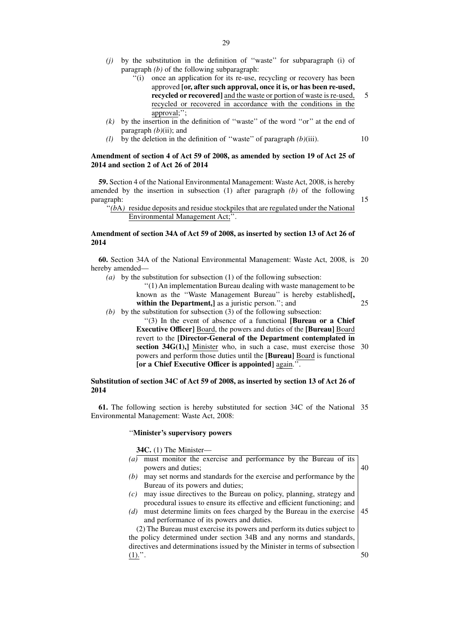- *(j)* by the substitution in the definition of ''waste'' for subparagraph (i) of paragraph *(b)* of the following subparagraph:
	- ''(i) once an application for its re-use, recycling or recovery has been approved **[or, after such approval, once it is, or has been re-used, recycled or recovered]** and the waste or portion of waste is re-used, recycled or recovered in accordance with the conditions in the approval;''; 5
- *(k)* by the insertion in the definition of ''waste'' of the word ''or'' at the end of paragraph *(b)*(ii); and
- *(l)* by the deletion in the definition of ''waste'' of paragraph *(b)*(iii).

## **Amendment of section 4 of Act 59 of 2008, as amended by section 19 of Act 25 of 2014 and section 2 of Act 26 of 2014**

**59.** Section 4 of the National Environmental Management: Waste Act, 2008, is hereby amended by the insertion in subsection (1) after paragraph *(b)* of the following paragraph:

15

"(bA) residue deposits and residue stockpiles that are regulated under the National Environmental Management Act;''.

## **Amendment of section 34A of Act 59 of 2008, as inserted by section 13 of Act 26 of 2014**

**60.** Section 34A of the National Environmental Management: Waste Act, 2008, is 20 hereby amended—

*(a)* by the substitution for subsection (1) of the following subsection:

''(1) An implementation Bureau dealing with waste management to be known as the ''Waste Management Bureau'' is hereby established**[,** within the Department,] as a juristic person."; and

25

*(b)* by the substitution for subsection (3) of the following subsection:

''(3) In the event of absence of a functional **[Bureau or a Chief Executive Officer]** Board, the powers and duties of the **[Bureau]** Board revert to the **[Director-General of the Department contemplated in section 34G(1),]** Minister who, in such a case, must exercise those 30 powers and perform those duties until the **[Bureau]** Board is functional **[or a Chief Executive Officer is appointed]** again.''.

#### **Substitution of section 34C of Act 59 of 2008, as inserted by section 13 of Act 26 of 2014**

**61.** The following section is hereby substituted for section 34C of the National 35 Environmental Management: Waste Act, 2008:

#### ''**Minister's supervisory powers**

**34C.** (1) The Minister—

- *(a)* must monitor the exercise and performance by the Bureau of its powers and duties;
- *(b)* may set norms and standards for the exercise and performance by the Bureau of its powers and duties;
- *(c)* may issue directives to the Bureau on policy, planning, strategy and procedural issues to ensure its effective and efficient functioning; and
- *(d)* must determine limits on fees charged by the Bureau in the exercise and performance of its powers and duties. 45

(2) The Bureau must exercise its powers and perform its duties subject to the policy determined under section 34B and any norms and standards, directives and determinations issued by the Minister in terms of subsection  $(1).$ ".

50

40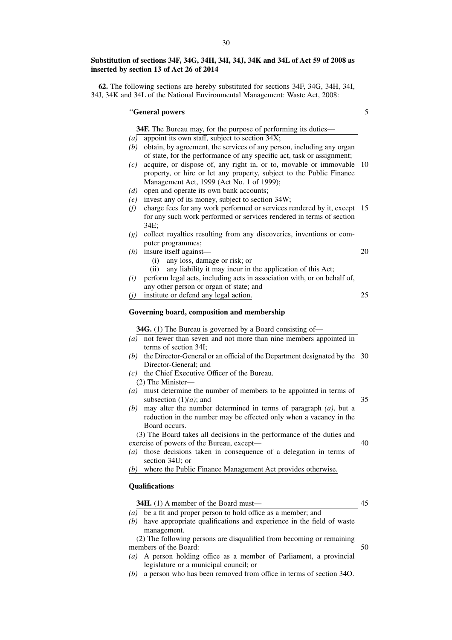# **Substitution of sections 34F, 34G, 34H, 34I, 34J, 34K and 34L of Act 59 of 2008 as inserted by section 13 of Act 26 of 2014**

**62.** The following sections are hereby substituted for sections 34F, 34G, 34H, 34I, 34J, 34K and 34L of the National Environmental Management: Waste Act, 2008:

# ''**General powers**

5

|     | <b>34F.</b> The Bureau may, for the purpose of performing its duties—    |     |
|-----|--------------------------------------------------------------------------|-----|
| (a) | appoint its own staff, subject to section 34X;                           |     |
| (b) | obtain, by agreement, the services of any person, including any organ    |     |
|     | of state, for the performance of any specific act, task or assignment;   |     |
| (c) | acquire, or dispose of, any right in, or to, movable or immovable        | 10  |
|     | property, or hire or let any property, subject to the Public Finance     |     |
|     | Management Act, 1999 (Act No. 1 of 1999);                                |     |
| (d) | open and operate its own bank accounts;                                  |     |
| (e) | invest any of its money, subject to section 34W;                         |     |
| (f) | charge fees for any work performed or services rendered by it, except    | 15  |
|     | for any such work performed or services rendered in terms of section     |     |
|     | 34E;                                                                     |     |
| (g) | collect royalties resulting from any discoveries, inventions or com-     |     |
|     | puter programmes;                                                        |     |
| (h) | insure itself against-                                                   | 20  |
|     | any loss, damage or risk; or<br>(i)                                      |     |
|     | any liability it may incur in the application of this Act;<br>(ii)       |     |
| (i) | perform legal acts, including acts in association with, or on behalf of, |     |
|     | any other person or organ of state; and                                  |     |
| (j) | institute or defend any legal action.                                    | 25. |
|     |                                                                          |     |
|     | Governing board, composition and membership                              |     |
|     | 34G. (1) The Bureau is governed by a Board consisting of—                |     |
|     | $(a)$ not fewer than seven and not more than nine members appointed in   |     |
|     | terms of section 34I:                                                    |     |
| (b) | the Director-General or an official of the Department designated by the  | 30  |
|     | Director-General; and                                                    |     |
| (c) | the Chief Executive Officer of the Bureau.                               |     |
|     | (2) The Minister-                                                        |     |
| (a) | must determine the number of members to be appointed in terms of         |     |
|     | subsection $(1)(a)$ ; and                                                | 35  |
| (b) | may alter the number determined in terms of paragraph $(a)$ , but a      |     |
|     | reduction in the number may be effected only when a vacancy in the       |     |
|     | Board occurs.                                                            |     |
|     | (3) The Board takes all decisions in the performance of the duties and   |     |
|     | exercise of powers of the Bureau, except-                                | 40  |
| (a) | those decisions taken in consequence of a delegation in terms of         |     |
|     | section 34U; or                                                          |     |
| (b) | where the Public Finance Management Act provides otherwise.              |     |

## **Qualifications**

| <b>34H.</b> (1) A member of the Board must—                                 |  |
|-----------------------------------------------------------------------------|--|
| be a fit and proper person to hold office as a member; and<br>(a)           |  |
| have appropriate qualifications and experience in the field of waste<br>(b) |  |
| management.                                                                 |  |
| (2) The following persons are disqualified from becoming or remaining       |  |
| members of the Board:                                                       |  |
| A person holding office as a member of Parliament, a provincial<br>(a)      |  |
| legislature or a municipal council; or                                      |  |
| a person who has been removed from office in terms of section 340.<br>(b)   |  |
|                                                                             |  |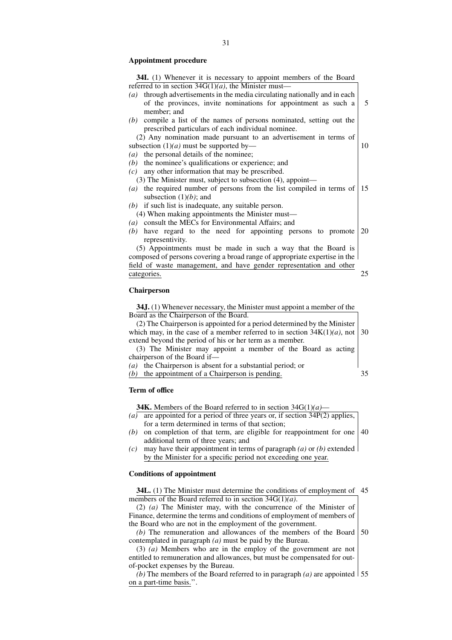#### **Appointment procedure**

| 34I. (1) Whenever it is necessary to appoint members of the Board            |    |
|------------------------------------------------------------------------------|----|
| referred to in section $34G(1)(a)$ , the Minister must—                      |    |
| $(a)$ through advertisements in the media circulating nationally and in each |    |
| of the provinces, invite nominations for appointment as such a               | 5  |
| member; and                                                                  |    |
| compile a list of the names of persons nominated, setting out the<br>(b)     |    |
| prescribed particulars of each individual nominee.                           |    |
| (2) Any nomination made pursuant to an advertisement in terms of             |    |
| subsection $(1)(a)$ must be supported by—                                    | 10 |
| the personal details of the nominee;<br>(a)                                  |    |
| the nominee's qualifications or experience; and<br>(b)                       |    |
| any other information that may be prescribed.<br>(c)                         |    |
| (3) The Minister must, subject to subsection (4), appoint—                   |    |
| $(a)$ the required number of persons from the list compiled in terms of      | 15 |
| subsection $(1)(b)$ ; and                                                    |    |
| $(b)$ if such list is inadequate, any suitable person.                       |    |
| (4) When making appointments the Minister must—                              |    |
| (a) consult the MECs for Environmental Affairs; and                          |    |
| have regard to the need for appointing persons to promote<br>(b)             | 20 |
| representivity.                                                              |    |
| (5) Appointments must be made in such a way that the Board is                |    |
| composed of persons covering a broad range of appropriate expertise in the   |    |
| field of waste management, and have gender representation and other          |    |
| categories.                                                                  | 25 |
|                                                                              |    |
| Chairperson                                                                  |    |
|                                                                              |    |
| 34J. (1) Whenever necessary, the Minister must appoint a member of the       |    |
| Board as the Chairperson of the Board.                                       |    |
| (2) The Chairperson is appointed for a period determined by the Minister     |    |
| which may, in the case of a member referred to in section $34K(1)(a)$ , not  | 30 |
| extend beyond the period of his or her term as a member.                     |    |

(3) The Minister may appoint a member of the Board as acting chairperson of the Board if— *(a)* the Chairperson is absent for a substantial period; or

*(b)* the appointment of a Chairperson is pending. 35

#### **Term of office**

**34K.** Members of the Board referred to in section 34G(1)*(a)*—

- *(a)* are appointed for a period of three years or, if section 34P(2) applies, for a term determined in terms of that section;
- (b) on completion of that term, are eligible for reappointment for one  $\vert 40 \rangle$ additional term of three years; and
- *(c)* may have their appointment in terms of paragraph *(a)* or *(b)* extended by the Minister for a specific period not exceeding one year.

## **Conditions of appointment**

**34L.** (1) The Minister must determine the conditions of employment of 45 members of the Board referred to in section 34G(1)*(a)*.

(2) *(a)* The Minister may, with the concurrence of the Minister of Finance, determine the terms and conditions of employment of members of the Board who are not in the employment of the government.

*(b)* The remuneration and allowances of the members of the Board contemplated in paragraph *(a)* must be paid by the Bureau. 50

(3) *(a)* Members who are in the employ of the government are not entitled to remuneration and allowances, but must be compensated for outof-pocket expenses by the Bureau.

*(b)* The members of the Board referred to in paragraph *(a)* are appointed 55on a part-time basis.''.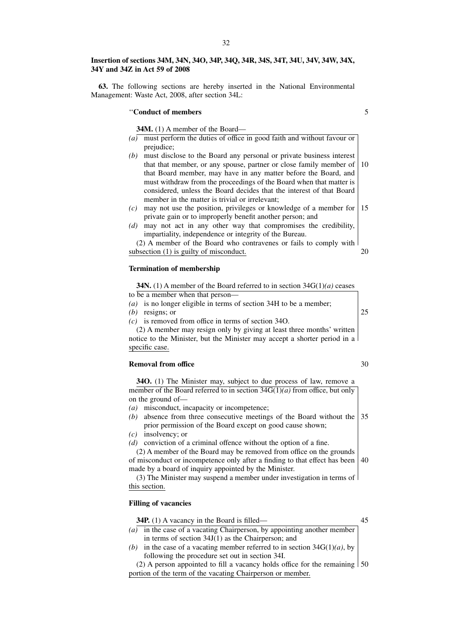#### **Insertion of sections 34M, 34N, 34O, 34P, 34Q, 34R, 34S, 34T, 34U, 34V, 34W, 34X, 34Y and 34Z in Act 59 of 2008**

**63.** The following sections are hereby inserted in the National Environmental Management: Waste Act, 2008, after section 34L:

## ''**Conduct of members**

**34M.** (1) A member of the Board—

- *(a)* must perform the duties of office in good faith and without favour or prejudice;
- *(b)* must disclose to the Board any personal or private business interest that that member, or any spouse, partner or close family member of that Board member, may have in any matter before the Board, and must withdraw from the proceedings of the Board when that matter is considered, unless the Board decides that the interest of that Board member in the matter is trivial or irrelevant; 10
- $(c)$  may not use the position, privileges or knowledge of a member for 15 private gain or to improperly benefit another person; and
- *(d)* may not act in any other way that compromises the credibility, impartiality, independence or integrity of the Bureau.
- (2) A member of the Board who contravenes or fails to comply with subsection (1) is guilty of misconduct. 20

#### **Termination of membership**

**34N.** (1) A member of the Board referred to in section 34G(1)*(a)* ceases

- to be a member when that person—
- *(a)* is no longer eligible in terms of section 34H to be a member;
- *(b)* resigns; or
- *(c)* is removed from office in terms of section 34O.

(2) A member may resign only by giving at least three months' written notice to the Minister, but the Minister may accept a shorter period in a specific case.

#### **Removal from office**

**34O.** (1) The Minister may, subject to due process of law, remove a member of the Board referred to in section 34G(1)*(a)* from office, but only on the ground of—

- *(a)* misconduct, incapacity or incompetence;
- *(b)* absence from three consecutive meetings of the Board without the 35 prior permission of the Board except on good cause shown;
- *(c)* insolvency; or
- *(d)* conviction of a criminal offence without the option of a fine.

(2) A member of the Board may be removed from office on the grounds of misconduct or incompetence only after a finding to that effect has been made by a board of inquiry appointed by the Minister. 40

(3) The Minister may suspend a member under investigation in terms of this section.

## **Filling of vacancies**

| <b>34P.</b> (1) A vacancy in the Board is filled—                                  |  |
|------------------------------------------------------------------------------------|--|
| (a) in the case of a vacating Chairperson, by appointing another member            |  |
| in terms of section $34J(1)$ as the Chairperson; and                               |  |
| (b) in the case of a vacating member referred to in section $34G(1)(a)$ , by       |  |
| following the procedure set out in section 34I.                                    |  |
| (2) A person appointed to fill a vacancy holds office for the remaining $\vert$ 50 |  |
| portion of the term of the vacating Chairperson or member.                         |  |

30

25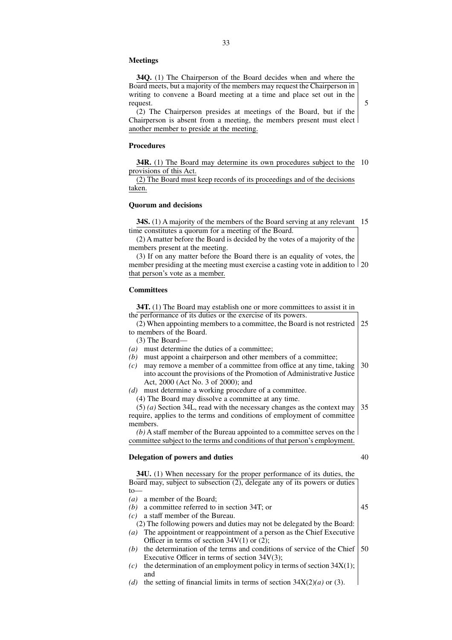#### **Meetings**

**34Q.** (1) The Chairperson of the Board decides when and where the Board meets, but a majority of the members may request the Chairperson in writing to convene a Board meeting at a time and place set out in the request.

(2) The Chairperson presides at meetings of the Board, but if the Chairperson is absent from a meeting, the members present must elect another member to preside at the meeting.

## **Procedures**

**34R.** (1) The Board may determine its own procedures subject to the 10 provisions of this Act.

(2) The Board must keep records of its proceedings and of the decisions taken.

#### **Quorum and decisions**

**34S.** (1) A majority of the members of the Board serving at any relevant 15 time constitutes a quorum for a meeting of the Board.

(2) A matter before the Board is decided by the votes of a majority of the members present at the meeting.

(3) If on any matter before the Board there is an equality of votes, the member presiding at the meeting must exercise a casting vote in addition to 20 that person's vote as a member.

#### **Committees**

**34T.** (1) The Board may establish one or more committees to assist it in the performance of its duties or the exercise of its powers.

(2) When appointing members to a committee, the Board is not restricted to members of the Board. 25

- (3) The Board—
- *(a)* must determine the duties of a committee;
- *(b)* must appoint a chairperson and other members of a committee;
- *(c)* may remove a member of a committee from office at any time, taking into account the provisions of the Promotion of Administrative Justice Act, 2000 (Act No. 3 of 2000); and 30
- *(d)* must determine a working procedure of a committee.
	- (4) The Board may dissolve a committee at any time.

(5) *(a)* Section 34L, read with the necessary changes as the context may require, applies to the terms and conditions of employment of committee members. 35

*(b)* A staff member of the Bureau appointed to a committee serves on the committee subject to the terms and conditions of that person's employment.

## **Delegation of powers and duties**

**34U.** (1) When necessary for the proper performance of its duties, the Board may, subject to subsection (2), delegate any of its powers or duties  $t_0$ 

- *(a)* a member of the Board;
- *(b)* a committee referred to in section 34T; or
- *(c)* a staff member of the Bureau.

(2) The following powers and duties may not be delegated by the Board: *(a)* The appointment or reappointment of a person as the Chief Executive Officer in terms of section  $34V(1)$  or  $(2)$ ;

- *(b)* the determination of the terms and conditions of service of the Chief 50Executive Officer in terms of section 34V(3);
- *(c)* the determination of an employment policy in terms of section 34X(1); and
- *(d)* the setting of financial limits in terms of section 34X(2)*(a)* or (3).

40

- 
- 45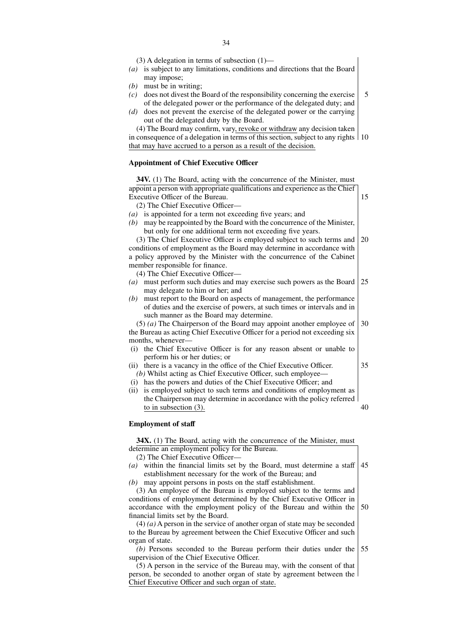(3) A delegation in terms of subsection (1)—

- *(a)* is subject to any limitations, conditions and directions that the Board may impose;
- *(b)* must be in writing;
- *(c)* does not divest the Board of the responsibility concerning the exercise of the delegated power or the performance of the delegated duty; and 5
- *(d)* does not prevent the exercise of the delegated power or the carrying out of the delegated duty by the Board.

(4) The Board may confirm, vary, revoke or withdraw any decision taken in consequence of a delegation in terms of this section, subject to any rights 10 that may have accrued to a person as a result of the decision.

## **Appointment of Chief Executive Officer**

| 34V. (1) The Board, acting with the concurrence of the Minister, must        |    |
|------------------------------------------------------------------------------|----|
| appoint a person with appropriate qualifications and experience as the Chief |    |
| Executive Officer of the Bureau.                                             | 15 |
| (2) The Chief Executive Officer-                                             |    |
| is appointed for a term not exceeding five years; and<br>(a)                 |    |
| may be reappointed by the Board with the concurrence of the Minister,<br>(b) |    |
| but only for one additional term not exceeding five years.                   |    |
| (3) The Chief Executive Officer is employed subject to such terms and        | 20 |
| conditions of employment as the Board may determine in accordance with       |    |
| a policy approved by the Minister with the concurrence of the Cabinet        |    |
| member responsible for finance.                                              |    |
| (4) The Chief Executive Officer-                                             |    |
| (a) must perform such duties and may exercise such powers as the Board       | 25 |
| may delegate to him or her; and                                              |    |
| must report to the Board on aspects of management, the performance<br>(b)    |    |
| of duties and the exercise of powers, at such times or intervals and in      |    |
| such manner as the Board may determine.                                      |    |
| $(5)$ (a) The Chairperson of the Board may appoint another employee of       | 30 |
| the Bureau as acting Chief Executive Officer for a period not exceeding six  |    |
| months, whenever-                                                            |    |
| the Chief Executive Officer is for any reason absent or unable to<br>(i)     |    |
| perform his or her duties; or                                                |    |
| there is a vacancy in the office of the Chief Executive Officer.<br>(ii)     | 35 |
| (b) Whilst acting as Chief Executive Officer, such employee—                 |    |
| (i) has the powers and duties of the Chief Executive Officer; and            |    |
| is employed subject to such terms and conditions of employment as<br>(ii)    |    |
| the Chairperson may determine in accordance with the policy referred         |    |
| to in subsection $(3)$ .                                                     | 40 |

#### **Employment of staff**

**34X.** (1) The Board, acting with the concurrence of the Minister, must determine an employment policy for the Bureau.

- (2) The Chief Executive Officer—
- *(a)* within the financial limits set by the Board, must determine a staff establishment necessary for the work of the Bureau; and 45

*(b)* may appoint persons in posts on the staff establishment.

(3) An employee of the Bureau is employed subject to the terms and conditions of employment determined by the Chief Executive Officer in accordance with the employment policy of the Bureau and within the financial limits set by the Board. 50

(4) *(a)* A person in the service of another organ of state may be seconded to the Bureau by agreement between the Chief Executive Officer and such organ of state.

*(b)* Persons seconded to the Bureau perform their duties under the supervision of the Chief Executive Officer. 55

(5) A person in the service of the Bureau may, with the consent of that person, be seconded to another organ of state by agreement between the Chief Executive Officer and such organ of state.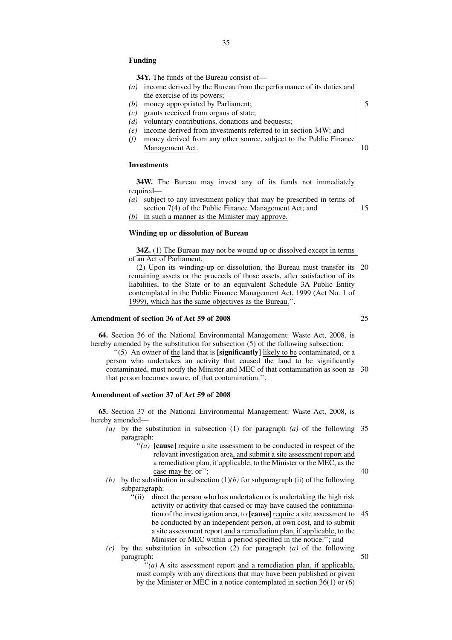#### **Funding**

**34Y.** The funds of the Bureau consist of—

- *(a)* income derived by the Bureau from the performance of its duties and the exercise of its powers;
- *(b)* money appropriated by Parliament;
- *(c)* grants received from organs of state;
- *(d)* voluntary contributions, donations and bequests;
- *(e)* income derived from investments referred to in section 34W; and
- *(f)* money derived from any other source, subject to the Public Finance Management Act. 10

## **Investments**

**34W.** The Bureau may invest any of its funds not immediately required—

*(a)* subject to any investment policy that may be prescribed in terms of section 7(4) of the Public Finance Management Act; and *(b)* in such a manner as the Minister may approve. 15

#### **Winding up or dissolution of Bureau**

**34Z.** (1) The Bureau may not be wound up or dissolved except in terms of an Act of Parliament.

(2) Upon its winding-up or dissolution, the Bureau must transfer its remaining assets or the proceeds of those assets, after satisfaction of its liabilities, to the State or to an equivalent Schedule 3A Public Entity contemplated in the Public Finance Management Act, 1999 (Act No. 1 of 1999), which has the same objectives as the Bureau.''. 20

#### **Amendment of section 36 of Act 59 of 2008**

**64.** Section 36 of the National Environmental Management: Waste Act, 2008, is hereby amended by the substitution for subsection (5) of the following subsection:

''(5) An owner of the land that is **[significantly]** likely to be contaminated, or a person who undertakes an activity that caused the land to be significantly contaminated, must notify the Minister and MEC of that contamination as soon as 30 that person becomes aware, of that contamination.''.

#### **Amendment of section 37 of Act 59 of 2008**

**65.** Section 37 of the National Environmental Management: Waste Act, 2008, is hereby amended—

- *(a)* by the substitution in subsection (1) for paragraph *(a)* of the following 35 paragraph:
	- ''*(a)* **[cause]** require a site assessment to be conducted in respect of the relevant investigation area, and submit a site assessment report and a remediation plan, if applicable, to the Minister or the MEC, as the case may be; or'';
- *(b)* by the substitution in subsection  $(1)(b)$  for subparagraph *(ii)* of the following subparagraph:
	- ''(ii) direct the person who has undertaken or is undertaking the high risk activity or activity that caused or may have caused the contamination of the investigation area, to **[cause]** require a site assessment to 45 be conducted by an independent person, at own cost, and to submit a site assessment report and a remediation plan, if applicable, to the Minister or MEC within a period specified in the notice.''; and
- *(c)* by the substitution in subsection (2) for paragraph *(a)* of the following paragraph:

''*(a)* A site assessment report and a remediation plan, if applicable, must comply with any directions that may have been published or given by the Minister or MEC in a notice contemplated in section 36(1) or (6)

25

5

40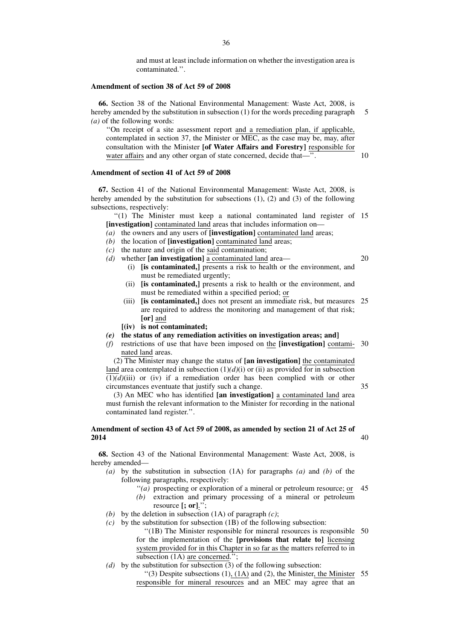and must at least include information on whether the investigation area is contaminated.''.

## **Amendment of section 38 of Act 59 of 2008**

**66.** Section 38 of the National Environmental Management: Waste Act, 2008, is hereby amended by the substitution in subsection (1) for the words preceding paragraph *(a)* of the following words: 5

''On receipt of a site assessment report and a remediation plan, if applicable, contemplated in section 37, the Minister or MEC, as the case may be, may, after consultation with the Minister **[of Water Affairs and Forestry]** responsible for water affairs and any other organ of state concerned, decide that—".

## **Amendment of section 41 of Act 59 of 2008**

**67.** Section 41 of the National Environmental Management: Waste Act, 2008, is hereby amended by the substitution for subsections (1), (2) and (3) of the following subsections, respectively:

"(1) The Minister must keep a national contaminated land register of 15 **[investigation]** contaminated land areas that includes information on—

- *(a)* the owners and any users of **[investigation]** contaminated land areas;
- *(b)* the location of **[investigation]** contaminated land areas;
- *(c)* the nature and origin of the said contamination;
- *(d)* whether **[an investigation]** a contaminated land area—
	- (i) **[is contaminated,]** presents a risk to health or the environment, and must be remediated urgently;
	- (ii) **[is contaminated,]** presents a risk to health or the environment, and must be remediated within a specified period; or
	- (iii) **[is contaminated,]** does not present an immediate risk, but measures 25 are required to address the monitoring and management of that risk; **[or]** and
	- **[(iv) is not contaminated;**
- *(e)* **the status of any remediation activities on investigation areas; and]**
- *(f)* restrictions of use that have been imposed on the **[investigation]** contami-30 nated land areas.

(2) The Minister may change the status of **[an investigation]** the contaminated land area contemplated in subsection  $(1)(d)(i)$  or  $(ii)$  as provided for in subsection  $\overline{(1)}(d)$ (iii) or (iv) if a remediation order has been complied with or other circumstances eventuate that justify such a change.

35

10

20

(3) An MEC who has identified **[an investigation]** a contaminated land area must furnish the relevant information to the Minister for recording in the national contaminated land register.''.

#### **Amendment of section 43 of Act 59 of 2008, as amended by section 21 of Act 25 of 2014** 40

**68.** Section 43 of the National Environmental Management: Waste Act, 2008, is hereby amended—

- *(a)* by the substitution in subsection (1A) for paragraphs *(a)* and *(b)* of the following paragraphs, respectively:
	- ''*(a)* prospecting or exploration of a mineral or petroleum resource; or 45
	- *(b)* extraction and primary processing of a mineral or petroleum resource **[; or]**.'';
- *(b)* by the deletion in subsection  $(1A)$  of paragraph  $(c)$ ;
- *(c)* by the substitution for subsection (1B) of the following subsection: "(1B) The Minister responsible for mineral resources is responsible 50
	- for the implementation of the **[provisions that relate to]** licensing system provided for in this Chapter in so far as the matters referred to in subsection (1A) are concerned.":
- *(d)* by the substitution for subsection (3) of the following subsection:

 $\lq(3)$  Despite subsections (1), (1A) and (2), the Minister, the Minister 55 responsible for mineral resources and an MEC may agree that an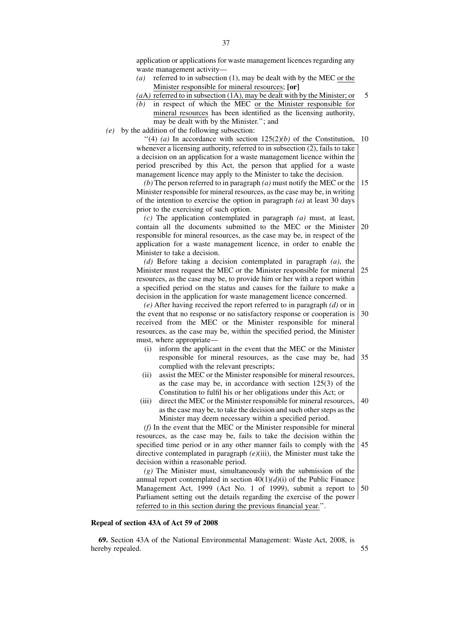application or applications for waste management licences regarding any waste management activity—

*(a)* referred to in subsection (1), may be dealt with by the MEC or the Minister responsible for mineral resources; **[or]**

*(a*A*)* referred to in subsection (1A), may be dealt with by the Minister; or 5

- *(b)* in respect of which the MEC or the Minister responsible for mineral resources has been identified as the licensing authority, may be dealt with by the Minister.''; and
- *(e)* by the addition of the following subsection:

 $(4)$  (a) In accordance with section  $125(2)(b)$  of the Constitution, whenever a licensing authority, referred to in subsection (2), fails to take a decision on an application for a waste management licence within the period prescribed by this Act, the person that applied for a waste management licence may apply to the Minister to take the decision. 10

*(b)* The person referred to in paragraph *(a)* must notify the MEC or the Minister responsible for mineral resources, as the case may be, in writing of the intention to exercise the option in paragraph *(a)* at least 30 days prior to the exercising of such option. 15

*(c)* The application contemplated in paragraph *(a)* must, at least, contain all the documents submitted to the MEC or the Minister responsible for mineral resources, as the case may be, in respect of the application for a waste management licence, in order to enable the Minister to take a decision. 20

*(d)* Before taking a decision contemplated in paragraph *(a)*, the Minister must request the MEC or the Minister responsible for mineral resources, as the case may be, to provide him or her with a report within a specified period on the status and causes for the failure to make a decision in the application for waste management licence concerned. 25

*(e)* After having received the report referred to in paragraph *(d)* or in the event that no response or no satisfactory response or cooperation is received from the MEC or the Minister responsible for mineral resources, as the case may be, within the specified period, the Minister must, where appropriate— 30

- (i) inform the applicant in the event that the MEC or the Minister responsible for mineral resources, as the case may be, had complied with the relevant prescripts; 35
- (ii) assist the MEC or the Minister responsible for mineral resources, as the case may be, in accordance with section 125(3) of the Constitution to fulfil his or her obligations under this Act; or
- (iii) direct the MEC or the Minister responsible for mineral resources, as the case may be, to take the decision and such other steps as the Minister may deem necessary within a specified period. 40

*(f)* In the event that the MEC or the Minister responsible for mineral resources, as the case may be, fails to take the decision within the specified time period or in any other manner fails to comply with the directive contemplated in paragraph *(e)*(iii), the Minister must take the decision within a reasonable period. 45

*(g)* The Minister must, simultaneously with the submission of the annual report contemplated in section  $40(1)(d)(i)$  of the Public Finance Management Act, 1999 (Act No. 1 of 1999), submit a report to 50 Parliament setting out the details regarding the exercise of the power referred to in this section during the previous financial year.''.

## **Repeal of section 43A of Act 59 of 2008**

**69.** Section 43A of the National Environmental Management: Waste Act, 2008, is hereby repealed.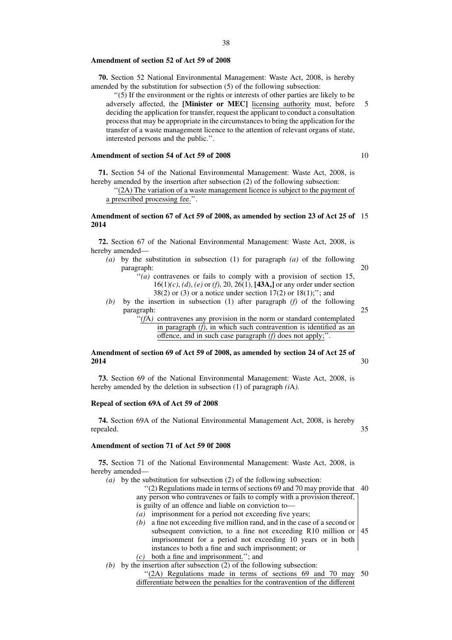#### **Amendment of section 52 of Act 59 of 2008**

**70.** Section 52 National Environmental Management: Waste Act, 2008, is hereby amended by the substitution for subsection (5) of the following subsection:

''(5) If the environment or the rights or interests of other parties are likely to be adversely affected, the **[Minister or MEC]** licensing authority must, before deciding the application for transfer, request the applicant to conduct a consultation process that may be appropriate in the circumstances to bring the application for the transfer of a waste management licence to the attention of relevant organs of state, interested persons and the public.''.

## **Amendment of section 54 of Act 59 of 2008**

**71.** Section 54 of the National Environmental Management: Waste Act, 2008, is hereby amended by the insertion after subsection (2) of the following subsection:

''(2A) The variation of a waste management licence is subject to the payment of a prescribed processing fee.''.

#### **Amendment of section 67 of Act 59 of 2008, as amended by section 23 of Act 25 of** 15 **2014**

**72.** Section 67 of the National Environmental Management: Waste Act, 2008, is hereby amended—

- *(a)* by the substitution in subsection (1) for paragraph *(a)* of the following paragraph: 20
	- "(a) contravenes or fails to comply with a provision of section 15, 16(1)*(c)*, *(d)*, *(e)* or *(f)*, 20, 26(1), **[43A,]** or any order under section  $38(2)$  or (3) or a notice under section  $17(2)$  or  $18(1)$ ;"; and
- *(b)* by the insertion in subsection (1) after paragraph *(f)* of the following paragraph: 25
	- ''*(f*A*)* contravenes any provision in the norm or standard contemplated in paragraph *(f)*, in which such contravention is identified as an offence, and in such case paragraph *(f)* does not apply;''.

#### **Amendment of section 69 of Act 59 of 2008, as amended by section 24 of Act 25 of 2014** 30

**73.** Section 69 of the National Environmental Management: Waste Act, 2008, is hereby amended by the deletion in subsection (1) of paragraph *(i*A*)*.

## **Repeal of section 69A of Act 59 of 2008**

**74.** Section 69A of the National Environmental Management Act, 2008, is hereby repealed. 35

#### **Amendment of section 71 of Act 59 0f 2008**

**75.** Section 71 of the National Environmental Management: Waste Act, 2008, is hereby amended—

- *(a)* by the substitution for subsection (2) of the following subsection:
	- ''(2) Regulations made in terms of sections 69 and 70 may provide that 40 any person who contravenes or fails to comply with a provision thereof, is guilty of an offence and liable on conviction to—
	-
	- *(a)* imprisonment for a period not exceeding five years;
	- *(b)* a fine not exceeding five million rand, and in the case of a second or subsequent conviction, to a fine not exceeding R10 million or imprisonment for a period not exceeding 10 years or in both instances to both a fine and such imprisonment; or 45
	- *(c)* both a fine and imprisonment.''; and
- *(b)* by the insertion after subsection (2) of the following subsection:

"(2A) Regulations made in terms of sections 69 and 70 may 50 differentiate between the penalties for the contravention of the different

10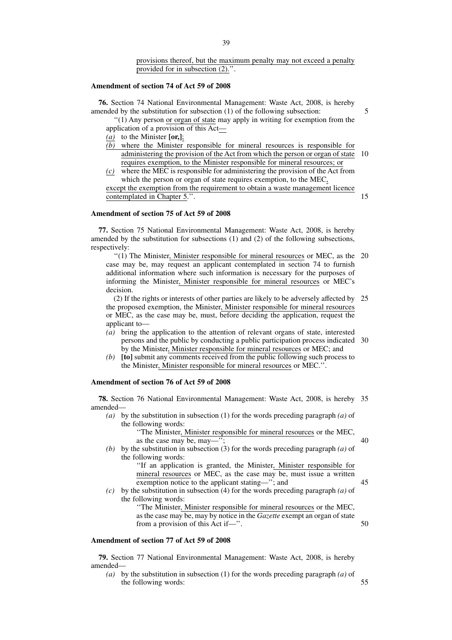provisions thereof, but the maximum penalty may not exceed a penalty provided for in subsection (2).''.

#### **Amendment of section 74 of Act 59 of 2008**

**76.** Section 74 National Environmental Management: Waste Act, 2008, is hereby amended by the substitution for subsection (1) of the following subsection:

''(1) Any person or organ of state may apply in writing for exemption from the application of a provision of this Act—

- *(a)* to the Minister **[or,]**;
- $\overline{(b)}$  where the Minister responsible for mineral resources is responsible for administering the provision of the Act from which the person or organ of state requires exemption, to the Minister responsible for mineral resources; or 10
- *(c)* where the MEC is responsible for administering the provision of the Act from which the person or organ of state requires exemption, to the MEC, except the exemption from the requirement to obtain a waste management licence contemplated in Chapter 5.''. 15

#### **Amendment of section 75 of Act 59 of 2008**

**77.** Section 75 National Environmental Management: Waste Act, 2008, is hereby amended by the substitution for subsections (1) and (2) of the following subsections, respectively:

''(1) The Minister, Minister responsible for mineral resources or MEC, as the 20 case may be, may request an applicant contemplated in section 74 to furnish additional information where such information is necessary for the purposes of informing the Minister, Minister responsible for mineral resources or MEC's decision.

(2) If the rights or interests of other parties are likely to be adversely affected by the proposed exemption, the Minister, Minister responsible for mineral resources or MEC, as the case may be, must, before deciding the application, request the applicant to—  $25$ 

- *(a)* bring the application to the attention of relevant organs of state, interested persons and the public by conducting a public participation process indicated 30 by the Minister, Minister responsible for mineral resources or MEC; and
- *(b)* **[to]** submit any comments received from the public following such process to the Minister, Minister responsible for mineral resources or MEC.''.

## **Amendment of section 76 of Act 59 of 2008**

**78.** Section 76 National Environmental Management: Waste Act, 2008, is hereby 35 amended—

*(a)* by the substitution in subsection (1) for the words preceding paragraph *(a)* of the following words:

> ''The Minister, Minister responsible for mineral resources or the MEC, as the case may be, may—";

*(b)* by the substitution in subsection (3) for the words preceding paragraph *(a)* of the following words:

''If an application is granted, the Minister, Minister responsible for mineral resources or MEC, as the case may be, must issue a written exemption notice to the applicant stating—''; and

*(c)* by the substitution in subsection (4) for the words preceding paragraph *(a)* of the following words:

''The Minister, Minister responsible for mineral resources or the MEC, as the case may be, may by notice in the *Gazette* exempt an organ of state from a provision of this Act if—''.

#### **Amendment of section 77 of Act 59 of 2008**

**79.** Section 77 National Environmental Management: Waste Act, 2008, is hereby amended—

*(a)* by the substitution in subsection (1) for the words preceding paragraph *(a)* of the following words:

45

40

- 50
- 
- 
- 55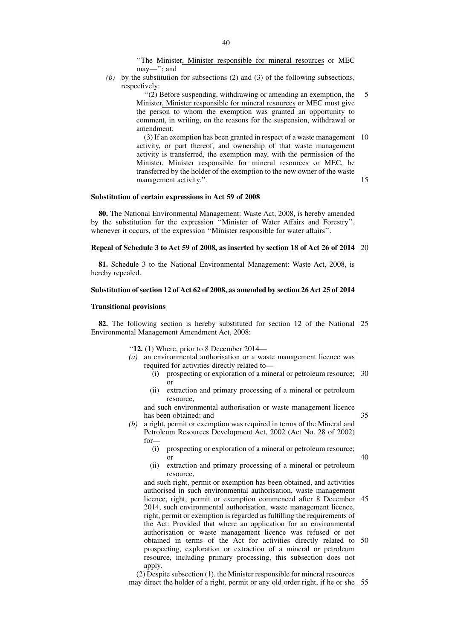''The Minister, Minister responsible for mineral resources or MEC may—''; and

*(b)* by the substitution for subsections (2) and (3) of the following subsections, respectively:

> ''(2) Before suspending, withdrawing or amending an exemption, the Minister, Minister responsible for mineral resources or MEC must give the person to whom the exemption was granted an opportunity to comment, in writing, on the reasons for the suspension, withdrawal or amendment. 5

> (3) If an exemption has been granted in respect of a waste management 10 activity, or part thereof, and ownership of that waste management activity is transferred, the exemption may, with the permission of the Minister, Minister responsible for mineral resources or MEC, be transferred by the holder of the exemption to the new owner of the waste management activity.''. 15

#### **Substitution of certain expressions in Act 59 of 2008**

**80.** The National Environmental Management: Waste Act, 2008, is hereby amended by the substitution for the expression ''Minister of Water Affairs and Forestry'', whenever it occurs, of the expression "Minister responsible for water affairs".

#### **Repeal of Schedule 3 to Act 59 of 2008, as inserted by section 18 of Act 26 of 2014** 20

**81.** Schedule 3 to the National Environmental Management: Waste Act, 2008, is hereby repealed.

#### **Substitution of section 12 of Act 62 of 2008, as amended by section 26 Act 25 of 2014**

#### **Transitional provisions**

**82.** The following section is hereby substituted for section 12 of the National 25 Environmental Management Amendment Act, 2008:

''**12.** (1) Where, prior to 8 December 2014—

| $12.11$ where, prior to 6 December 201 $-$                                      |  |
|---------------------------------------------------------------------------------|--|
| $\overline{a}$ an environmental authorisation or a waste management licence was |  |
| required for activities directly related to-                                    |  |
| prospecting or exploration of a mineral or petroleum resource; 30               |  |

or (ii) extraction and primary processing of a mineral or petroleum resource,

and such environmental authorisation or waste management licence has been obtained; and 35

- *(b)* a right, permit or exemption was required in terms of the Mineral and Petroleum Resources Development Act, 2002 (Act No. 28 of 2002) for—
	- (i) prospecting or exploration of a mineral or petroleum resource; or

40

(ii) extraction and primary processing of a mineral or petroleum resource,

and such right, permit or exemption has been obtained, and activities authorised in such environmental authorisation, waste management licence, right, permit or exemption commenced after 8 December 2014, such environmental authorisation, waste management licence, right, permit or exemption is regarded as fulfilling the requirements of the Act: Provided that where an application for an environmental authorisation or waste management licence was refused or not obtained in terms of the Act for activities directly related to prospecting, exploration or extraction of a mineral or petroleum resource, including primary processing, this subsection does not apply. 45 50

(2) Despite subsection (1), the Minister responsible for mineral resources may direct the holder of a right, permit or any old order right, if he or she 55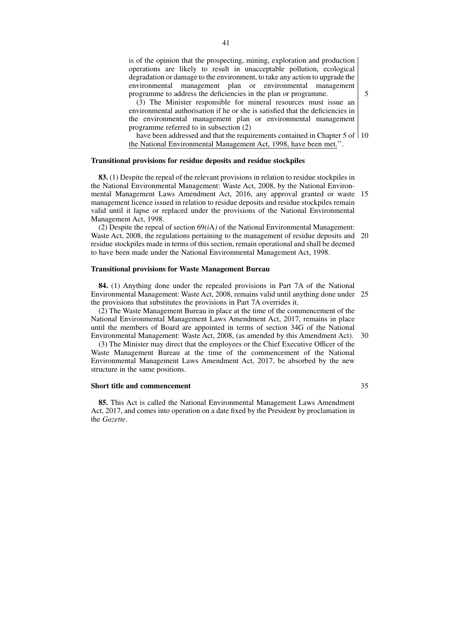is of the opinion that the prospecting, mining, exploration and production operations are likely to result in unacceptable pollution, ecological degradation or damage to the environment, to take any action to upgrade the environmental management plan or environmental management programme to address the deficiencies in the plan or programme.

(3) The Minister responsible for mineral resources must issue an environmental authorisation if he or she is satisfied that the deficiencies in the environmental management plan or environmental management programme referred to in subsection (2)

have been addressed and that the requirements contained in Chapter 5 of 110 the National Environmental Management Act, 1998, have been met.''.

#### **Transitional provisions for residue deposits and residue stockpiles**

**83.** (1) Despite the repeal of the relevant provisions in relation to residue stockpiles in the National Environmental Management: Waste Act, 2008, by the National Environmental Management Laws Amendment Act, 2016, any approval granted or waste 15 management licence issued in relation to residue deposits and residue stockpiles remain valid until it lapse or replaced under the provisions of the National Environmental Management Act, 1998.

(2) Despite the repeal of section  $69(i)$  of the National Environmental Management: Waste Act, 2008, the regulations pertaining to the management of residue deposits and 20 residue stockpiles made in terms of this section, remain operational and shall be deemed to have been made under the National Environmental Management Act, 1998.

## **Transitional provisions for Waste Management Bureau**

**84.** (1) Anything done under the repealed provisions in Part 7A of the National Environmental Management: Waste Act, 2008, remains valid until anything done under 25 the provisions that substitutes the provisions in Part 7A overrides it.

(2) The Waste Management Bureau in place at the time of the commencement of the National Environmental Management Laws Amendment Act, 2017, remains in place until the members of Board are appointed in terms of section 34G of the National Environmental Management: Waste Act, 2008, (as amended by this Amendment Act). 30

(3) The Minister may direct that the employees or the Chief Executive Officer of the Waste Management Bureau at the time of the commencement of the National Environmental Management Laws Amendment Act, 2017, be absorbed by the new structure in the same positions.

#### **Short title and commencement**

**85.** This Act is called the National Environmental Management Laws Amendment Act, 2017, and comes into operation on a date fixed by the President by proclamation in the *Gazette*.

35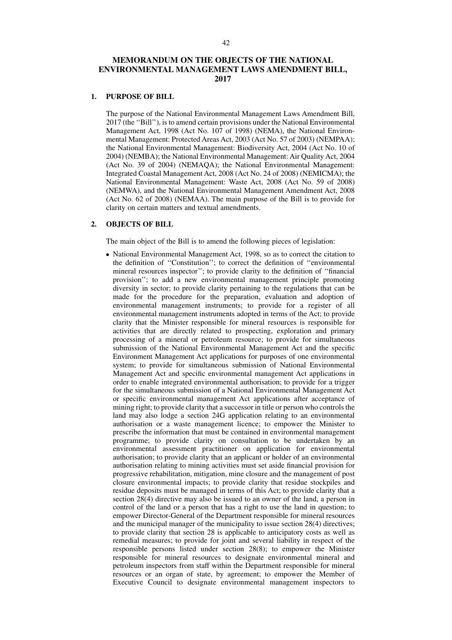# **MEMORANDUM ON THE OBJECTS OF THE NATIONAL ENVIRONMENTAL MANAGEMENT LAWS AMENDMENT BILL, 2017**

## **1. PURPOSE OF BILL**

The purpose of the National Environmental Management Laws Amendment Bill, 2017 (the ''Bill''), is to amend certain provisions under the National Environmental Management Act, 1998 (Act No. 107 of 1998) (NEMA), the National Environmental Management: Protected Areas Act, 2003 (Act No. 57 of 2003) (NEMPAA); the National Environmental Management: Biodiversity Act, 2004 (Act No. 10 of 2004) (NEMBA); the National Environmental Management: Air Quality Act, 2004 (Act No. 39 of 2004) (NEMAQA); the National Environmental Management: Integrated Coastal Management Act, 2008 (Act No. 24 of 2008) (NEMICMA); the National Environmental Management: Waste Act, 2008 (Act No. 59 of 2008) (NEMWA), and the National Environmental Management Amendment Act, 2008 (Act No. 62 of 2008) (NEMAA). The main purpose of the Bill is to provide for clarity on certain matters and textual amendments.

## **2. OBJECTS OF BILL**

The main object of the Bill is to amend the following pieces of legislation:

• National Environmental Management Act, 1998, so as to correct the citation to the definition of ''Constitution''; to correct the definition of ''environmental mineral resources inspector''; to provide clarity to the definition of ''financial provision''; to add a new environmental management principle promoting diversity in sector; to provide clarity pertaining to the regulations that can be made for the procedure for the preparation, evaluation and adoption of environmental management instruments; to provide for a register of all environmental management instruments adopted in terms of the Act; to provide clarity that the Minister responsible for mineral resources is responsible for activities that are directly related to prospecting, exploration and primary processing of a mineral or petroleum resource; to provide for simultaneous submission of the National Environmental Management Act and the specific Environment Management Act applications for purposes of one environmental system; to provide for simultaneous submission of National Environmental Management Act and specific environmental management Act applications in order to enable integrated environmental authorisation; to provide for a trigger for the simultaneous submission of a National Environmental Management Act or specific environmental management Act applications after acceptance of mining right; to provide clarity that a successor in title or person who controls the land may also lodge a section 24G application relating to an environmental authorisation or a waste management licence; to empower the Minister to prescribe the information that must be contained in environmental management programme; to provide clarity on consultation to be undertaken by an environmental assessment practitioner on application for environmental authorisation; to provide clarity that an applicant or holder of an environmental authorisation relating to mining activities must set aside financial provision for progressive rehabilitation, mitigation, mine closure and the management of post closure environmental impacts; to provide clarity that residue stockpiles and residue deposits must be managed in terms of this Act; to provide clarity that a section 28(4) directive may also be issued to an owner of the land, a person in control of the land or a person that has a right to use the land in question; to empower Director-General of the Department responsible for mineral resources and the municipal manager of the municipality to issue section 28(4) directives; to provide clarity that section 28 is applicable to anticipatory costs as well as remedial measures; to provide for joint and several liability in respect of the responsible persons listed under section 28(8); to empower the Minister responsible for mineral resources to designate environmental mineral and petroleum inspectors from staff within the Department responsible for mineral resources or an organ of state, by agreement; to empower the Member of Executive Council to designate environmental management inspectors to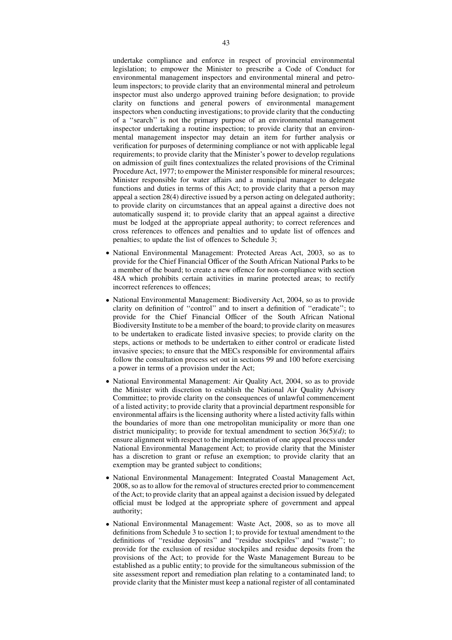undertake compliance and enforce in respect of provincial environmental legislation; to empower the Minister to prescribe a Code of Conduct for environmental management inspectors and environmental mineral and petroleum inspectors; to provide clarity that an environmental mineral and petroleum inspector must also undergo approved training before designation; to provide clarity on functions and general powers of environmental management inspectors when conducting investigations; to provide clarity that the conducting of a ''search'' is not the primary purpose of an environmental management inspector undertaking a routine inspection; to provide clarity that an environmental management inspector may detain an item for further analysis or verification for purposes of determining compliance or not with applicable legal requirements; to provide clarity that the Minister's power to develop regulations on admission of guilt fines contextualizes the related provisions of the Criminal Procedure Act, 1977; to empower the Minister responsible for mineral resources; Minister responsible for water affairs and a municipal manager to delegate functions and duties in terms of this Act; to provide clarity that a person may appeal a section 28(4) directive issued by a person acting on delegated authority; to provide clarity on circumstances that an appeal against a directive does not automatically suspend it; to provide clarity that an appeal against a directive must be lodged at the appropriate appeal authority; to correct references and cross references to offences and penalties and to update list of offences and penalties; to update the list of offences to Schedule 3;

- National Environmental Management: Protected Areas Act, 2003, so as to provide for the Chief Financial Officer of the South African National Parks to be a member of the board; to create a new offence for non-compliance with section 48A which prohibits certain activities in marine protected areas; to rectify incorrect references to offences;
- National Environmental Management: Biodiversity Act, 2004, so as to provide clarity on definition of ''control'' and to insert a definition of ''eradicate''; to provide for the Chief Financial Officer of the South African National Biodiversity Institute to be a member of the board; to provide clarity on measures to be undertaken to eradicate listed invasive species; to provide clarity on the steps, actions or methods to be undertaken to either control or eradicate listed invasive species; to ensure that the MECs responsible for environmental affairs follow the consultation process set out in sections 99 and 100 before exercising a power in terms of a provision under the Act;
- National Environmental Management: Air Quality Act, 2004, so as to provide the Minister with discretion to establish the National Air Quality Advisory Committee; to provide clarity on the consequences of unlawful commencement of a listed activity; to provide clarity that a provincial department responsible for environmental affairs is the licensing authority where a listed activity falls within the boundaries of more than one metropolitan municipality or more than one district municipality; to provide for textual amendment to section 36(5)*(d)*; to ensure alignment with respect to the implementation of one appeal process under National Environmental Management Act; to provide clarity that the Minister has a discretion to grant or refuse an exemption; to provide clarity that an exemption may be granted subject to conditions;
- National Environmental Management: Integrated Coastal Management Act, 2008, so as to allow for the removal of structures erected prior to commencement of the Act; to provide clarity that an appeal against a decision issued by delegated official must be lodged at the appropriate sphere of government and appeal authority;
- National Environmental Management: Waste Act, 2008, so as to move all definitions from Schedule 3 to section 1; to provide for textual amendment to the definitions of ''residue deposits'' and ''residue stockpiles'' and ''waste''; to provide for the exclusion of residue stockpiles and residue deposits from the provisions of the Act; to provide for the Waste Management Bureau to be established as a public entity; to provide for the simultaneous submission of the site assessment report and remediation plan relating to a contaminated land; to provide clarity that the Minister must keep a national register of all contaminated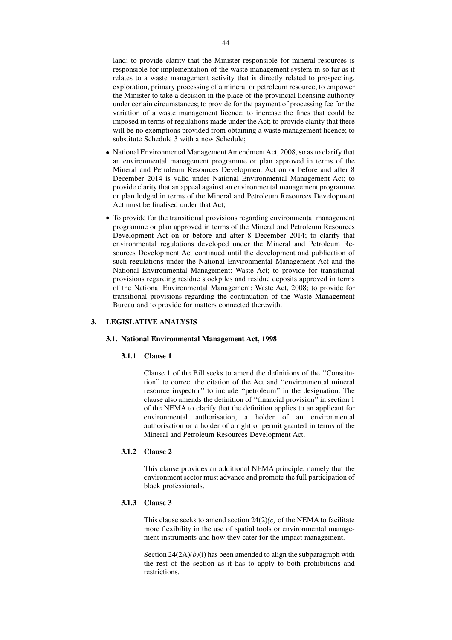land; to provide clarity that the Minister responsible for mineral resources is responsible for implementation of the waste management system in so far as it relates to a waste management activity that is directly related to prospecting, exploration, primary processing of a mineral or petroleum resource; to empower the Minister to take a decision in the place of the provincial licensing authority under certain circumstances; to provide for the payment of processing fee for the variation of a waste management licence; to increase the fines that could be imposed in terms of regulations made under the Act; to provide clarity that there will be no exemptions provided from obtaining a waste management licence; to substitute Schedule 3 with a new Schedule;

- National Environmental Management Amendment Act, 2008, so as to clarify that an environmental management programme or plan approved in terms of the Mineral and Petroleum Resources Development Act on or before and after 8 December 2014 is valid under National Environmental Management Act; to provide clarity that an appeal against an environmental management programme or plan lodged in terms of the Mineral and Petroleum Resources Development Act must be finalised under that Act;
- To provide for the transitional provisions regarding environmental management programme or plan approved in terms of the Mineral and Petroleum Resources Development Act on or before and after 8 December 2014; to clarify that environmental regulations developed under the Mineral and Petroleum Resources Development Act continued until the development and publication of such regulations under the National Environmental Management Act and the National Environmental Management: Waste Act; to provide for transitional provisions regarding residue stockpiles and residue deposits approved in terms of the National Environmental Management: Waste Act, 2008; to provide for transitional provisions regarding the continuation of the Waste Management Bureau and to provide for matters connected therewith.

## **3. LEGISLATIVE ANALYSIS**

## **3.1. National Environmental Management Act, 1998**

#### **3.1.1 Clause 1**

Clause 1 of the Bill seeks to amend the definitions of the ''Constitution'' to correct the citation of the Act and ''environmental mineral resource inspector'' to include ''petroleum'' in the designation. The clause also amends the definition of ''financial provision'' in section 1 of the NEMA to clarify that the definition applies to an applicant for environmental authorisation, a holder of an environmental authorisation or a holder of a right or permit granted in terms of the Mineral and Petroleum Resources Development Act.

#### **3.1.2 Clause 2**

This clause provides an additional NEMA principle, namely that the environment sector must advance and promote the full participation of black professionals.

## **3.1.3 Clause 3**

This clause seeks to amend section  $24(2)(c)$  of the NEMA to facilitate more flexibility in the use of spatial tools or environmental management instruments and how they cater for the impact management.

Section 24(2A)*(b)*(i) has been amended to align the subparagraph with the rest of the section as it has to apply to both prohibitions and restrictions.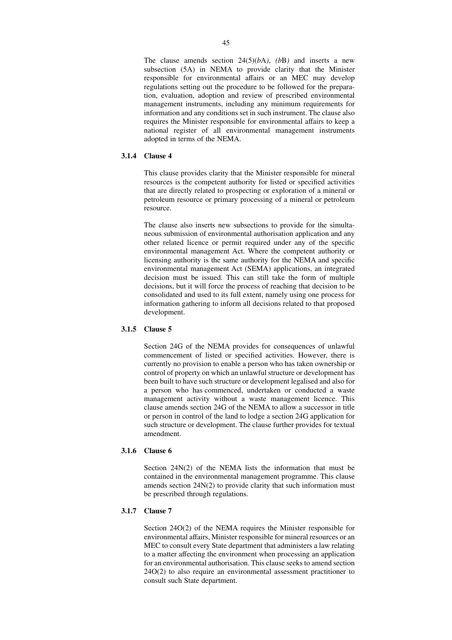The clause amends section 24(5)(*b*A*)*, *(b*B*)* and inserts a new subsection (5A) in NEMA to provide clarity that the Minister responsible for environmental affairs or an MEC may develop regulations setting out the procedure to be followed for the preparation, evaluation, adoption and review of prescribed environmental management instruments, including any minimum requirements for information and any conditions set in such instrument. The clause also requires the Minister responsible for environmental affairs to keep a national register of all environmental management instruments adopted in terms of the NEMA.

## **3.1.4 Clause 4**

This clause provides clarity that the Minister responsible for mineral resources is the competent authority for listed or specified activities that are directly related to prospecting or exploration of a mineral or petroleum resource or primary processing of a mineral or petroleum resource.

The clause also inserts new subsections to provide for the simultaneous submission of environmental authorisation application and any other related licence or permit required under any of the specific environmental management Act. Where the competent authority or licensing authority is the same authority for the NEMA and specific environmental management Act (SEMA) applications, an integrated decision must be issued. This can still take the form of multiple decisions, but it will force the process of reaching that decision to be consolidated and used to its full extent, namely using one process for information gathering to inform all decisions related to that proposed development.

## **3.1.5 Clause 5**

Section 24G of the NEMA provides for consequences of unlawful commencement of listed or specified activities. However, there is currently no provision to enable a person who has taken ownership or control of property on which an unlawful structure or development has been built to have such structure or development legalised and also for a person who has commenced, undertaken or conducted a waste management activity without a waste management licence. This clause amends section 24G of the NEMA to allow a successor in title or person in control of the land to lodge a section 24G application for such structure or development. The clause further provides for textual amendment.

## **3.1.6 Clause 6**

Section 24N(2) of the NEMA lists the information that must be contained in the environmental management programme. This clause amends section 24N(2) to provide clarity that such information must be prescribed through regulations.

## **3.1.7 Clause 7**

Section 24O(2) of the NEMA requires the Minister responsible for environmental affairs, Minister responsible for mineral resources or an MEC to consult every State department that administers a law relating to a matter affecting the environment when processing an application for an environmental authorisation. This clause seeks to amend section 24O(2) to also require an environmental assessment practitioner to consult such State department.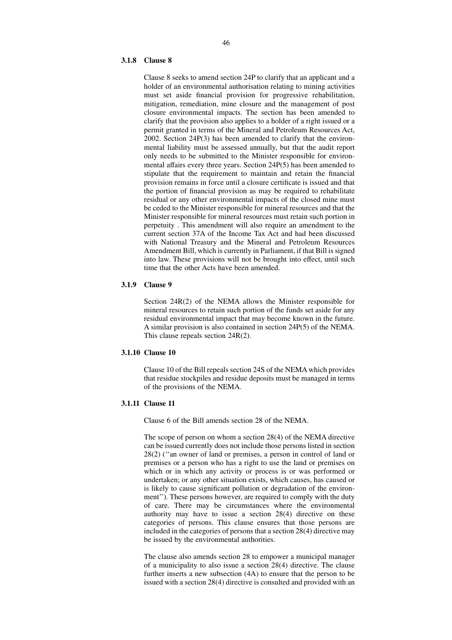#### **3.1.8 Clause 8**

Clause 8 seeks to amend section 24P to clarify that an applicant and a holder of an environmental authorisation relating to mining activities must set aside financial provision for progressive rehabilitation, mitigation, remediation, mine closure and the management of post closure environmental impacts. The section has been amended to clarify that the provision also applies to a holder of a right issued or a permit granted in terms of the Mineral and Petroleum Resources Act, 2002. Section 24P(3) has been amended to clarify that the environmental liability must be assessed annually, but that the audit report only needs to be submitted to the Minister responsible for environmental affairs every three years. Section 24P(5) has been amended to stipulate that the requirement to maintain and retain the financial provision remains in force until a closure certificate is issued and that the portion of financial provision as may be required to rehabilitate residual or any other environmental impacts of the closed mine must be ceded to the Minister responsible for mineral resources and that the Minister responsible for mineral resources must retain such portion in perpetuity . This amendment will also require an amendment to the current section 37A of the Income Tax Act and had been discussed with National Treasury and the Mineral and Petroleum Resources Amendment Bill, which is currently in Parliament, if that Bill is signed into law. These provisions will not be brought into effect, until such time that the other Acts have been amended.

#### **3.1.9 Clause 9**

Section 24R(2) of the NEMA allows the Minister responsible for mineral resources to retain such portion of the funds set aside for any residual environmental impact that may become known in the future. A similar provision is also contained in section 24P(5) of the NEMA. This clause repeals section 24R(2).

## **3.1.10 Clause 10**

Clause 10 of the Bill repeals section 24S of the NEMA which provides that residue stockpiles and residue deposits must be managed in terms of the provisions of the NEMA.

## **3.1.11 Clause 11**

Clause 6 of the Bill amends section 28 of the NEMA.

The scope of person on whom a section 28(4) of the NEMA directive can be issued currently does not include those persons listed in section 28(2) (''an owner of land or premises, a person in control of land or premises or a person who has a right to use the land or premises on which or in which any activity or process is or was performed or undertaken; or any other situation exists, which causes, has caused or is likely to cause significant pollution or degradation of the environment"). These persons however, are required to comply with the duty of care. There may be circumstances where the environmental authority may have to issue a section 28(4) directive on these categories of persons. This clause ensures that those persons are included in the categories of persons that a section 28(4) directive may be issued by the environmental authorities.

The clause also amends section 28 to empower a municipal manager of a municipality to also issue a section 28(4) directive. The clause further inserts a new subsection (4A) to ensure that the person to be issued with a section 28(4) directive is consulted and provided with an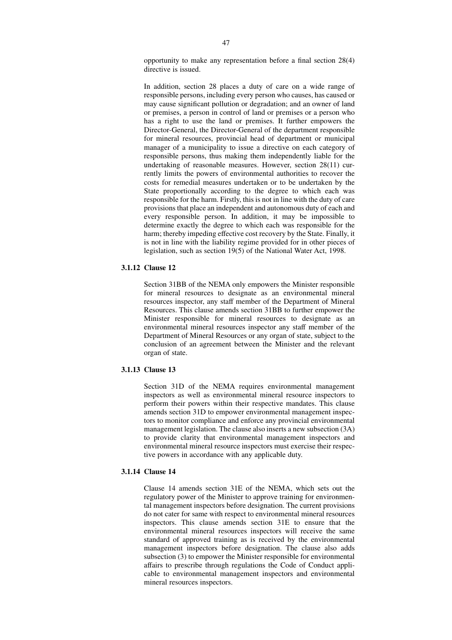opportunity to make any representation before a final section 28(4) directive is issued.

In addition, section 28 places a duty of care on a wide range of responsible persons, including every person who causes, has caused or may cause significant pollution or degradation; and an owner of land or premises, a person in control of land or premises or a person who has a right to use the land or premises. It further empowers the Director-General, the Director-General of the department responsible for mineral resources, provincial head of department or municipal manager of a municipality to issue a directive on each category of responsible persons, thus making them independently liable for the undertaking of reasonable measures. However, section 28(11) currently limits the powers of environmental authorities to recover the costs for remedial measures undertaken or to be undertaken by the State proportionally according to the degree to which each was responsible for the harm. Firstly, this is not in line with the duty of care provisions that place an independent and autonomous duty of each and every responsible person. In addition, it may be impossible to determine exactly the degree to which each was responsible for the harm; thereby impeding effective cost recovery by the State. Finally, it is not in line with the liability regime provided for in other pieces of legislation, such as section 19(5) of the National Water Act, 1998.

# **3.1.12 Clause 12**

Section 31BB of the NEMA only empowers the Minister responsible for mineral resources to designate as an environmental mineral resources inspector, any staff member of the Department of Mineral Resources. This clause amends section 31BB to further empower the Minister responsible for mineral resources to designate as an environmental mineral resources inspector any staff member of the Department of Mineral Resources or any organ of state, subject to the conclusion of an agreement between the Minister and the relevant organ of state.

## **3.1.13 Clause 13**

Section 31D of the NEMA requires environmental management inspectors as well as environmental mineral resource inspectors to perform their powers within their respective mandates. This clause amends section 31D to empower environmental management inspectors to monitor compliance and enforce any provincial environmental management legislation. The clause also inserts a new subsection (3A) to provide clarity that environmental management inspectors and environmental mineral resource inspectors must exercise their respective powers in accordance with any applicable duty.

## **3.1.14 Clause 14**

Clause 14 amends section 31E of the NEMA, which sets out the regulatory power of the Minister to approve training for environmental management inspectors before designation. The current provisions do not cater for same with respect to environmental mineral resources inspectors. This clause amends section 31E to ensure that the environmental mineral resources inspectors will receive the same standard of approved training as is received by the environmental management inspectors before designation. The clause also adds subsection (3) to empower the Minister responsible for environmental affairs to prescribe through regulations the Code of Conduct applicable to environmental management inspectors and environmental mineral resources inspectors.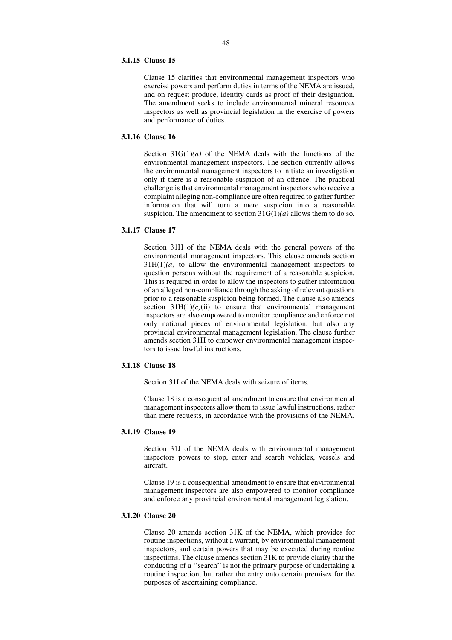## **3.1.15 Clause 15**

Clause 15 clarifies that environmental management inspectors who exercise powers and perform duties in terms of the NEMA are issued, and on request produce, identity cards as proof of their designation. The amendment seeks to include environmental mineral resources inspectors as well as provincial legislation in the exercise of powers and performance of duties.

## **3.1.16 Clause 16**

Section  $31G(1)/a$  of the NEMA deals with the functions of the environmental management inspectors. The section currently allows the environmental management inspectors to initiate an investigation only if there is a reasonable suspicion of an offence. The practical challenge is that environmental management inspectors who receive a complaint alleging non-compliance are often required to gather further information that will turn a mere suspicion into a reasonable suspicion. The amendment to section 31G(1)*(a)* allows them to do so.

## **3.1.17 Clause 17**

Section 31H of the NEMA deals with the general powers of the environmental management inspectors. This clause amends section  $31H(1)/a$  to allow the environmental management inspectors to question persons without the requirement of a reasonable suspicion. This is required in order to allow the inspectors to gather information of an alleged non-compliance through the asking of relevant questions prior to a reasonable suspicion being formed. The clause also amends section  $31H(1)/c$ *(ii)* to ensure that environmental management inspectors are also empowered to monitor compliance and enforce not only national pieces of environmental legislation, but also any provincial environmental management legislation. The clause further amends section 31H to empower environmental management inspectors to issue lawful instructions.

## **3.1.18 Clause 18**

Section 31I of the NEMA deals with seizure of items.

Clause 18 is a consequential amendment to ensure that environmental management inspectors allow them to issue lawful instructions, rather than mere requests, in accordance with the provisions of the NEMA.

## **3.1.19 Clause 19**

Section 31J of the NEMA deals with environmental management inspectors powers to stop, enter and search vehicles, vessels and aircraft.

Clause 19 is a consequential amendment to ensure that environmental management inspectors are also empowered to monitor compliance and enforce any provincial environmental management legislation.

## **3.1.20 Clause 20**

Clause 20 amends section 31K of the NEMA, which provides for routine inspections, without a warrant, by environmental management inspectors, and certain powers that may be executed during routine inspections. The clause amends section 31K to provide clarity that the conducting of a ''search'' is not the primary purpose of undertaking a routine inspection, but rather the entry onto certain premises for the purposes of ascertaining compliance.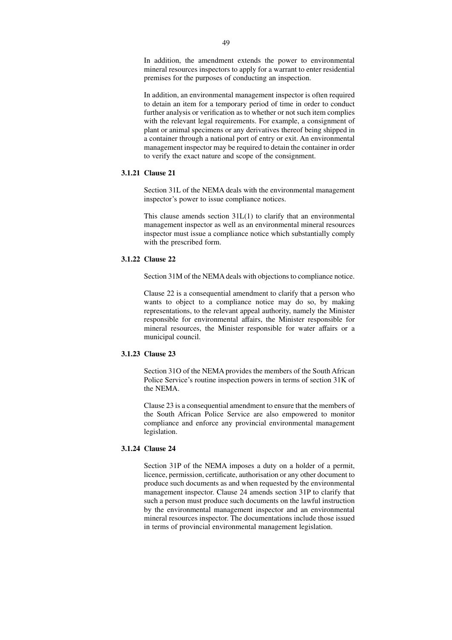In addition, the amendment extends the power to environmental mineral resources inspectors to apply for a warrant to enter residential premises for the purposes of conducting an inspection.

In addition, an environmental management inspector is often required to detain an item for a temporary period of time in order to conduct further analysis or verification as to whether or not such item complies with the relevant legal requirements. For example, a consignment of plant or animal specimens or any derivatives thereof being shipped in a container through a national port of entry or exit. An environmental management inspector may be required to detain the container in order to verify the exact nature and scope of the consignment.

## **3.1.21 Clause 21**

Section 31L of the NEMA deals with the environmental management inspector's power to issue compliance notices.

This clause amends section  $31L(1)$  to clarify that an environmental management inspector as well as an environmental mineral resources inspector must issue a compliance notice which substantially comply with the prescribed form.

## **3.1.22 Clause 22**

Section 31M of the NEMA deals with objections to compliance notice.

Clause 22 is a consequential amendment to clarify that a person who wants to object to a compliance notice may do so, by making representations, to the relevant appeal authority, namely the Minister responsible for environmental affairs, the Minister responsible for mineral resources, the Minister responsible for water affairs or a municipal council.

## **3.1.23 Clause 23**

Section 31O of the NEMA provides the members of the South African Police Service's routine inspection powers in terms of section 31K of the NEMA.

Clause 23 is a consequential amendment to ensure that the members of the South African Police Service are also empowered to monitor compliance and enforce any provincial environmental management legislation.

## **3.1.24 Clause 24**

Section 31P of the NEMA imposes a duty on a holder of a permit, licence, permission, certificate, authorisation or any other document to produce such documents as and when requested by the environmental management inspector. Clause 24 amends section 31P to clarify that such a person must produce such documents on the lawful instruction by the environmental management inspector and an environmental mineral resources inspector. The documentations include those issued in terms of provincial environmental management legislation.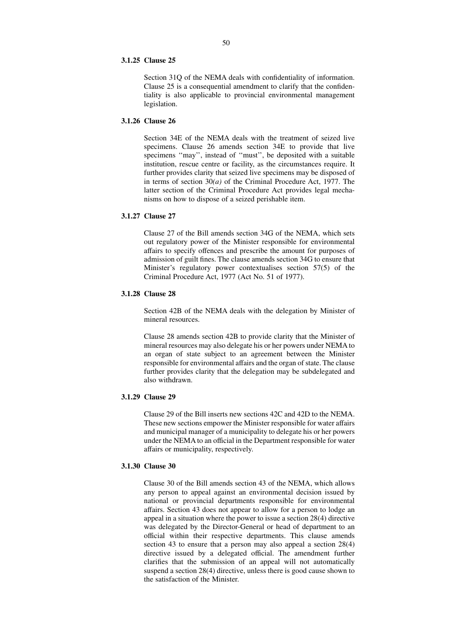#### **3.1.25 Clause 25**

Section 31Q of the NEMA deals with confidentiality of information. Clause 25 is a consequential amendment to clarify that the confidentiality is also applicable to provincial environmental management legislation.

## **3.1.26 Clause 26**

Section 34E of the NEMA deals with the treatment of seized live specimens. Clause 26 amends section 34E to provide that live specimens ''may'', instead of ''must'', be deposited with a suitable institution, rescue centre or facility, as the circumstances require. It further provides clarity that seized live specimens may be disposed of in terms of section 30*(a)* of the Criminal Procedure Act, 1977. The latter section of the Criminal Procedure Act provides legal mechanisms on how to dispose of a seized perishable item.

## **3.1.27 Clause 27**

Clause 27 of the Bill amends section 34G of the NEMA, which sets out regulatory power of the Minister responsible for environmental affairs to specify offences and prescribe the amount for purposes of admission of guilt fines. The clause amends section 34G to ensure that Minister's regulatory power contextualises section 57(5) of the Criminal Procedure Act, 1977 (Act No. 51 of 1977).

## **3.1.28 Clause 28**

Section 42B of the NEMA deals with the delegation by Minister of mineral resources.

Clause 28 amends section 42B to provide clarity that the Minister of mineral resources may also delegate his or her powers under NEMA to an organ of state subject to an agreement between the Minister responsible for environmental affairs and the organ of state. The clause further provides clarity that the delegation may be subdelegated and also withdrawn.

## **3.1.29 Clause 29**

Clause 29 of the Bill inserts new sections 42C and 42D to the NEMA. These new sections empower the Minister responsible for water affairs and municipal manager of a municipality to delegate his or her powers under the NEMA to an official in the Department responsible for water affairs or municipality, respectively.

## **3.1.30 Clause 30**

Clause 30 of the Bill amends section 43 of the NEMA, which allows any person to appeal against an environmental decision issued by national or provincial departments responsible for environmental affairs. Section 43 does not appear to allow for a person to lodge an appeal in a situation where the power to issue a section 28(4) directive was delegated by the Director-General or head of department to an official within their respective departments. This clause amends section 43 to ensure that a person may also appeal a section 28(4) directive issued by a delegated official. The amendment further clarifies that the submission of an appeal will not automatically suspend a section 28(4) directive, unless there is good cause shown to the satisfaction of the Minister.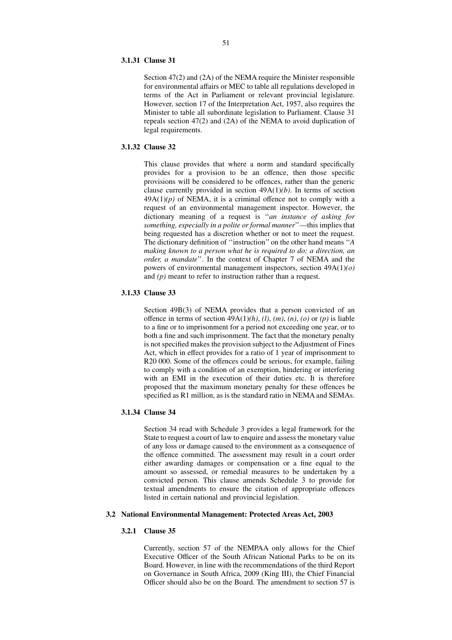#### **3.1.31 Clause 31**

Section 47(2) and (2A) of the NEMA require the Minister responsible for environmental affairs or MEC to table all regulations developed in terms of the Act in Parliament or relevant provincial legislature. However, section 17 of the Interpretation Act, 1957, also requires the Minister to table all subordinate legislation to Parliament. Clause 31 repeals section 47(2) and (2A) of the NEMA to avoid duplication of legal requirements.

## **3.1.32 Clause 32**

This clause provides that where a norm and standard specifically provides for a provision to be an offence, then those specific provisions will be considered to be offences, rather than the generic clause currently provided in section 49A(1)*(b)*. In terms of section  $49A(1)(p)$  of NEMA, it is a criminal offence not to comply with a request of an environmental management inspector. However, the dictionary meaning of a request is ''*an instance of asking for something, especially in a polite or formal manner*''—this implies that being requested has a discretion whether or not to meet the request. The dictionary definition of ''instruction'' on the other hand means ''*A making known to a person what he is required to do; a direction, an order, a mandate*''. In the context of Chapter 7 of NEMA and the powers of environmental management inspectors, section 49A(1)*(o)* and *(p)* meant to refer to instruction rather than a request.

## **3.1.33 Clause 33**

Section 49B(3) of NEMA provides that a person convicted of an offence in terms of section  $49A(1)(h)$ ,  $(l)$ ,  $(m)$ ,  $(n)$ ,  $(o)$  or  $(p)$  is liable to a fine or to imprisonment for a period not exceeding one year, or to both a fine and such imprisonment. The fact that the monetary penalty is not specified makes the provision subject to the Adjustment of Fines Act, which in effect provides for a ratio of 1 year of imprisonment to R20 000. Some of the offences could be serious, for example, failing to comply with a condition of an exemption, hindering or interfering with an EMI in the execution of their duties etc. It is therefore proposed that the maximum monetary penalty for these offences be specified as R1 million, as is the standard ratio in NEMA and SEMAs.

# **3.1.34 Clause 34**

Section 34 read with Schedule 3 provides a legal framework for the State to request a court of law to enquire and assess the monetary value of any loss or damage caused to the environment as a consequence of the offence committed. The assessment may result in a court order either awarding damages or compensation or a fine equal to the amount so assessed, or remedial measures to be undertaken by a convicted person. This clause amends Schedule 3 to provide for textual amendments to ensure the citation of appropriate offences listed in certain national and provincial legislation.

## **3.2 National Environmental Management: Protected Areas Act, 2003**

#### **3.2.1 Clause 35**

Currently, section 57 of the NEMPAA only allows for the Chief Executive Officer of the South African National Parks to be on its Board. However, in line with the recommendations of the third Report on Governance in South Africa, 2009 (King III), the Chief Financial Officer should also be on the Board. The amendment to section 57 is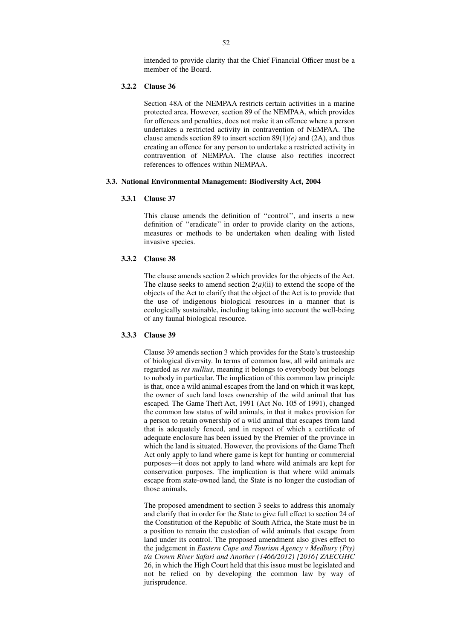intended to provide clarity that the Chief Financial Officer must be a member of the Board.

## **3.2.2 Clause 36**

Section 48A of the NEMPAA restricts certain activities in a marine protected area. However, section 89 of the NEMPAA, which provides for offences and penalties, does not make it an offence where a person undertakes a restricted activity in contravention of NEMPAA. The clause amends section 89 to insert section 89(1)*(e)* and (2A), and thus creating an offence for any person to undertake a restricted activity in contravention of NEMPAA. The clause also rectifies incorrect references to offences within NEMPAA.

#### **3.3. National Environmental Management: Biodiversity Act, 2004**

## **3.3.1 Clause 37**

This clause amends the definition of ''control'', and inserts a new definition of ''eradicate'' in order to provide clarity on the actions, measures or methods to be undertaken when dealing with listed invasive species.

## **3.3.2 Clause 38**

The clause amends section 2 which provides for the objects of the Act. The clause seeks to amend section  $2(a)(ii)$  to extend the scope of the objects of the Act to clarify that the object of the Act is to provide that the use of indigenous biological resources in a manner that is ecologically sustainable, including taking into account the well-being of any faunal biological resource.

#### **3.3.3 Clause 39**

Clause 39 amends section 3 which provides for the State's trusteeship of biological diversity. In terms of common law, all wild animals are regarded as *res nullius*, meaning it belongs to everybody but belongs to nobody in particular. The implication of this common law principle is that, once a wild animal escapes from the land on which it was kept, the owner of such land loses ownership of the wild animal that has escaped. The Game Theft Act, 1991 (Act No. 105 of 1991), changed the common law status of wild animals, in that it makes provision for a person to retain ownership of a wild animal that escapes from land that is adequately fenced, and in respect of which a certificate of adequate enclosure has been issued by the Premier of the province in which the land is situated. However, the provisions of the Game Theft Act only apply to land where game is kept for hunting or commercial purposes—it does not apply to land where wild animals are kept for conservation purposes. The implication is that where wild animals escape from state-owned land, the State is no longer the custodian of those animals.

The proposed amendment to section 3 seeks to address this anomaly and clarify that in order for the State to give full effect to section 24 of the Constitution of the Republic of South Africa, the State must be in a position to remain the custodian of wild animals that escape from land under its control. The proposed amendment also gives effect to the judgement in *Eastern Cape and Tourism Agency v Medbury (Pty) t/a Crown River Safari and Another (1466/2012) [2016] ZAECGHC* 26, in which the High Court held that this issue must be legislated and not be relied on by developing the common law by way of jurisprudence.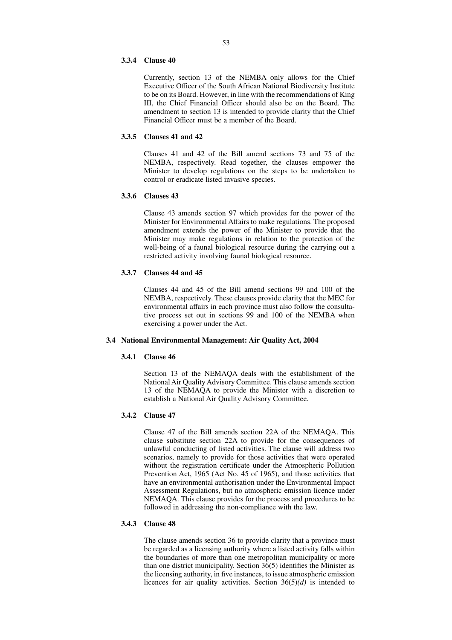#### **3.3.4 Clause 40**

Currently, section 13 of the NEMBA only allows for the Chief Executive Officer of the South African National Biodiversity Institute to be on its Board. However, in line with the recommendations of King III, the Chief Financial Officer should also be on the Board. The amendment to section 13 is intended to provide clarity that the Chief Financial Officer must be a member of the Board.

## **3.3.5 Clauses 41 and 42**

Clauses 41 and 42 of the Bill amend sections 73 and 75 of the NEMBA, respectively. Read together, the clauses empower the Minister to develop regulations on the steps to be undertaken to control or eradicate listed invasive species.

## **3.3.6 Clauses 43**

Clause 43 amends section 97 which provides for the power of the Minister for Environmental Affairs to make regulations. The proposed amendment extends the power of the Minister to provide that the Minister may make regulations in relation to the protection of the well-being of a faunal biological resource during the carrying out a restricted activity involving faunal biological resource.

#### **3.3.7 Clauses 44 and 45**

Clauses 44 and 45 of the Bill amend sections 99 and 100 of the NEMBA, respectively. These clauses provide clarity that the MEC for environmental affairs in each province must also follow the consultative process set out in sections 99 and 100 of the NEMBA when exercising a power under the Act.

#### **3.4 National Environmental Management: Air Quality Act, 2004**

## **3.4.1 Clause 46**

Section 13 of the NEMAQA deals with the establishment of the National Air Quality Advisory Committee. This clause amends section 13 of the NEMAQA to provide the Minister with a discretion to establish a National Air Quality Advisory Committee.

## **3.4.2 Clause 47**

Clause 47 of the Bill amends section 22A of the NEMAQA. This clause substitute section 22A to provide for the consequences of unlawful conducting of listed activities. The clause will address two scenarios, namely to provide for those activities that were operated without the registration certificate under the Atmospheric Pollution Prevention Act, 1965 (Act No. 45 of 1965), and those activities that have an environmental authorisation under the Environmental Impact Assessment Regulations, but no atmospheric emission licence under NEMAQA. This clause provides for the process and procedures to be followed in addressing the non-compliance with the law.

## **3.4.3 Clause 48**

The clause amends section 36 to provide clarity that a province must be regarded as a licensing authority where a listed activity falls within the boundaries of more than one metropolitan municipality or more than one district municipality. Section  $36(5)$  identifies the Minister as the licensing authority, in five instances, to issue atmospheric emission licences for air quality activities. Section 36(5)*(d)* is intended to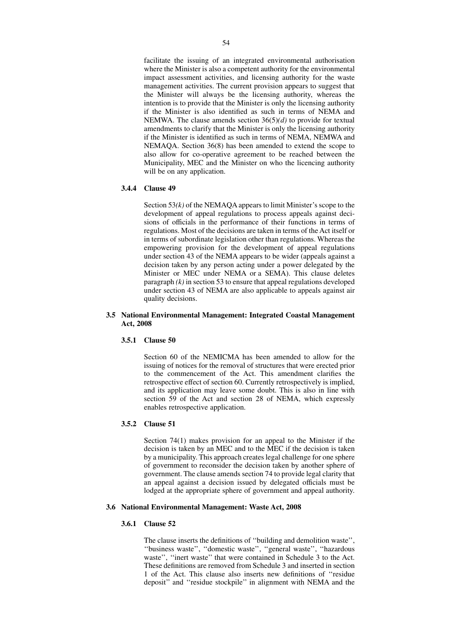facilitate the issuing of an integrated environmental authorisation where the Minister is also a competent authority for the environmental impact assessment activities, and licensing authority for the waste management activities. The current provision appears to suggest that the Minister will always be the licensing authority, whereas the intention is to provide that the Minister is only the licensing authority if the Minister is also identified as such in terms of NEMA and NEMWA. The clause amends section 36(5)*(d)* to provide for textual amendments to clarify that the Minister is only the licensing authority if the Minister is identified as such in terms of NEMA, NEMWA and NEMAQA. Section 36(8) has been amended to extend the scope to also allow for co-operative agreement to be reached between the Municipality, MEC and the Minister on who the licencing authority will be on any application.

## **3.4.4 Clause 49**

Section 53*(k)* of the NEMAQA appears to limit Minister's scope to the development of appeal regulations to process appeals against decisions of officials in the performance of their functions in terms of regulations. Most of the decisions are taken in terms of the Act itself or in terms of subordinate legislation other than regulations. Whereas the empowering provision for the development of appeal regulations under section 43 of the NEMA appears to be wider (appeals against a decision taken by any person acting under a power delegated by the Minister or MEC under NEMA or a SEMA). This clause deletes paragraph *(k)* in section 53 to ensure that appeal regulations developed under section 43 of NEMA are also applicable to appeals against air quality decisions.

#### **3.5 National Environmental Management: Integrated Coastal Management Act, 2008**

#### **3.5.1 Clause 50**

Section 60 of the NEMICMA has been amended to allow for the issuing of notices for the removal of structures that were erected prior to the commencement of the Act. This amendment clarifies the retrospective effect of section 60. Currently retrospectively is implied, and its application may leave some doubt. This is also in line with section 59 of the Act and section 28 of NEMA, which expressly enables retrospective application.

## **3.5.2 Clause 51**

Section 74(1) makes provision for an appeal to the Minister if the decision is taken by an MEC and to the MEC if the decision is taken by a municipality. This approach creates legal challenge for one sphere of government to reconsider the decision taken by another sphere of government. The clause amends section 74 to provide legal clarity that an appeal against a decision issued by delegated officials must be lodged at the appropriate sphere of government and appeal authority.

#### **3.6 National Environmental Management: Waste Act, 2008**

#### **3.6.1 Clause 52**

The clause inserts the definitions of ''building and demolition waste'', ''business waste'', ''domestic waste'', ''general waste'', ''hazardous waste'', ''inert waste'' that were contained in Schedule 3 to the Act. These definitions are removed from Schedule 3 and inserted in section 1 of the Act. This clause also inserts new definitions of ''residue deposit'' and ''residue stockpile'' in alignment with NEMA and the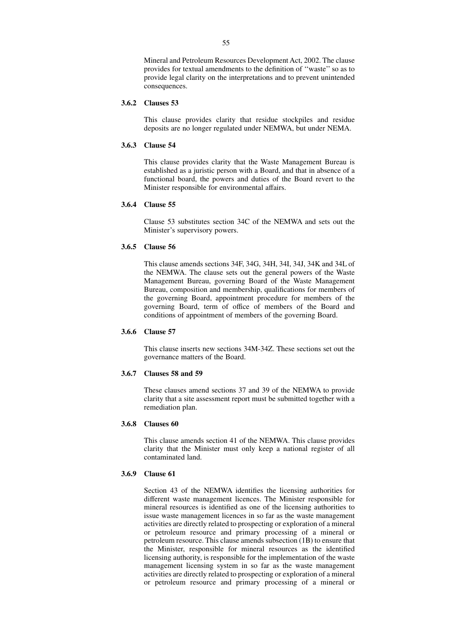Mineral and Petroleum Resources Development Act, 2002. The clause provides for textual amendments to the definition of ''waste'' so as to provide legal clarity on the interpretations and to prevent unintended consequences.

#### **3.6.2 Clauses 53**

This clause provides clarity that residue stockpiles and residue deposits are no longer regulated under NEMWA, but under NEMA.

## **3.6.3 Clause 54**

This clause provides clarity that the Waste Management Bureau is established as a juristic person with a Board, and that in absence of a functional board, the powers and duties of the Board revert to the Minister responsible for environmental affairs.

## **3.6.4 Clause 55**

Clause 53 substitutes section 34C of the NEMWA and sets out the Minister's supervisory powers.

## **3.6.5 Clause 56**

This clause amends sections 34F, 34G, 34H, 34I, 34J, 34K and 34L of the NEMWA. The clause sets out the general powers of the Waste Management Bureau, governing Board of the Waste Management Bureau, composition and membership, qualifications for members of the governing Board, appointment procedure for members of the governing Board, term of office of members of the Board and conditions of appointment of members of the governing Board.

## **3.6.6 Clause 57**

This clause inserts new sections 34M-34Z. These sections set out the governance matters of the Board.

## **3.6.7 Clauses 58 and 59**

These clauses amend sections 37 and 39 of the NEMWA to provide clarity that a site assessment report must be submitted together with a remediation plan.

#### **3.6.8 Clauses 60**

This clause amends section 41 of the NEMWA. This clause provides clarity that the Minister must only keep a national register of all contaminated land.

## **3.6.9 Clause 61**

Section 43 of the NEMWA identifies the licensing authorities for different waste management licences. The Minister responsible for mineral resources is identified as one of the licensing authorities to issue waste management licences in so far as the waste management activities are directly related to prospecting or exploration of a mineral or petroleum resource and primary processing of a mineral or petroleum resource. This clause amends subsection (1B) to ensure that the Minister, responsible for mineral resources as the identified licensing authority, is responsible for the implementation of the waste management licensing system in so far as the waste management activities are directly related to prospecting or exploration of a mineral or petroleum resource and primary processing of a mineral or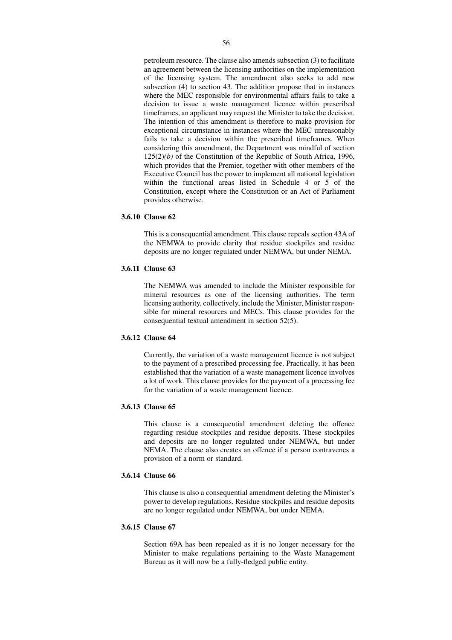petroleum resource. The clause also amends subsection (3) to facilitate an agreement between the licensing authorities on the implementation of the licensing system. The amendment also seeks to add new subsection (4) to section 43. The addition propose that in instances where the MEC responsible for environmental affairs fails to take a decision to issue a waste management licence within prescribed timeframes, an applicant may request the Minister to take the decision. The intention of this amendment is therefore to make provision for exceptional circumstance in instances where the MEC unreasonably fails to take a decision within the prescribed timeframes. When considering this amendment, the Department was mindful of section  $125(2)(b)$  of the Constitution of the Republic of South Africa, 1996, which provides that the Premier, together with other members of the Executive Council has the power to implement all national legislation within the functional areas listed in Schedule 4 or 5 of the Constitution, except where the Constitution or an Act of Parliament provides otherwise.

## **3.6.10 Clause 62**

This is a consequential amendment. This clause repeals section 43A of the NEMWA to provide clarity that residue stockpiles and residue deposits are no longer regulated under NEMWA, but under NEMA.

## **3.6.11 Clause 63**

The NEMWA was amended to include the Minister responsible for mineral resources as one of the licensing authorities. The term licensing authority, collectively, include the Minister, Minister responsible for mineral resources and MECs. This clause provides for the consequential textual amendment in section 52(5).

## **3.6.12 Clause 64**

Currently, the variation of a waste management licence is not subject to the payment of a prescribed processing fee. Practically, it has been established that the variation of a waste management licence involves a lot of work. This clause provides for the payment of a processing fee for the variation of a waste management licence.

## **3.6.13 Clause 65**

This clause is a consequential amendment deleting the offence regarding residue stockpiles and residue deposits. These stockpiles and deposits are no longer regulated under NEMWA, but under NEMA. The clause also creates an offence if a person contravenes a provision of a norm or standard.

## **3.6.14 Clause 66**

This clause is also a consequential amendment deleting the Minister's power to develop regulations. Residue stockpiles and residue deposits are no longer regulated under NEMWA, but under NEMA.

# **3.6.15 Clause 67**

Section 69A has been repealed as it is no longer necessary for the Minister to make regulations pertaining to the Waste Management Bureau as it will now be a fully-fledged public entity.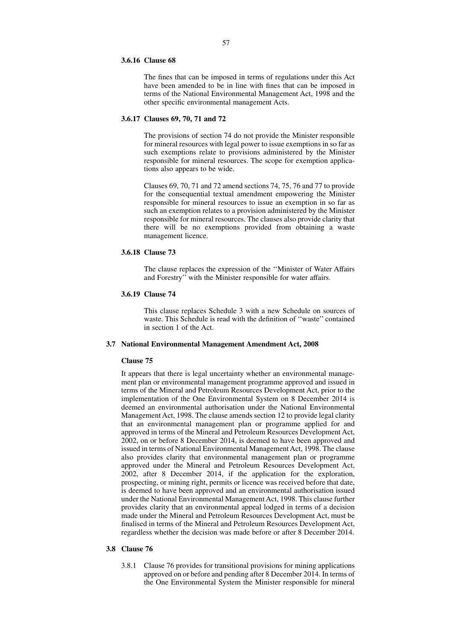#### **3.6.16 Clause 68**

The fines that can be imposed in terms of regulations under this Act have been amended to be in line with fines that can be imposed in terms of the National Environmental Management Act, 1998 and the other specific environmental management Acts.

#### **3.6.17 Clauses 69, 70, 71 and 72**

The provisions of section 74 do not provide the Minister responsible for mineral resources with legal power to issue exemptions in so far as such exemptions relate to provisions administered by the Minister responsible for mineral resources. The scope for exemption applications also appears to be wide.

Clauses 69, 70, 71 and 72 amend sections 74, 75, 76 and 77 to provide for the consequential textual amendment empowering the Minister responsible for mineral resources to issue an exemption in so far as such an exemption relates to a provision administered by the Minister responsible for mineral resources. The clauses also provide clarity that there will be no exemptions provided from obtaining a waste management licence.

#### **3.6.18 Clause 73**

The clause replaces the expression of the ''Minister of Water Affairs and Forestry'' with the Minister responsible for water affairs.

#### **3.6.19 Clause 74**

This clause replaces Schedule 3 with a new Schedule on sources of waste. This Schedule is read with the definition of ''waste'' contained in section 1 of the Act.

## **3.7 National Environmental Management Amendment Act, 2008**

#### **Clause 75**

It appears that there is legal uncertainty whether an environmental management plan or environmental management programme approved and issued in terms of the Mineral and Petroleum Resources Development Act, prior to the implementation of the One Environmental System on 8 December 2014 is deemed an environmental authorisation under the National Environmental Management Act, 1998. The clause amends section 12 to provide legal clarity that an environmental management plan or programme applied for and approved in terms of the Mineral and Petroleum Resources Development Act, 2002, on or before 8 December 2014, is deemed to have been approved and issued in terms of National Environmental Management Act, 1998. The clause also provides clarity that environmental management plan or programme approved under the Mineral and Petroleum Resources Development Act, 2002, after 8 December 2014, if the application for the exploration, prospecting, or mining right, permits or licence was received before that date, is deemed to have been approved and an environmental authorisation issued under the National Environmental Management Act, 1998. This clause further provides clarity that an environmental appeal lodged in terms of a decision made under the Mineral and Petroleum Resources Development Act, must be finalised in terms of the Mineral and Petroleum Resources Development Act, regardless whether the decision was made before or after 8 December 2014.

## **3.8 Clause 76**

3.8.1 Clause 76 provides for transitional provisions for mining applications approved on or before and pending after 8 December 2014. In terms of the One Environmental System the Minister responsible for mineral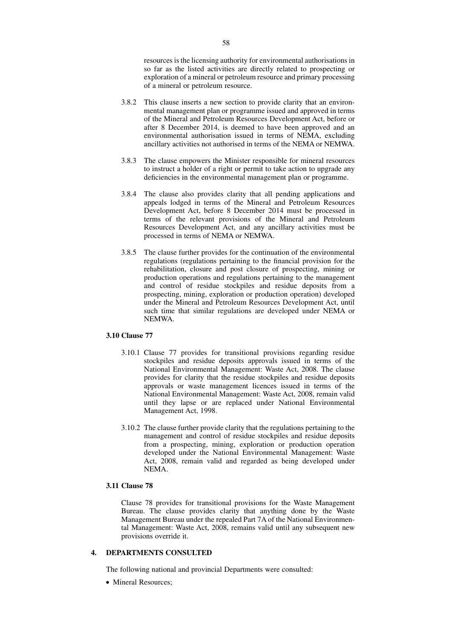resources is the licensing authority for environmental authorisations in so far as the listed activities are directly related to prospecting or exploration of a mineral or petroleum resource and primary processing of a mineral or petroleum resource.

- 3.8.2 This clause inserts a new section to provide clarity that an environmental management plan or programme issued and approved in terms of the Mineral and Petroleum Resources Development Act, before or after 8 December 2014, is deemed to have been approved and an environmental authorisation issued in terms of NEMA, excluding ancillary activities not authorised in terms of the NEMA or NEMWA.
- 3.8.3 The clause empowers the Minister responsible for mineral resources to instruct a holder of a right or permit to take action to upgrade any deficiencies in the environmental management plan or programme.
- 3.8.4 The clause also provides clarity that all pending applications and appeals lodged in terms of the Mineral and Petroleum Resources Development Act, before 8 December 2014 must be processed in terms of the relevant provisions of the Mineral and Petroleum Resources Development Act, and any ancillary activities must be processed in terms of NEMA or NEMWA.
- 3.8.5 The clause further provides for the continuation of the environmental regulations (regulations pertaining to the financial provision for the rehabilitation, closure and post closure of prospecting, mining or production operations and regulations pertaining to the management and control of residue stockpiles and residue deposits from a prospecting, mining, exploration or production operation) developed under the Mineral and Petroleum Resources Development Act, until such time that similar regulations are developed under NEMA or NEMWA.

#### **3.10 Clause 77**

- 3.10.1 Clause 77 provides for transitional provisions regarding residue stockpiles and residue deposits approvals issued in terms of the National Environmental Management: Waste Act, 2008. The clause provides for clarity that the residue stockpiles and residue deposits approvals or waste management licences issued in terms of the National Environmental Management: Waste Act, 2008, remain valid until they lapse or are replaced under National Environmental Management Act, 1998.
- 3.10.2 The clause further provide clarity that the regulations pertaining to the management and control of residue stockpiles and residue deposits from a prospecting, mining, exploration or production operation developed under the National Environmental Management: Waste Act, 2008, remain valid and regarded as being developed under NEMA.

## **3.11 Clause 78**

Clause 78 provides for transitional provisions for the Waste Management Bureau. The clause provides clarity that anything done by the Waste Management Bureau under the repealed Part 7A of the National Environmental Management: Waste Act, 2008, remains valid until any subsequent new provisions override it.

## **4. DEPARTMENTS CONSULTED**

The following national and provincial Departments were consulted:

• Mineral Resources;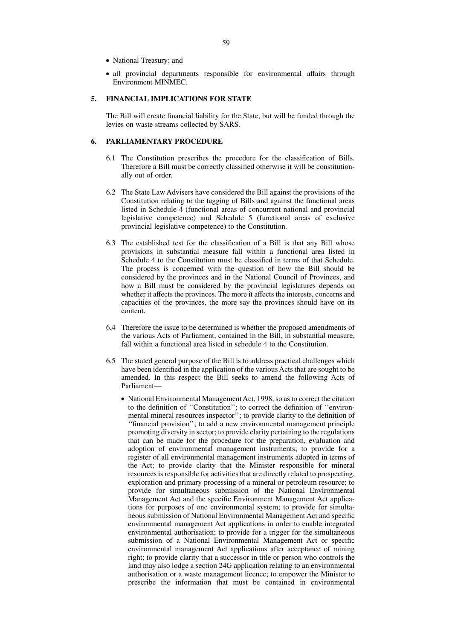- National Treasury; and
- all provincial departments responsible for environmental affairs through Environment MINMEC.

## **5. FINANCIAL IMPLICATIONS FOR STATE**

The Bill will create financial liability for the State, but will be funded through the levies on waste streams collected by SARS.

## **6. PARLIAMENTARY PROCEDURE**

- 6.1 The Constitution prescribes the procedure for the classification of Bills. Therefore a Bill must be correctly classified otherwise it will be constitutionally out of order.
- 6.2 The State Law Advisers have considered the Bill against the provisions of the Constitution relating to the tagging of Bills and against the functional areas listed in Schedule 4 (functional areas of concurrent national and provincial legislative competence) and Schedule 5 (functional areas of exclusive provincial legislative competence) to the Constitution.
- 6.3 The established test for the classification of a Bill is that any Bill whose provisions in substantial measure fall within a functional area listed in Schedule 4 to the Constitution must be classified in terms of that Schedule. The process is concerned with the question of how the Bill should be considered by the provinces and in the National Council of Provinces, and how a Bill must be considered by the provincial legislatures depends on whether it affects the provinces. The more it affects the interests, concerns and capacities of the provinces, the more say the provinces should have on its content.
- 6.4 Therefore the issue to be determined is whether the proposed amendments of the various Acts of Parliament, contained in the Bill, in substantial measure, fall within a functional area listed in schedule 4 to the Constitution.
- 6.5 The stated general purpose of the Bill is to address practical challenges which have been identified in the application of the various Acts that are sought to be amended. In this respect the Bill seeks to amend the following Acts of Parliament—
	- National Environmental Management Act, 1998, so as to correct the citation to the definition of ''Constitution''; to correct the definition of ''environmental mineral resources inspector''; to provide clarity to the definition of ''financial provision''; to add a new environmental management principle promoting diversity in sector; to provide clarity pertaining to the regulations that can be made for the procedure for the preparation, evaluation and adoption of environmental management instruments; to provide for a register of all environmental management instruments adopted in terms of the Act; to provide clarity that the Minister responsible for mineral resources is responsible for activities that are directly related to prospecting, exploration and primary processing of a mineral or petroleum resource; to provide for simultaneous submission of the National Environmental Management Act and the specific Environment Management Act applications for purposes of one environmental system; to provide for simultaneous submission of National Environmental Management Act and specific environmental management Act applications in order to enable integrated environmental authorisation; to provide for a trigger for the simultaneous submission of a National Environmental Management Act or specific environmental management Act applications after acceptance of mining right; to provide clarity that a successor in title or person who controls the land may also lodge a section 24G application relating to an environmental authorisation or a waste management licence; to empower the Minister to prescribe the information that must be contained in environmental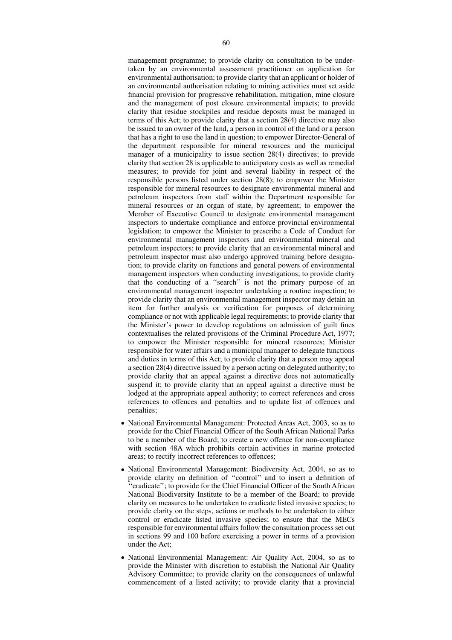management programme; to provide clarity on consultation to be undertaken by an environmental assessment practitioner on application for environmental authorisation; to provide clarity that an applicant or holder of an environmental authorisation relating to mining activities must set aside financial provision for progressive rehabilitation, mitigation, mine closure and the management of post closure environmental impacts; to provide clarity that residue stockpiles and residue deposits must be managed in terms of this Act; to provide clarity that a section 28(4) directive may also be issued to an owner of the land, a person in control of the land or a person that has a right to use the land in question; to empower Director-General of the department responsible for mineral resources and the municipal manager of a municipality to issue section 28(4) directives; to provide clarity that section 28 is applicable to anticipatory costs as well as remedial measures; to provide for joint and several liability in respect of the responsible persons listed under section 28(8); to empower the Minister responsible for mineral resources to designate environmental mineral and petroleum inspectors from staff within the Department responsible for mineral resources or an organ of state, by agreement; to empower the Member of Executive Council to designate environmental management inspectors to undertake compliance and enforce provincial environmental legislation; to empower the Minister to prescribe a Code of Conduct for environmental management inspectors and environmental mineral and petroleum inspectors; to provide clarity that an environmental mineral and petroleum inspector must also undergo approved training before designation; to provide clarity on functions and general powers of environmental management inspectors when conducting investigations; to provide clarity that the conducting of a ''search'' is not the primary purpose of an environmental management inspector undertaking a routine inspection; to provide clarity that an environmental management inspector may detain an item for further analysis or verification for purposes of determining compliance or not with applicable legal requirements; to provide clarity that the Minister's power to develop regulations on admission of guilt fines contextualises the related provisions of the Criminal Procedure Act, 1977; to empower the Minister responsible for mineral resources; Minister responsible for water affairs and a municipal manager to delegate functions and duties in terms of this Act; to provide clarity that a person may appeal a section 28(4) directive issued by a person acting on delegated authority; to provide clarity that an appeal against a directive does not automatically suspend it; to provide clarity that an appeal against a directive must be lodged at the appropriate appeal authority; to correct references and cross references to offences and penalties and to update list of offences and penalties;

- National Environmental Management: Protected Areas Act, 2003, so as to provide for the Chief Financial Officer of the South African National Parks to be a member of the Board; to create a new offence for non-compliance with section 48A which prohibits certain activities in marine protected areas; to rectify incorrect references to offences;
- National Environmental Management: Biodiversity Act, 2004, so as to provide clarity on definition of ''control'' and to insert a definition of ''eradicate''; to provide for the Chief Financial Officer of the South African National Biodiversity Institute to be a member of the Board; to provide clarity on measures to be undertaken to eradicate listed invasive species; to provide clarity on the steps, actions or methods to be undertaken to either control or eradicate listed invasive species; to ensure that the MECs responsible for environmental affairs follow the consultation process set out in sections 99 and 100 before exercising a power in terms of a provision under the Act;
- National Environmental Management: Air Quality Act, 2004, so as to provide the Minister with discretion to establish the National Air Quality Advisory Committee; to provide clarity on the consequences of unlawful commencement of a listed activity; to provide clarity that a provincial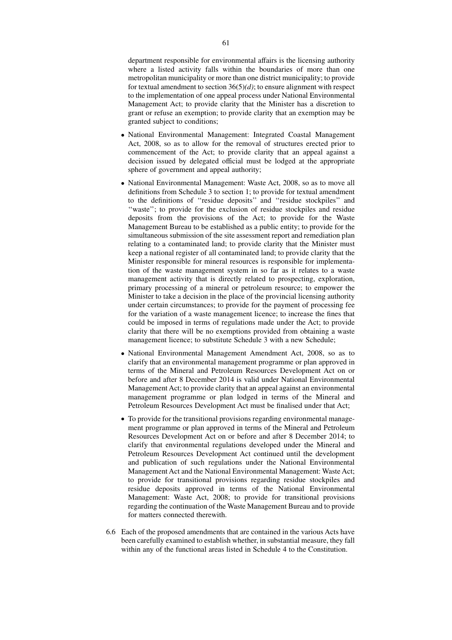department responsible for environmental affairs is the licensing authority where a listed activity falls within the boundaries of more than one metropolitan municipality or more than one district municipality; to provide for textual amendment to section 36(5)*(d)*; to ensure alignment with respect to the implementation of one appeal process under National Environmental Management Act; to provide clarity that the Minister has a discretion to grant or refuse an exemption; to provide clarity that an exemption may be granted subject to conditions;

- National Environmental Management: Integrated Coastal Management Act, 2008, so as to allow for the removal of structures erected prior to commencement of the Act; to provide clarity that an appeal against a decision issued by delegated official must be lodged at the appropriate sphere of government and appeal authority;
- National Environmental Management: Waste Act, 2008, so as to move all definitions from Schedule 3 to section 1; to provide for textual amendment to the definitions of ''residue deposits'' and ''residue stockpiles'' and ''waste''; to provide for the exclusion of residue stockpiles and residue deposits from the provisions of the Act; to provide for the Waste Management Bureau to be established as a public entity; to provide for the simultaneous submission of the site assessment report and remediation plan relating to a contaminated land; to provide clarity that the Minister must keep a national register of all contaminated land; to provide clarity that the Minister responsible for mineral resources is responsible for implementation of the waste management system in so far as it relates to a waste management activity that is directly related to prospecting, exploration, primary processing of a mineral or petroleum resource; to empower the Minister to take a decision in the place of the provincial licensing authority under certain circumstances; to provide for the payment of processing fee for the variation of a waste management licence; to increase the fines that could be imposed in terms of regulations made under the Act; to provide clarity that there will be no exemptions provided from obtaining a waste management licence; to substitute Schedule 3 with a new Schedule;
- National Environmental Management Amendment Act, 2008, so as to clarify that an environmental management programme or plan approved in terms of the Mineral and Petroleum Resources Development Act on or before and after 8 December 2014 is valid under National Environmental Management Act; to provide clarity that an appeal against an environmental management programme or plan lodged in terms of the Mineral and Petroleum Resources Development Act must be finalised under that Act;
- To provide for the transitional provisions regarding environmental management programme or plan approved in terms of the Mineral and Petroleum Resources Development Act on or before and after 8 December 2014; to clarify that environmental regulations developed under the Mineral and Petroleum Resources Development Act continued until the development and publication of such regulations under the National Environmental Management Act and the National Environmental Management: Waste Act; to provide for transitional provisions regarding residue stockpiles and residue deposits approved in terms of the National Environmental Management: Waste Act, 2008; to provide for transitional provisions regarding the continuation of the Waste Management Bureau and to provide for matters connected therewith.
- 6.6 Each of the proposed amendments that are contained in the various Acts have been carefully examined to establish whether, in substantial measure, they fall within any of the functional areas listed in Schedule 4 to the Constitution.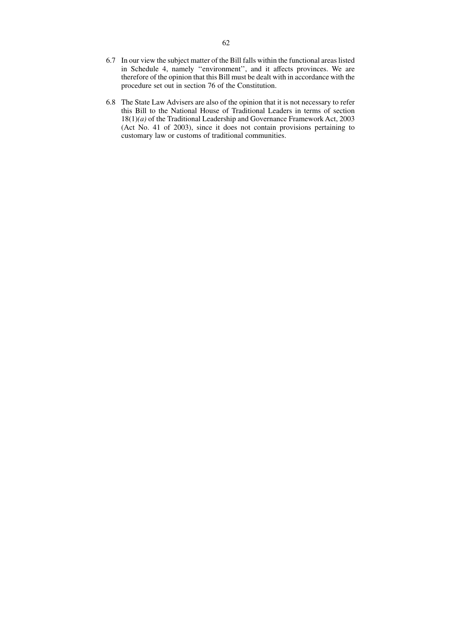- 6.7 In our view the subject matter of the Bill falls within the functional areas listed in Schedule 4, namely ''environment'', and it affects provinces. We are therefore of the opinion that this Bill must be dealt with in accordance with the procedure set out in section 76 of the Constitution.
- 6.8 The State Law Advisers are also of the opinion that it is not necessary to refer this Bill to the National House of Traditional Leaders in terms of section 18(1)*(a)* of the Traditional Leadership and Governance Framework Act, 2003 (Act No. 41 of 2003), since it does not contain provisions pertaining to customary law or customs of traditional communities.